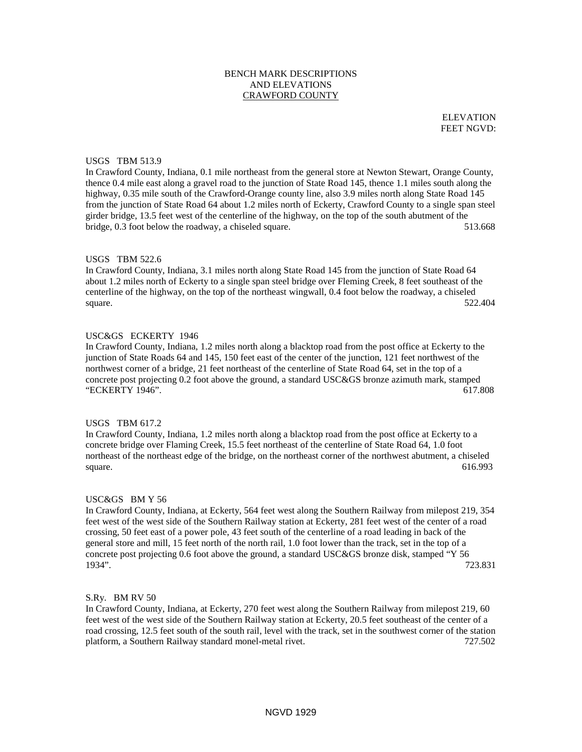# BENCH MARK DESCRIPTIONS AND ELEVATIONS CRAWFORD COUNTY

ELEVATION FEET NGVD:

### USGS TBM 513.9

In Crawford County, Indiana, 0.1 mile northeast from the general store at Newton Stewart, Orange County, thence 0.4 mile east along a gravel road to the junction of State Road 145, thence 1.1 miles south along the highway, 0.35 mile south of the Crawford-Orange county line, also 3.9 miles north along State Road 145 from the junction of State Road 64 about 1.2 miles north of Eckerty, Crawford County to a single span steel girder bridge, 13.5 feet west of the centerline of the highway, on the top of the south abutment of the bridge, 0.3 foot below the roadway, a chiseled square. 513.668

#### USGS TBM 522.6

In Crawford County, Indiana, 3.1 miles north along State Road 145 from the junction of State Road 64 about 1.2 miles north of Eckerty to a single span steel bridge over Fleming Creek, 8 feet southeast of the centerline of the highway, on the top of the northeast wingwall, 0.4 foot below the roadway, a chiseled square.  $522.404$ 

#### USC&GS ECKERTY 1946

In Crawford County, Indiana, 1.2 miles north along a blacktop road from the post office at Eckerty to the junction of State Roads 64 and 145, 150 feet east of the center of the junction, 121 feet northwest of the northwest corner of a bridge, 21 feet northeast of the centerline of State Road 64, set in the top of a concrete post projecting 0.2 foot above the ground, a standard USC&GS bronze azimuth mark, stamped "ECKERTY 1946". 617.808

### USGS TBM 617.2

In Crawford County, Indiana, 1.2 miles north along a blacktop road from the post office at Eckerty to a concrete bridge over Flaming Creek, 15.5 feet northeast of the centerline of State Road 64, 1.0 foot northeast of the northeast edge of the bridge, on the northeast corner of the northwest abutment, a chiseled square.  $616.993$ 

#### USC&GS BM Y 56

In Crawford County, Indiana, at Eckerty, 564 feet west along the Southern Railway from milepost 219, 354 feet west of the west side of the Southern Railway station at Eckerty, 281 feet west of the center of a road crossing, 50 feet east of a power pole, 43 feet south of the centerline of a road leading in back of the general store and mill, 15 feet north of the north rail, 1.0 foot lower than the track, set in the top of a concrete post projecting 0.6 foot above the ground, a standard USC&GS bronze disk, stamped "Y 56 1934". 723.831

### S.Ry. BM RV 50

In Crawford County, Indiana, at Eckerty, 270 feet west along the Southern Railway from milepost 219, 60 feet west of the west side of the Southern Railway station at Eckerty, 20.5 feet southeast of the center of a road crossing, 12.5 feet south of the south rail, level with the track, set in the southwest corner of the station platform, a Southern Railway standard monel-metal rivet. 727.502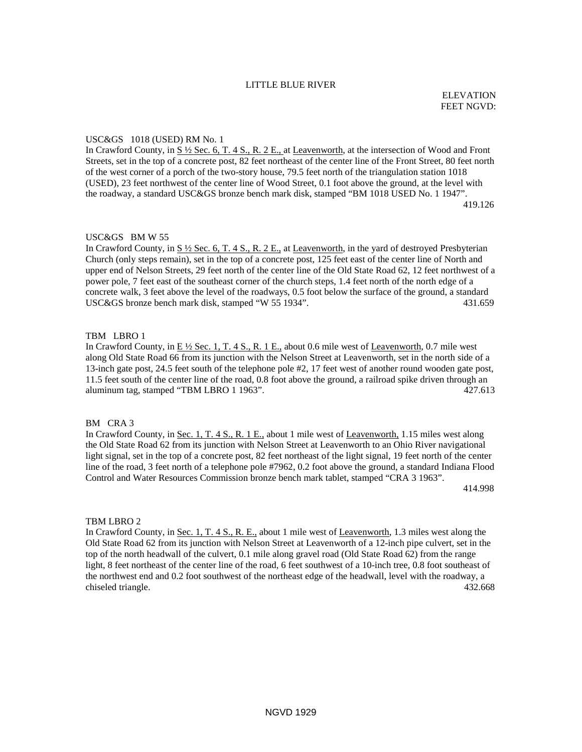### LITTLE BLUE RIVER

#### USC&GS 1018 (USED) RM No. 1

In Crawford County, in  $S\frac{1}{2}$  Sec. 6, T. 4 S., R. 2 E., at Leavenworth, at the intersection of Wood and Front Streets, set in the top of a concrete post, 82 feet northeast of the center line of the Front Street, 80 feet north of the west corner of a porch of the two-story house, 79.5 feet north of the triangulation station 1018 (USED), 23 feet northwest of the center line of Wood Street, 0.1 foot above the ground, at the level with the roadway, a standard USC&GS bronze bench mark disk, stamped "BM 1018 USED No. 1 1947". 419.126

#### USC&GS BM W 55

In Crawford County, in  $S \frac{1}{2}$  Sec. 6, T. 4 S., R. 2 E., at Leavenworth, in the yard of destroyed Presbyterian Church (only steps remain), set in the top of a concrete post, 125 feet east of the center line of North and upper end of Nelson Streets, 29 feet north of the center line of the Old State Road 62, 12 feet northwest of a power pole, 7 feet east of the southeast corner of the church steps, 1.4 feet north of the north edge of a concrete walk, 3 feet above the level of the roadways, 0.5 foot below the surface of the ground, a standard USC&GS bronze bench mark disk, stamped "W 55 1934". 431.659

# TBM LBRO 1

In Crawford County, in  $E\frac{1}{2}$  Sec. 1, T. 4 S., R. 1 E., about 0.6 mile west of Leavenworth, 0.7 mile west along Old State Road 66 from its junction with the Nelson Street at Leavenworth, set in the north side of a 13-inch gate post, 24.5 feet south of the telephone pole #2, 17 feet west of another round wooden gate post, 11.5 feet south of the center line of the road, 0.8 foot above the ground, a railroad spike driven through an aluminum tag, stamped "TBM LBRO 1 1963". 427.613

#### BM CRA 3

In Crawford County, in <u>Sec. 1, T. 4 S., R. 1 E.</u>, about 1 mile west of <u>Leavenworth,</u> 1.15 miles west along the Old State Road 62 from its junction with Nelson Street at Leavenworth to an Ohio River navigational light signal, set in the top of a concrete post, 82 feet northeast of the light signal, 19 feet north of the center line of the road, 3 feet north of a telephone pole #7962, 0.2 foot above the ground, a standard Indiana Flood Control and Water Resources Commission bronze bench mark tablet, stamped "CRA 3 1963".

414.998

### TBM LBRO 2

In Crawford County, in Sec. 1, T. 4 S., R. E., about 1 mile west of Leavenworth, 1.3 miles west along the Old State Road 62 from its junction with Nelson Street at Leavenworth of a 12-inch pipe culvert, set in the top of the north headwall of the culvert, 0.1 mile along gravel road (Old State Road 62) from the range light, 8 feet northeast of the center line of the road, 6 feet southwest of a 10-inch tree, 0.8 foot southeast of the northwest end and 0.2 foot southwest of the northeast edge of the headwall, level with the roadway, a chiseled triangle. 432.668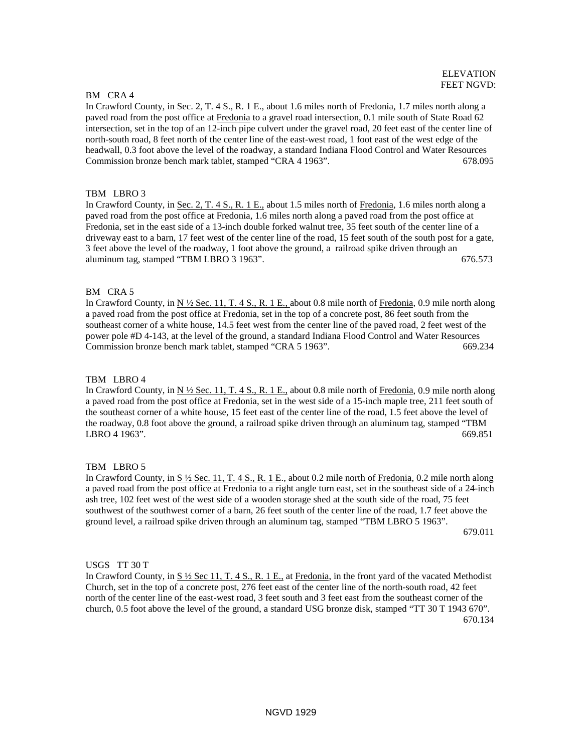#### BM CRA 4

In Crawford County, in Sec. 2, T. 4 S., R. 1 E., about 1.6 miles north of Fredonia, 1.7 miles north along a paved road from the post office at Fredonia to a gravel road intersection, 0.1 mile south of State Road 62 intersection, set in the top of an 12-inch pipe culvert under the gravel road, 20 feet east of the center line of north-south road, 8 feet north of the center line of the east-west road, 1 foot east of the west edge of the headwall, 0.3 foot above the level of the roadway, a standard Indiana Flood Control and Water Resources Commission bronze bench mark tablet, stamped "CRA 4 1963". 678.095

## TBM LBRO 3

In Crawford County, in Sec. 2, T. 4 S., R. 1 E., about 1.5 miles north of Fredonia, 1.6 miles north along a paved road from the post office at Fredonia, 1.6 miles north along a paved road from the post office at Fredonia, set in the east side of a 13-inch double forked walnut tree, 35 feet south of the center line of a driveway east to a barn, 17 feet west of the center line of the road, 15 feet south of the south post for a gate, 3 feet above the level of the roadway, 1 foot above the ground, a railroad spike driven through an aluminum tag, stamped "TBM LBRO 3 1963". 676.573

### BM CRA 5

In Crawford County, in  $N \frac{1}{2}$  Sec. 11, T. 4 S., R. 1 E., about 0.8 mile north of Fredonia, 0.9 mile north along a paved road from the post office at Fredonia, set in the top of a concrete post, 86 feet south from the southeast corner of a white house, 14.5 feet west from the center line of the paved road, 2 feet west of the power pole #D 4-143, at the level of the ground, a standard Indiana Flood Control and Water Resources Commission bronze bench mark tablet, stamped "CRA 5 1963". 669.234

### TBM LBRO 4

In Crawford County, in  $N \frac{1}{2}$  Sec. 11, T. 4 S., R. 1 E., about 0.8 mile north of Fredonia, 0.9 mile north along a paved road from the post office at Fredonia, set in the west side of a 15-inch maple tree, 211 feet south of the southeast corner of a white house, 15 feet east of the center line of the road, 1.5 feet above the level of the roadway, 0.8 foot above the ground, a railroad spike driven through an aluminum tag, stamped "TBM LBRO 4 1963". 669.851

### TBM LBRO 5

In Crawford County, in S  $\frac{1}{2}$  Sec. 11, T. 4 S., R. 1 E., about 0.2 mile north of Fredonia, 0.2 mile north along a paved road from the post office at Fredonia to a right angle turn east, set in the southeast side of a 24-inch ash tree, 102 feet west of the west side of a wooden storage shed at the south side of the road, 75 feet southwest of the southwest corner of a barn, 26 feet south of the center line of the road, 1.7 feet above the ground level, a railroad spike driven through an aluminum tag, stamped "TBM LBRO 5 1963".

679.011

## USGS TT 30 T

In Crawford County, in S ½ Sec 11, T. 4 S., R. 1 E., at Fredonia, in the front yard of the vacated Methodist Church, set in the top of a concrete post, 276 feet east of the center line of the north-south road, 42 feet north of the center line of the east-west road, 3 feet south and 3 feet east from the southeast corner of the church, 0.5 foot above the level of the ground, a standard USG bronze disk, stamped "TT 30 T 1943 670". 670.134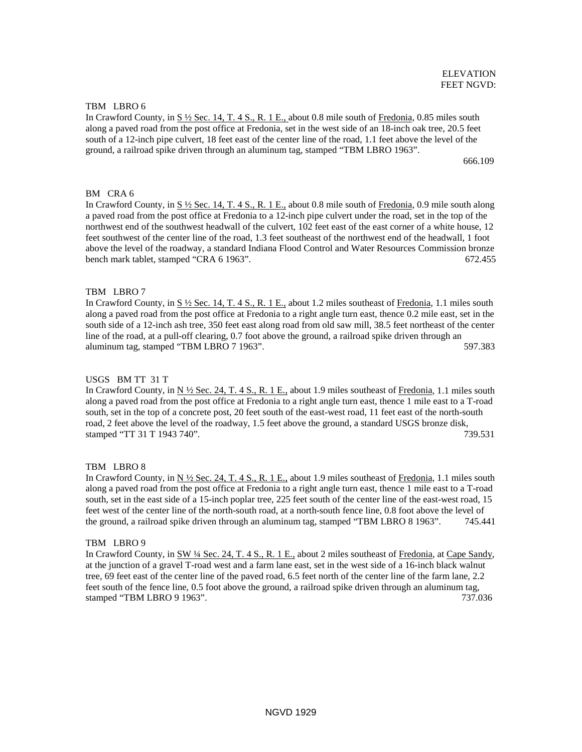### TBM LBRO 6

In Crawford County, in S ½ Sec. 14, T. 4 S., R. 1 E., about 0.8 mile south of Fredonia, 0.85 miles south along a paved road from the post office at Fredonia, set in the west side of an 18-inch oak tree, 20.5 feet south of a 12-inch pipe culvert, 18 feet east of the center line of the road, 1.1 feet above the level of the ground, a railroad spike driven through an aluminum tag, stamped "TBM LBRO 1963".

666.109

### BM CRA 6

In Crawford County, in S ½ Sec. 14, T. 4 S., R. 1 E., about 0.8 mile south of Fredonia, 0.9 mile south along a paved road from the post office at Fredonia to a 12-inch pipe culvert under the road, set in the top of the northwest end of the southwest headwall of the culvert, 102 feet east of the east corner of a white house, 12 feet southwest of the center line of the road, 1.3 feet southeast of the northwest end of the headwall, 1 foot above the level of the roadway, a standard Indiana Flood Control and Water Resources Commission bronze bench mark tablet, stamped "CRA 6 1963". 672.455

#### TBM LBRO 7

In Crawford County, in S ½ Sec. 14, T. 4 S., R. 1 E., about 1.2 miles southeast of Fredonia, 1.1 miles south along a paved road from the post office at Fredonia to a right angle turn east, thence 0.2 mile east, set in the south side of a 12-inch ash tree, 350 feet east along road from old saw mill, 38.5 feet northeast of the center line of the road, at a pull-off clearing, 0.7 foot above the ground, a railroad spike driven through an aluminum tag, stamped "TBM LBRO 7 1963". 597.383

#### USGS BM TT 31 T

In Crawford County, in N  $\frac{1}{2}$  Sec. 24, T. 4 S., R. 1 E., about 1.9 miles southeast of Fredonia, 1.1 miles south along a paved road from the post office at Fredonia to a right angle turn east, thence 1 mile east to a T-road south, set in the top of a concrete post, 20 feet south of the east-west road, 11 feet east of the north-south road, 2 feet above the level of the roadway, 1.5 feet above the ground, a standard USGS bronze disk, stamped "TT 31 T 1943 740". 739.531

### TBM LBRO 8

In Crawford County, in  $N \frac{1}{2}$  Sec. 24, T. 4 S., R. 1 E., about 1.9 miles southeast of Fredonia, 1.1 miles south along a paved road from the post office at Fredonia to a right angle turn east, thence 1 mile east to a T-road south, set in the east side of a 15-inch poplar tree, 225 feet south of the center line of the east-west road, 15 feet west of the center line of the north-south road, at a north-south fence line, 0.8 foot above the level of the ground, a railroad spike driven through an aluminum tag, stamped "TBM LBRO 8 1963". 745.441

#### TBM LBRO 9

In Crawford County, in SW 14 Sec. 24, T. 4 S., R. 1 E., about 2 miles southeast of Fredonia, at Cape Sandy, at the junction of a gravel T-road west and a farm lane east, set in the west side of a 16-inch black walnut tree, 69 feet east of the center line of the paved road, 6.5 feet north of the center line of the farm lane, 2.2 feet south of the fence line, 0.5 foot above the ground, a railroad spike driven through an aluminum tag, stamped "TBM LBRO 9 1963". 737.036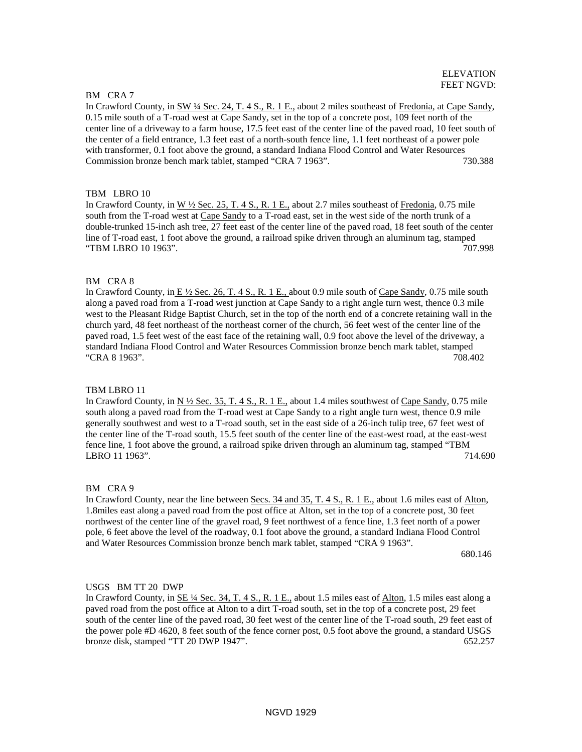#### BM CRA 7

In Crawford County, in SW ¼ Sec. 24, T. 4 S., R. 1 E., about 2 miles southeast of Fredonia, at Cape Sandy, 0.15 mile south of a T-road west at Cape Sandy, set in the top of a concrete post, 109 feet north of the center line of a driveway to a farm house, 17.5 feet east of the center line of the paved road, 10 feet south of the center of a field entrance, 1.3 feet east of a north-south fence line, 1.1 feet northeast of a power pole with transformer, 0.1 foot above the ground, a standard Indiana Flood Control and Water Resources Commission bronze bench mark tablet, stamped "CRA 7 1963". 730.388

### TBM LBRO 10

In Crawford County, in W ½ Sec. 25, T. 4 S., R. 1 E., about 2.7 miles southeast of Fredonia, 0.75 mile south from the T-road west at Cape Sandy to a T-road east, set in the west side of the north trunk of a double-trunked 15-inch ash tree, 27 feet east of the center line of the paved road, 18 feet south of the center line of T-road east, 1 foot above the ground, a railroad spike driven through an aluminum tag, stamped "TBM LBRO 10 1963". 707.998

## BM CRA 8

In Crawford County, in  $E \frac{1}{2}$  Sec. 26, T. 4 S., R. 1 E., about 0.9 mile south of Cape Sandy, 0.75 mile south along a paved road from a T-road west junction at Cape Sandy to a right angle turn west, thence 0.3 mile west to the Pleasant Ridge Baptist Church, set in the top of the north end of a concrete retaining wall in the church yard, 48 feet northeast of the northeast corner of the church, 56 feet west of the center line of the paved road, 1.5 feet west of the east face of the retaining wall, 0.9 foot above the level of the driveway, a standard Indiana Flood Control and Water Resources Commission bronze bench mark tablet, stamped "CRA 8 1963". 708.402

### TBM LBRO 11

In Crawford County, in  $N \frac{1}{2}$  Sec. 35, T. 4 S., R. 1 E., about 1.4 miles southwest of Cape Sandy, 0.75 mile south along a paved road from the T-road west at Cape Sandy to a right angle turn west, thence 0.9 mile generally southwest and west to a T-road south, set in the east side of a 26-inch tulip tree, 67 feet west of the center line of the T-road south, 15.5 feet south of the center line of the east-west road, at the east-west fence line, 1 foot above the ground, a railroad spike driven through an aluminum tag, stamped "TBM LBRO 11 1963". 714.690

#### BM CRA 9

In Crawford County, near the line between Secs. 34 and 35, T. 4 S., R. 1 E., about 1.6 miles east of Alton, 1.8miles east along a paved road from the post office at Alton, set in the top of a concrete post, 30 feet northwest of the center line of the gravel road, 9 feet northwest of a fence line, 1.3 feet north of a power pole, 6 feet above the level of the roadway, 0.1 foot above the ground, a standard Indiana Flood Control and Water Resources Commission bronze bench mark tablet, stamped "CRA 9 1963".

680.146

#### USGS BM TT 20 DWP

In Crawford County, in <u>SE ¼ Sec. 34, T. 4 S., R. 1 E.</u>, about 1.5 miles east of Alton, 1.5 miles east along a paved road from the post office at Alton to a dirt T-road south, set in the top of a concrete post, 29 feet south of the center line of the paved road, 30 feet west of the center line of the T-road south, 29 feet east of the power pole #D 4620, 8 feet south of the fence corner post, 0.5 foot above the ground, a standard USGS bronze disk, stamped "TT 20 DWP 1947". 652.257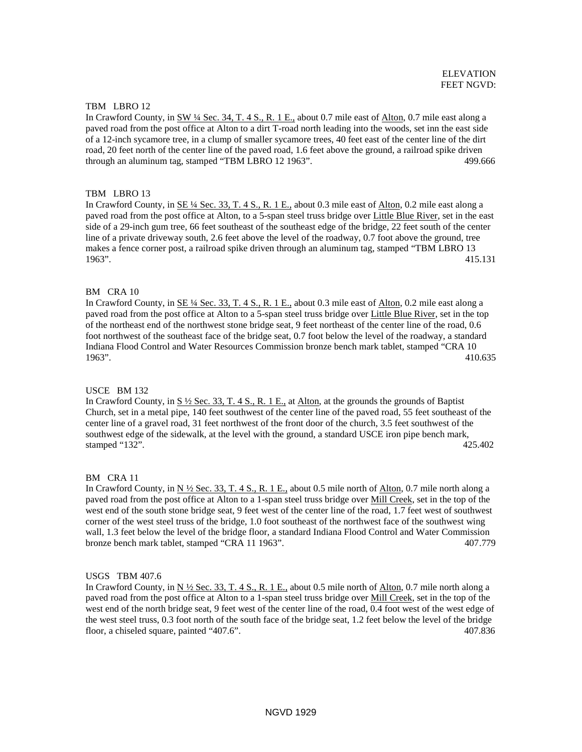### TBM LBRO 12

In Crawford County, in SW ¼ Sec. 34, T. 4 S., R. 1 E., about 0.7 mile east of Alton, 0.7 mile east along a paved road from the post office at Alton to a dirt T-road north leading into the woods, set inn the east side of a 12-inch sycamore tree, in a clump of smaller sycamore trees, 40 feet east of the center line of the dirt road, 20 feet north of the center line of the paved road, 1.6 feet above the ground, a railroad spike driven through an aluminum tag, stamped "TBM LBRO 12 1963". 499.666

# TBM LBRO 13

In Crawford County, in SE ¼ Sec. 33, T. 4 S., R. 1 E., about 0.3 mile east of Alton, 0.2 mile east along a paved road from the post office at Alton, to a 5-span steel truss bridge over Little Blue River, set in the east side of a 29-inch gum tree, 66 feet southeast of the southeast edge of the bridge, 22 feet south of the center line of a private driveway south, 2.6 feet above the level of the roadway, 0.7 foot above the ground, tree makes a fence corner post, a railroad spike driven through an aluminum tag, stamped "TBM LBRO 13 1963". 415.131

# BM CRA 10

In Crawford County, in <u>SE ¼ Sec. 33, T. 4 S., R. 1 E.</u>, about 0.3 mile east of Alton, 0.2 mile east along a paved road from the post office at Alton to a 5-span steel truss bridge over Little Blue River, set in the top of the northeast end of the northwest stone bridge seat, 9 feet northeast of the center line of the road, 0.6 foot northwest of the southeast face of the bridge seat, 0.7 foot below the level of the roadway, a standard Indiana Flood Control and Water Resources Commission bronze bench mark tablet, stamped "CRA 10 1963". 410.635

### USCE BM 132

In Crawford County, in  $S\frac{1}{2}$  Sec. 33, T. 4 S., R. 1 E., at Alton, at the grounds the grounds of Baptist Church, set in a metal pipe, 140 feet southwest of the center line of the paved road, 55 feet southeast of the center line of a gravel road, 31 feet northwest of the front door of the church, 3.5 feet southwest of the southwest edge of the sidewalk, at the level with the ground, a standard USCE iron pipe bench mark, stamped "132". 425.402

### BM CRA 11

In Crawford County, in  $N \frac{1}{2}$  Sec. 33, T. 4 S., R. 1 E., about 0.5 mile north of Alton, 0.7 mile north along a paved road from the post office at Alton to a 1-span steel truss bridge over **Mill Creek**, set in the top of the west end of the south stone bridge seat, 9 feet west of the center line of the road, 1.7 feet west of southwest corner of the west steel truss of the bridge, 1.0 foot southeast of the northwest face of the southwest wing wall, 1.3 feet below the level of the bridge floor, a standard Indiana Flood Control and Water Commission bronze bench mark tablet, stamped "CRA 11 1963". 407.779

# USGS TBM 407.6

In Crawford County, in N  $\frac{1}{2}$  Sec. 33, T. 4 S., R. 1 E., about 0.5 mile north of Alton, 0.7 mile north along a paved road from the post office at Alton to a 1-span steel truss bridge over Mill Creek, set in the top of the west end of the north bridge seat, 9 feet west of the center line of the road, 0.4 foot west of the west edge of the west steel truss, 0.3 foot north of the south face of the bridge seat, 1.2 feet below the level of the bridge floor, a chiseled square, painted "407.6". 407.836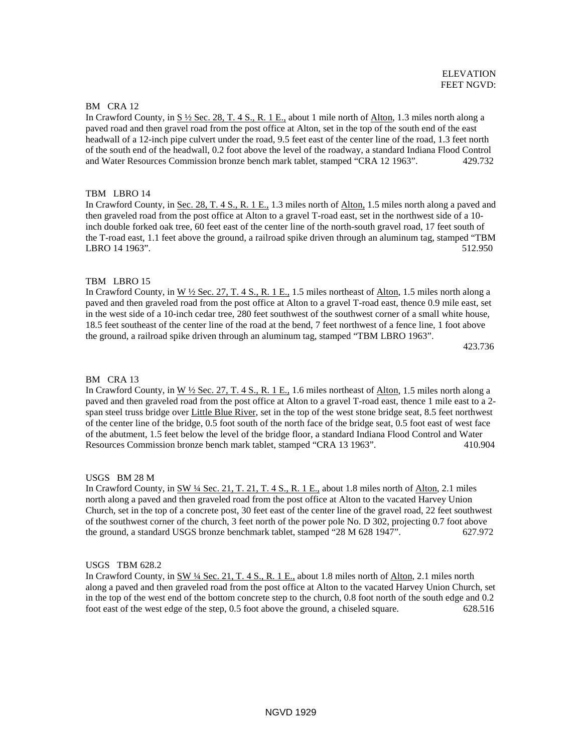ELEVATION

# BM CRA 12

In Crawford County, in S ½ Sec. 28, T. 4 S., R. 1 E., about 1 mile north of Alton, 1.3 miles north along a paved road and then gravel road from the post office at Alton, set in the top of the south end of the east headwall of a 12-inch pipe culvert under the road, 9.5 feet east of the center line of the road, 1.3 feet north of the south end of the headwall, 0.2 foot above the level of the roadway, a standard Indiana Flood Control and Water Resources Commission bronze bench mark tablet, stamped "CRA 12 1963". 429.732

# TBM LBRO 14

In Crawford County, in Sec. 28, T. 4 S., R. 1 E., 1.3 miles north of Alton, 1.5 miles north along a paved and then graveled road from the post office at Alton to a gravel T-road east, set in the northwest side of a 10 inch double forked oak tree, 60 feet east of the center line of the north-south gravel road, 17 feet south of the T-road east, 1.1 feet above the ground, a railroad spike driven through an aluminum tag, stamped "TBM LBRO 14 1963". 512.950

# TBM LBRO 15

In Crawford County, in  $W \frac{1}{2}$  Sec. 27, T. 4 S., R. 1 E., 1.5 miles northeast of Alton, 1.5 miles north along a paved and then graveled road from the post office at Alton to a gravel T-road east, thence 0.9 mile east, set in the west side of a 10-inch cedar tree, 280 feet southwest of the southwest corner of a small white house, 18.5 feet southeast of the center line of the road at the bend, 7 feet northwest of a fence line, 1 foot above the ground, a railroad spike driven through an aluminum tag, stamped "TBM LBRO 1963".

423.736

# BM CRA 13

In Crawford County, in  $W \frac{1}{2}$  Sec. 27, T. 4 S., R. 1 E., 1.6 miles northeast of Alton, 1.5 miles north along a paved and then graveled road from the post office at Alton to a gravel T-road east, thence 1 mile east to a 2 span steel truss bridge over Little Blue River, set in the top of the west stone bridge seat, 8.5 feet northwest of the center line of the bridge, 0.5 foot south of the north face of the bridge seat, 0.5 foot east of west face of the abutment, 1.5 feet below the level of the bridge floor, a standard Indiana Flood Control and Water Resources Commission bronze bench mark tablet, stamped "CRA 13 1963". 410.904

# USGS BM 28 M

In Crawford County, in SW ¼ Sec. 21, T. 21, T. 4 S., R. 1 E., about 1.8 miles north of Alton, 2.1 miles north along a paved and then graveled road from the post office at Alton to the vacated Harvey Union Church, set in the top of a concrete post, 30 feet east of the center line of the gravel road, 22 feet southwest of the southwest corner of the church, 3 feet north of the power pole No. D 302, projecting 0.7 foot above the ground, a standard USGS bronze benchmark tablet, stamped "28 M 628 1947". 627.972

# USGS TBM 628.2

In Crawford County, in SW ¼ Sec. 21, T. 4 S., R. 1 E., about 1.8 miles north of Alton, 2.1 miles north along a paved and then graveled road from the post office at Alton to the vacated Harvey Union Church, set in the top of the west end of the bottom concrete step to the church, 0.8 foot north of the south edge and 0.2 foot east of the west edge of the step, 0.5 foot above the ground, a chiseled square. 628.516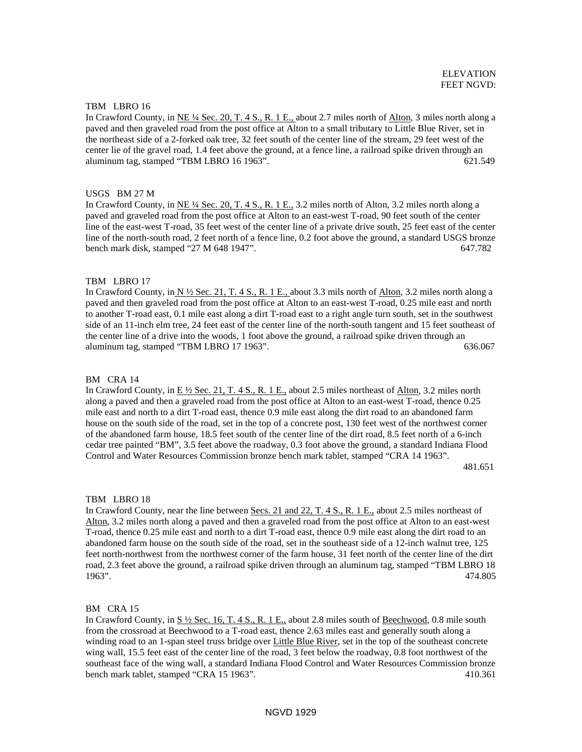### TBM LBRO 16

In Crawford County, in NE ¼ Sec. 20, T. 4 S., R. 1 E., about 2.7 miles north of Alton, 3 miles north along a paved and then graveled road from the post office at Alton to a small tributary to Little Blue River, set in the northeast side of a 2-forked oak tree, 32 feet south of the center line of the stream, 29 feet west of the center lie of the gravel road, 1.4 feet above the ground, at a fence line, a railroad spike driven through an aluminum tag, stamped "TBM LBRO 16 1963". 621.549

### USGS BM 27 M

In Crawford County, in NE ¼ Sec. 20, T. 4 S., R. 1 E., 3.2 miles north of Alton, 3.2 miles north along a paved and graveled road from the post office at Alton to an east-west T-road, 90 feet south of the center line of the east-west T-road, 35 feet west of the center line of a private drive south, 25 feet east of the center line of the north-south road, 2 feet north of a fence line, 0.2 foot above the ground, a standard USGS bronze bench mark disk, stamped "27 M 648 1947". 647.782

### TBM LBRO 17

In Crawford County, in  $N \frac{1}{2}$  Sec. 21, T. 4 S., R. 1 E., about 3.3 mils north of Alton, 3.2 miles north along a paved and then graveled road from the post office at Alton to an east-west T-road, 0.25 mile east and north to another T-road east, 0.1 mile east along a dirt T-road east to a right angle turn south, set in the southwest side of an 11-inch elm tree, 24 feet east of the center line of the north-south tangent and 15 feet southeast of the center line of a drive into the woods, 1 foot above the ground, a railroad spike driven through an aluminum tag, stamped "TBM LBRO 17 1963". 636.067

#### BM CRA 14

In Crawford County, in  $E\frac{1}{2}$  Sec. 21, T. 4 S., R. 1 E., about 2.5 miles northeast of Alton, 3.2 miles north along a paved and then a graveled road from the post office at Alton to an east-west T-road, thence 0.25 mile east and north to a dirt T-road east, thence 0.9 mile east along the dirt road to an abandoned farm house on the south side of the road, set in the top of a concrete post, 130 feet west of the northwest corner of the abandoned farm house, 18.5 feet south of the center line of the dirt road, 8.5 feet north of a 6-inch cedar tree painted "BM", 3.5 feet above the roadway, 0.3 foot above the ground, a standard Indiana Flood Control and Water Resources Commission bronze bench mark tablet, stamped "CRA 14 1963".

481.651

#### TBM LBRO 18

In Crawford County, near the line between Secs. 21 and 22, T. 4 S., R. 1 E., about 2.5 miles northeast of Alton, 3.2 miles north along a paved and then a graveled road from the post office at Alton to an east-west T-road, thence 0.25 mile east and north to a dirt T-road east, thence 0.9 mile east along the dirt road to an abandoned farm house on the south side of the road, set in the southeast side of a 12-inch walnut tree, 125 feet north-northwest from the northwest corner of the farm house, 31 feet north of the center line of the dirt road, 2.3 feet above the ground, a railroad spike driven through an aluminum tag, stamped "TBM LBRO 18 1963". 474.805

#### BM CRA 15

In Crawford County, in  $S\frac{1}{2}$  Sec. 16, T. 4 S., R. 1 E., about 2.8 miles south of Beechwood, 0.8 mile south from the crossroad at Beechwood to a T-road east, thence 2.63 miles east and generally south along a winding road to an 1-span steel truss bridge over Little Blue River, set in the top of the southeast concrete wing wall, 15.5 feet east of the center line of the road, 3 feet below the roadway, 0.8 foot northwest of the southeast face of the wing wall, a standard Indiana Flood Control and Water Resources Commission bronze bench mark tablet, stamped "CRA 15 1963". 410.361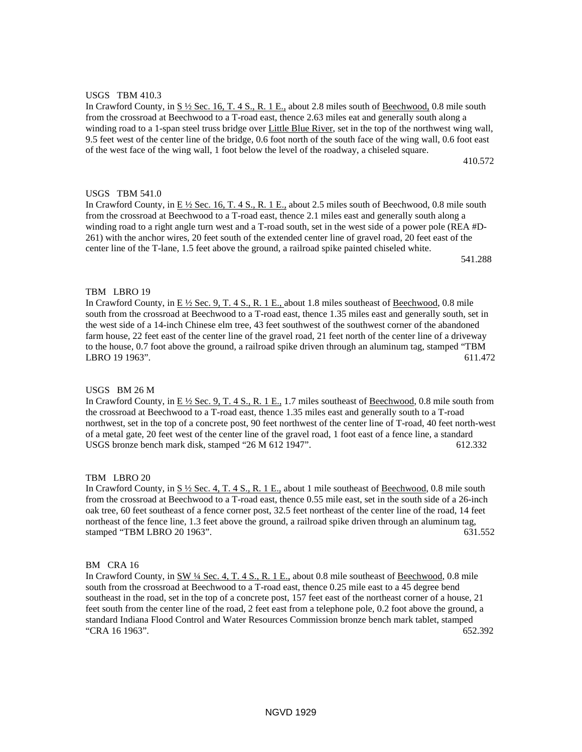# USGS TBM 410.3

In Crawford County, in  $S\frac{1}{2}$  Sec. 16, T. 4 S., R. 1 E., about 2.8 miles south of Beechwood, 0.8 mile south from the crossroad at Beechwood to a T-road east, thence 2.63 miles eat and generally south along a winding road to a 1-span steel truss bridge over Little Blue River, set in the top of the northwest wing wall, 9.5 feet west of the center line of the bridge, 0.6 foot north of the south face of the wing wall, 0.6 foot east of the west face of the wing wall, 1 foot below the level of the roadway, a chiseled square.

410.572

# USGS TBM 541.0

In Crawford County, in E ½ Sec. 16, T. 4 S., R. 1 E., about 2.5 miles south of Beechwood, 0.8 mile south from the crossroad at Beechwood to a T-road east, thence 2.1 miles east and generally south along a winding road to a right angle turn west and a T-road south, set in the west side of a power pole (REA #D-261) with the anchor wires, 20 feet south of the extended center line of gravel road, 20 feet east of the center line of the T-lane, 1.5 feet above the ground, a railroad spike painted chiseled white.

541.288

### TBM LBRO 19

In Crawford County, in  $E\frac{1}{2}$  Sec. 9, T. 4 S., R. 1 E., about 1.8 miles southeast of Beechwood, 0.8 mile south from the crossroad at Beechwood to a T-road east, thence 1.35 miles east and generally south, set in the west side of a 14-inch Chinese elm tree, 43 feet southwest of the southwest corner of the abandoned farm house, 22 feet east of the center line of the gravel road, 21 feet north of the center line of a driveway to the house, 0.7 foot above the ground, a railroad spike driven through an aluminum tag, stamped "TBM LBRO 19 1963". 611.472

# USGS BM 26 M

In Crawford County, in E 1/2 Sec. 9, T. 4 S., R. 1 E., 1.7 miles southeast of Beechwood, 0.8 mile south from the crossroad at Beechwood to a T-road east, thence 1.35 miles east and generally south to a T-road northwest, set in the top of a concrete post, 90 feet northwest of the center line of T-road, 40 feet north-west of a metal gate, 20 feet west of the center line of the gravel road, 1 foot east of a fence line, a standard USGS bronze bench mark disk, stamped "26 M  $612\,1947$ ". 612.332

### TBM LBRO 20

In Crawford County, in S ½ Sec. 4, T. 4 S., R. 1 E., about 1 mile southeast of Beechwood, 0.8 mile south from the crossroad at Beechwood to a T-road east, thence 0.55 mile east, set in the south side of a 26-inch oak tree, 60 feet southeast of a fence corner post, 32.5 feet northeast of the center line of the road, 14 feet northeast of the fence line, 1.3 feet above the ground, a railroad spike driven through an aluminum tag, stamped "TBM LBRO 20 1963". 631.552

## BM CRA 16

In Crawford County, in SW 1/4 Sec. 4, T. 4 S., R. 1 E., about 0.8 mile southeast of Beechwood, 0.8 mile south from the crossroad at Beechwood to a T-road east, thence 0.25 mile east to a 45 degree bend southeast in the road, set in the top of a concrete post, 157 feet east of the northeast corner of a house, 21 feet south from the center line of the road, 2 feet east from a telephone pole, 0.2 foot above the ground, a standard Indiana Flood Control and Water Resources Commission bronze bench mark tablet, stamped "CRA 16 1963". 652.392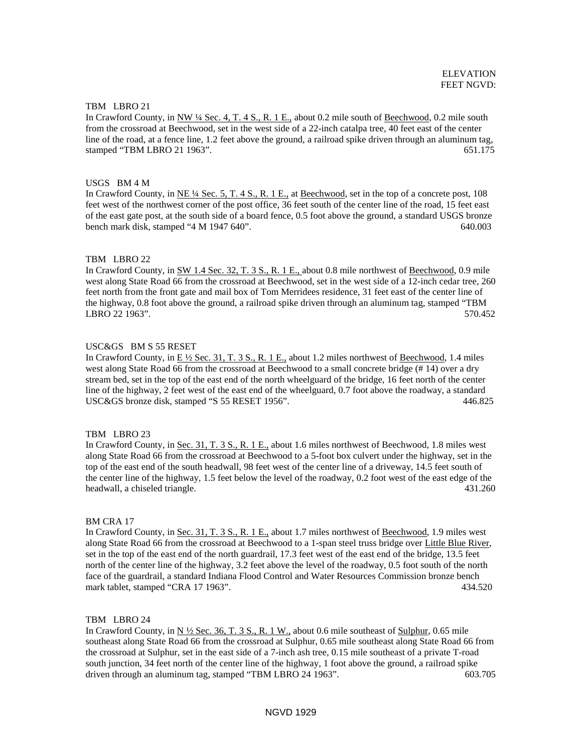### TBM LBRO 21

In Crawford County, in NW ¼ Sec. 4, T. 4 S., R. 1 E., about 0.2 mile south of Beechwood, 0.2 mile south from the crossroad at Beechwood, set in the west side of a 22-inch catalpa tree, 40 feet east of the center line of the road, at a fence line, 1.2 feet above the ground, a railroad spike driven through an aluminum tag, stamped "TBM LBRO 21 1963". 651.175

#### USGS BM 4 M

In Crawford County, in NE ¼ Sec. 5, T. 4 S., R. 1 E., at Beechwood, set in the top of a concrete post, 108 feet west of the northwest corner of the post office, 36 feet south of the center line of the road, 15 feet east of the east gate post, at the south side of a board fence, 0.5 foot above the ground, a standard USGS bronze bench mark disk, stamped "4 M 1947 640". 640.003

#### TBM LBRO 22

In Crawford County, in SW 1.4 Sec. 32, T. 3 S., R. 1 E., about 0.8 mile northwest of Beechwood, 0.9 mile west along State Road 66 from the crossroad at Beechwood, set in the west side of a 12-inch cedar tree, 260 feet north from the front gate and mail box of Tom Merridees residence, 31 feet east of the center line of the highway, 0.8 foot above the ground, a railroad spike driven through an aluminum tag, stamped "TBM LBRO 22 1963". 570.452

#### USC&GS BM S 55 RESET

In Crawford County, in E ½ Sec. 31, T. 3 S., R. 1 E., about 1.2 miles northwest of Beechwood, 1.4 miles west along State Road 66 from the crossroad at Beechwood to a small concrete bridge (# 14) over a dry stream bed, set in the top of the east end of the north wheelguard of the bridge, 16 feet north of the center line of the highway, 2 feet west of the east end of the wheelguard, 0.7 foot above the roadway, a standard USC&GS bronze disk, stamped "S 55 RESET 1956". 446.825

#### TBM LBRO 23

In Crawford County, in Sec. 31, T. 3 S., R. 1 E., about 1.6 miles northwest of Beechwood, 1.8 miles west along State Road 66 from the crossroad at Beechwood to a 5-foot box culvert under the highway, set in the top of the east end of the south headwall, 98 feet west of the center line of a driveway, 14.5 feet south of the center line of the highway, 1.5 feet below the level of the roadway, 0.2 foot west of the east edge of the headwall, a chiseled triangle. 431.260

### BM CRA 17

In Crawford County, in Sec. 31, T. 3 S., R. 1 E., about 1.7 miles northwest of Beechwood, 1.9 miles west along State Road 66 from the crossroad at Beechwood to a 1-span steel truss bridge over Little Blue River, set in the top of the east end of the north guardrail, 17.3 feet west of the east end of the bridge, 13.5 feet north of the center line of the highway, 3.2 feet above the level of the roadway, 0.5 foot south of the north face of the guardrail, a standard Indiana Flood Control and Water Resources Commission bronze bench mark tablet, stamped "CRA 17 1963". 434.520

#### TBM LBRO 24

In Crawford County, in  $N \frac{1}{2}$  Sec. 36, T. 3 S., R. 1 W., about 0.6 mile southeast of Sulphur, 0.65 mile southeast along State Road 66 from the crossroad at Sulphur, 0.65 mile southeast along State Road 66 from the crossroad at Sulphur, set in the east side of a 7-inch ash tree, 0.15 mile southeast of a private T-road south junction, 34 feet north of the center line of the highway, 1 foot above the ground, a railroad spike driven through an aluminum tag, stamped "TBM LBRO 24 1963". 603.705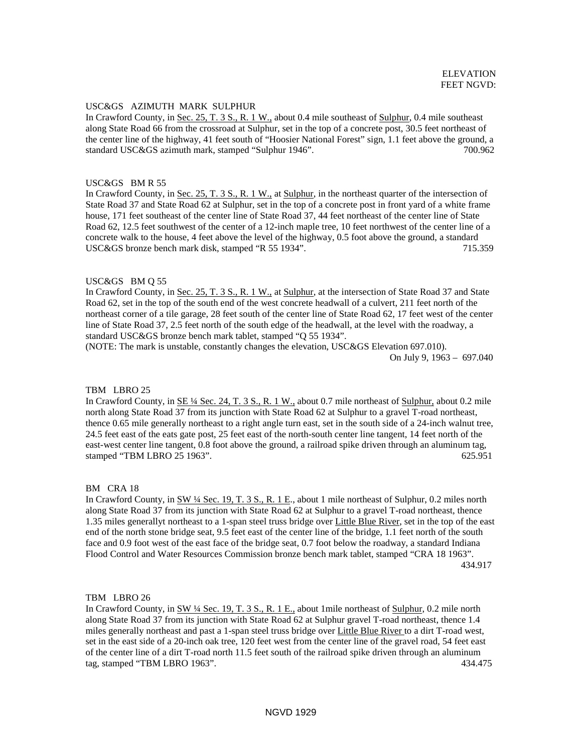# USC&GS AZIMUTH MARK SULPHUR

In Crawford County, in Sec. 25, T. 3 S., R. 1 W., about 0.4 mile southeast of Sulphur, 0.4 mile southeast along State Road 66 from the crossroad at Sulphur, set in the top of a concrete post, 30.5 feet northeast of the center line of the highway, 41 feet south of "Hoosier National Forest" sign, 1.1 feet above the ground, a standard USC&GS azimuth mark, stamped "Sulphur 1946". 700.962

#### USC&GS BM R 55

In Crawford County, in <u>Sec. 25, T. 3 S., R. 1 W.</u>, at Sulphur, in the northeast quarter of the intersection of State Road 37 and State Road 62 at Sulphur, set in the top of a concrete post in front yard of a white frame house, 171 feet southeast of the center line of State Road 37, 44 feet northeast of the center line of State Road 62, 12.5 feet southwest of the center of a 12-inch maple tree, 10 feet northwest of the center line of a concrete walk to the house, 4 feet above the level of the highway, 0.5 foot above the ground, a standard USC&GS bronze bench mark disk, stamped "R 55 1934". 715.359

## USC&GS BM Q 55

In Crawford County, in Sec. 25, T. 3 S., R. 1 W., at Sulphur, at the intersection of State Road 37 and State Road 62, set in the top of the south end of the west concrete headwall of a culvert, 211 feet north of the northeast corner of a tile garage, 28 feet south of the center line of State Road 62, 17 feet west of the center line of State Road 37, 2.5 feet north of the south edge of the headwall, at the level with the roadway, a standard USC&GS bronze bench mark tablet, stamped "Q 55 1934".

(NOTE: The mark is unstable, constantly changes the elevation, USC&GS Elevation 697.010). On July 9, 1963 – 697.040

#### TBM LBRO 25

In Crawford County, in SE 1/4 Sec. 24, T. 3 S., R. 1 W., about 0.7 mile northeast of Sulphur, about 0.2 mile north along State Road 37 from its junction with State Road 62 at Sulphur to a gravel T-road northeast, thence 0.65 mile generally northeast to a right angle turn east, set in the south side of a 24-inch walnut tree, 24.5 feet east of the eats gate post, 25 feet east of the north-south center line tangent, 14 feet north of the east-west center line tangent, 0.8 foot above the ground, a railroad spike driven through an aluminum tag, stamped "TBM LBRO 25 1963". 625.951

#### BM CRA 18

In Crawford County, in SW ¼ Sec. 19, T. 3 S., R. 1 E., about 1 mile northeast of Sulphur, 0.2 miles north along State Road 37 from its junction with State Road 62 at Sulphur to a gravel T-road northeast, thence 1.35 miles generallyt northeast to a 1-span steel truss bridge over Little Blue River, set in the top of the east end of the north stone bridge seat, 9.5 feet east of the center line of the bridge, 1.1 feet north of the south face and 0.9 foot west of the east face of the bridge seat, 0.7 foot below the roadway, a standard Indiana Flood Control and Water Resources Commission bronze bench mark tablet, stamped "CRA 18 1963". 434.917

#### TBM LBRO 26

In Crawford County, in SW ¼ Sec. 19, T. 3 S., R. 1 E., about 1mile northeast of Sulphur, 0.2 mile north along State Road 37 from its junction with State Road 62 at Sulphur gravel T-road northeast, thence 1.4 miles generally northeast and past a 1-span steel truss bridge over Little Blue River to a dirt T-road west, set in the east side of a 20-inch oak tree, 120 feet west from the center line of the gravel road, 54 feet east of the center line of a dirt T-road north 11.5 feet south of the railroad spike driven through an aluminum tag, stamped "TBM LBRO 1963". 434.475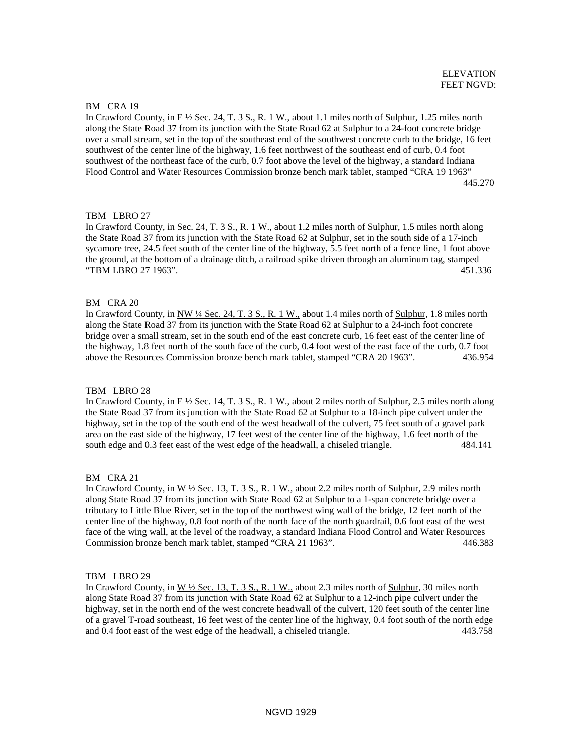## BM CRA 19

In Crawford County, in E ½ Sec. 24, T. 3 S., R. 1 W., about 1.1 miles north of Sulphur, 1.25 miles north along the State Road 37 from its junction with the State Road 62 at Sulphur to a 24-foot concrete bridge over a small stream, set in the top of the southeast end of the southwest concrete curb to the bridge, 16 feet southwest of the center line of the highway, 1.6 feet northwest of the southeast end of curb, 0.4 foot southwest of the northeast face of the curb, 0.7 foot above the level of the highway, a standard Indiana Flood Control and Water Resources Commission bronze bench mark tablet, stamped "CRA 19 1963" 445.270

# TBM LBRO 27

In Crawford County, in <u>Sec. 24, T. 3 S., R. 1 W.,</u> about 1.2 miles north of **Sulphur**, 1.5 miles north along the State Road 37 from its junction with the State Road 62 at Sulphur, set in the south side of a 17-inch sycamore tree, 24.5 feet south of the center line of the highway, 5.5 feet north of a fence line, 1 foot above the ground, at the bottom of a drainage ditch, a railroad spike driven through an aluminum tag, stamped "TBM LBRO 27 1963". 451.336

# BM CRA 20

In Crawford County, in NW ¼ Sec. 24, T. 3 S., R. 1 W., about 1.4 miles north of Sulphur, 1.8 miles north along the State Road 37 from its junction with the State Road 62 at Sulphur to a 24-inch foot concrete bridge over a small stream, set in the south end of the east concrete curb, 16 feet east of the center line of the highway, 1.8 feet north of the south face of the curb, 0.4 foot west of the east face of the curb, 0.7 foot above the Resources Commission bronze bench mark tablet, stamped "CRA 20 1963". 436.954

### TBM LBRO 28

In Crawford County, in E 1/2 Sec. 14, T. 3 S., R. 1 W., about 2 miles north of Sulphur, 2.5 miles north along the State Road 37 from its junction with the State Road 62 at Sulphur to a 18-inch pipe culvert under the highway, set in the top of the south end of the west headwall of the culvert, 75 feet south of a gravel park area on the east side of the highway, 17 feet west of the center line of the highway, 1.6 feet north of the south edge and 0.3 feet east of the west edge of the headwall, a chiseled triangle. 484.141

### BM CRA 21

In Crawford County, in W ½ Sec. 13, T. 3 S., R. 1 W., about 2.2 miles north of Sulphur, 2.9 miles north along State Road 37 from its junction with State Road 62 at Sulphur to a 1-span concrete bridge over a tributary to Little Blue River, set in the top of the northwest wing wall of the bridge, 12 feet north of the center line of the highway, 0.8 foot north of the north face of the north guardrail, 0.6 foot east of the west face of the wing wall, at the level of the roadway, a standard Indiana Flood Control and Water Resources Commission bronze bench mark tablet, stamped "CRA 21 1963". 446.383

### TBM LBRO 29

In Crawford County, in  $W \frac{1}{2}$  Sec. 13, T. 3 S., R. 1 W., about 2.3 miles north of Sulphur, 30 miles north along State Road 37 from its junction with State Road 62 at Sulphur to a 12-inch pipe culvert under the highway, set in the north end of the west concrete headwall of the culvert, 120 feet south of the center line of a gravel T-road southeast, 16 feet west of the center line of the highway, 0.4 foot south of the north edge and 0.4 foot east of the west edge of the headwall, a chiseled triangle. 443.758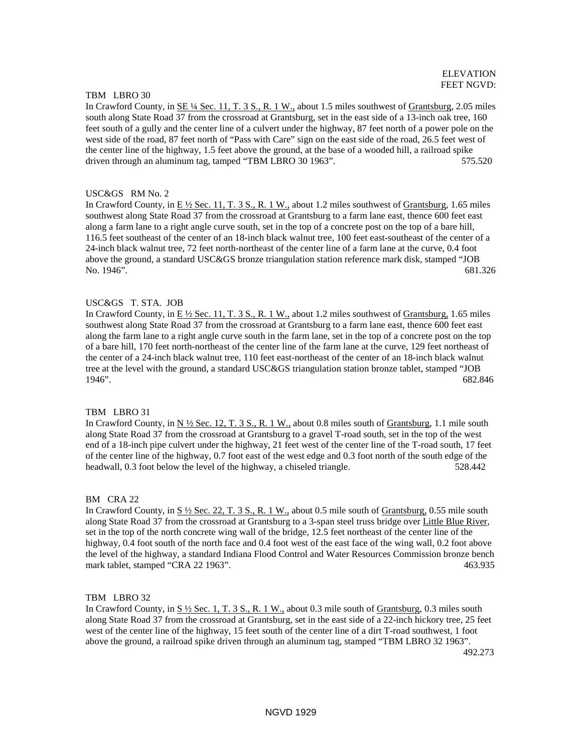#### TBM LBRO 30

In Crawford County, in <u>SE ¼ Sec. 11, T. 3 S., R. 1 W.</u>, about 1.5 miles southwest of Grantsburg, 2.05 miles south along State Road 37 from the crossroad at Grantsburg, set in the east side of a 13-inch oak tree, 160 feet south of a gully and the center line of a culvert under the highway, 87 feet north of a power pole on the west side of the road, 87 feet north of "Pass with Care" sign on the east side of the road, 26.5 feet west of the center line of the highway, 1.5 feet above the ground, at the base of a wooded hill, a railroad spike driven through an aluminum tag, tamped "TBM LBRO 30 1963". 575.520

#### USC&GS RM No. 2

In Crawford County, in E ½ Sec. 11, T. 3 S., R. 1 W., about 1.2 miles southwest of Grantsburg, 1.65 miles southwest along State Road 37 from the crossroad at Grantsburg to a farm lane east, thence 600 feet east along a farm lane to a right angle curve south, set in the top of a concrete post on the top of a bare hill, 116.5 feet southeast of the center of an 18-inch black walnut tree, 100 feet east-southeast of the center of a 24-inch black walnut tree, 72 feet north-northeast of the center line of a farm lane at the curve, 0.4 foot above the ground, a standard USC&GS bronze triangulation station reference mark disk, stamped "JOB No. 1946". 681.326

#### USC&GS T. STA. JOB

In Crawford County, in  $E \frac{1}{2}$  Sec. 11, T. 3 S., R. 1 W., about 1.2 miles southwest of Grantsburg, 1.65 miles southwest along State Road 37 from the crossroad at Grantsburg to a farm lane east, thence 600 feet east along the farm lane to a right angle curve south in the farm lane, set in the top of a concrete post on the top of a bare hill, 170 feet north-northeast of the center line of the farm lane at the curve, 129 feet northeast of the center of a 24-inch black walnut tree, 110 feet east-northeast of the center of an 18-inch black walnut tree at the level with the ground, a standard USC&GS triangulation station bronze tablet, stamped "JOB 1946". 682.846

# TBM LBRO 31

In Crawford County, in N ½ Sec. 12, T. 3 S., R. 1 W., about 0.8 miles south of Grantsburg, 1.1 mile south along State Road 37 from the crossroad at Grantsburg to a gravel T-road south, set in the top of the west end of a 18-inch pipe culvert under the highway, 21 feet west of the center line of the T-road south, 17 feet of the center line of the highway, 0.7 foot east of the west edge and 0.3 foot north of the south edge of the headwall, 0.3 foot below the level of the highway, a chiseled triangle. 528.442

#### BM CRA 22

In Crawford County, in  $S\frac{1}{2}$  Sec. 22, T. 3 S., R. 1 W., about 0.5 mile south of Grantsburg, 0.55 mile south along State Road 37 from the crossroad at Grantsburg to a 3-span steel truss bridge over Little Blue River, set in the top of the north concrete wing wall of the bridge, 12.5 feet northeast of the center line of the highway, 0.4 foot south of the north face and 0.4 foot west of the east face of the wing wall, 0.2 foot above the level of the highway, a standard Indiana Flood Control and Water Resources Commission bronze bench mark tablet, stamped "CRA 22 1963". 463.935

### TBM LBRO 32

In Crawford County, in S ½ Sec. 1, T. 3 S., R. 1 W., about 0.3 mile south of Grantsburg, 0.3 miles south along State Road 37 from the crossroad at Grantsburg, set in the east side of a 22-inch hickory tree, 25 feet west of the center line of the highway, 15 feet south of the center line of a dirt T-road southwest, 1 foot above the ground, a railroad spike driven through an aluminum tag, stamped "TBM LBRO 32 1963". 492.273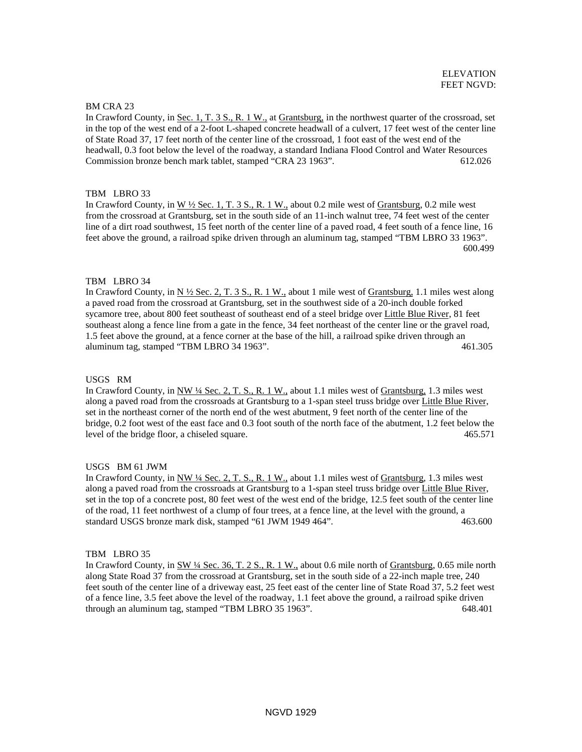#### BM CRA 23

In Crawford County, in Sec. 1, T. 3 S., R. 1 W., at Grantsburg, in the northwest quarter of the crossroad, set in the top of the west end of a 2-foot L-shaped concrete headwall of a culvert, 17 feet west of the center line of State Road 37, 17 feet north of the center line of the crossroad, 1 foot east of the west end of the headwall, 0.3 foot below the level of the roadway, a standard Indiana Flood Control and Water Resources Commission bronze bench mark tablet, stamped "CRA 23 1963". 612.026

## TBM LBRO 33

In Crawford County, in W ½ Sec. 1, T. 3 S., R. 1 W., about 0.2 mile west of Grantsburg, 0.2 mile west from the crossroad at Grantsburg, set in the south side of an 11-inch walnut tree, 74 feet west of the center line of a dirt road southwest, 15 feet north of the center line of a paved road, 4 feet south of a fence line, 16 feet above the ground, a railroad spike driven through an aluminum tag, stamped "TBM LBRO 33 1963". 600.499

### TBM LBRO 34

In Crawford County, in  $N \frac{1}{2}$  Sec. 2, T. 3 S., R. 1 W., about 1 mile west of Grantsburg, 1.1 miles west along a paved road from the crossroad at Grantsburg, set in the southwest side of a 20-inch double forked sycamore tree, about 800 feet southeast of southeast end of a steel bridge over Little Blue River, 81 feet southeast along a fence line from a gate in the fence, 34 feet northeast of the center line or the gravel road, 1.5 feet above the ground, at a fence corner at the base of the hill, a railroad spike driven through an aluminum tag, stamped "TBM LBRO 34 1963". 461.305

#### USGS RM

In Crawford County, in NW ¼ Sec. 2, T. S., R. 1 W., about 1.1 miles west of Grantsburg, 1.3 miles west along a paved road from the crossroads at Grantsburg to a 1-span steel truss bridge over Little Blue River, set in the northeast corner of the north end of the west abutment, 9 feet north of the center line of the bridge, 0.2 foot west of the east face and 0.3 foot south of the north face of the abutment, 1.2 feet below the level of the bridge floor, a chiseled square. 465.571

### USGS BM 61 JWM

In Crawford County, in NW ¼ Sec. 2, T. S., R. 1 W., about 1.1 miles west of Grantsburg, 1.3 miles west along a paved road from the crossroads at Grantsburg to a 1-span steel truss bridge over Little Blue River, set in the top of a concrete post, 80 feet west of the west end of the bridge, 12.5 feet south of the center line of the road, 11 feet northwest of a clump of four trees, at a fence line, at the level with the ground, a standard USGS bronze mark disk, stamped "61 JWM 1949 464". 463.600

#### TBM LBRO 35

In Crawford County, in SW 1/4 Sec. 36, T. 2 S., R. 1 W., about 0.6 mile north of Grantsburg, 0.65 mile north along State Road 37 from the crossroad at Grantsburg, set in the south side of a 22-inch maple tree, 240 feet south of the center line of a driveway east, 25 feet east of the center line of State Road 37, 5.2 feet west of a fence line, 3.5 feet above the level of the roadway, 1.1 feet above the ground, a railroad spike driven through an aluminum tag, stamped "TBM LBRO 35 1963". 648.401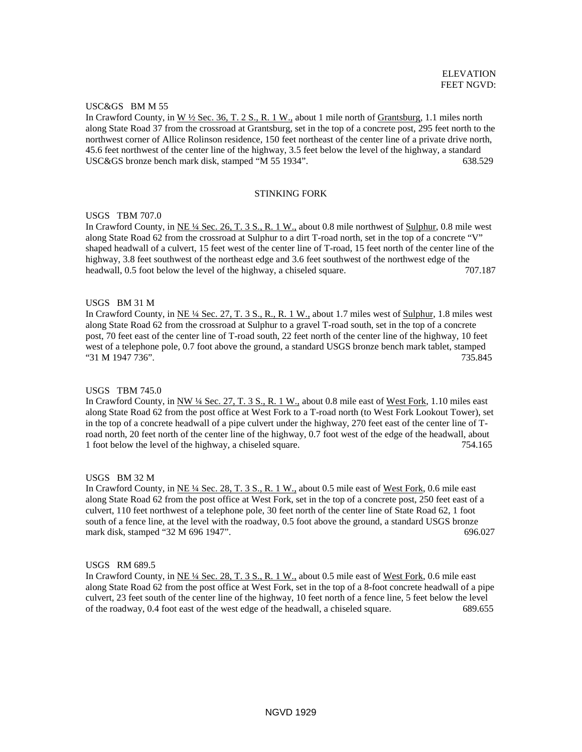# USC&GS BM M 55

In Crawford County, in W ½ Sec. 36, T. 2 S., R. 1 W., about 1 mile north of Grantsburg, 1.1 miles north along State Road 37 from the crossroad at Grantsburg, set in the top of a concrete post, 295 feet north to the northwest corner of Allice Rolinson residence, 150 feet northeast of the center line of a private drive north, 45.6 feet northwest of the center line of the highway, 3.5 feet below the level of the highway, a standard USC&GS bronze bench mark disk, stamped "M 55 1934". 638.529

#### STINKING FORK

#### USGS TBM 707.0

In Crawford County, in NE ¼ Sec. 26, T. 3 S., R. 1 W., about 0.8 mile northwest of Sulphur, 0.8 mile west along State Road 62 from the crossroad at Sulphur to a dirt T-road north, set in the top of a concrete "V" shaped headwall of a culvert, 15 feet west of the center line of T-road, 15 feet north of the center line of the highway, 3.8 feet southwest of the northeast edge and 3.6 feet southwest of the northwest edge of the headwall, 0.5 foot below the level of the highway, a chiseled square. 707.187

### USGS BM 31 M

In Crawford County, in NE ¼ Sec. 27, T. 3 S., R., R. 1 W., about 1.7 miles west of Sulphur, 1.8 miles west along State Road 62 from the crossroad at Sulphur to a gravel T-road south, set in the top of a concrete post, 70 feet east of the center line of T-road south, 22 feet north of the center line of the highway, 10 feet west of a telephone pole, 0.7 foot above the ground, a standard USGS bronze bench mark tablet, stamped "31 M 1947 736". 735.845

#### USGS TBM 745.0

In Crawford County, in NW 1/4 Sec. 27, T. 3 S., R. 1 W., about 0.8 mile east of West Fork, 1.10 miles east along State Road 62 from the post office at West Fork to a T-road north (to West Fork Lookout Tower), set in the top of a concrete headwall of a pipe culvert under the highway, 270 feet east of the center line of Troad north, 20 feet north of the center line of the highway, 0.7 foot west of the edge of the headwall, about 1 foot below the level of the highway, a chiseled square. 754.165

### USGS BM 32 M

In Crawford County, in NE ¼ Sec. 28, T. 3 S., R. 1 W., about 0.5 mile east of West Fork, 0.6 mile east along State Road 62 from the post office at West Fork, set in the top of a concrete post, 250 feet east of a culvert, 110 feet northwest of a telephone pole, 30 feet north of the center line of State Road 62, 1 foot south of a fence line, at the level with the roadway, 0.5 foot above the ground, a standard USGS bronze mark disk, stamped "32 M 696 1947". 696.027

#### USGS RM 689.5

In Crawford County, in NE ¼ Sec. 28, T. 3 S., R. 1 W., about 0.5 mile east of West Fork, 0.6 mile east along State Road 62 from the post office at West Fork, set in the top of a 8-foot concrete headwall of a pipe culvert, 23 feet south of the center line of the highway, 10 feet north of a fence line, 5 feet below the level of the roadway, 0.4 foot east of the west edge of the headwall, a chiseled square. 689.655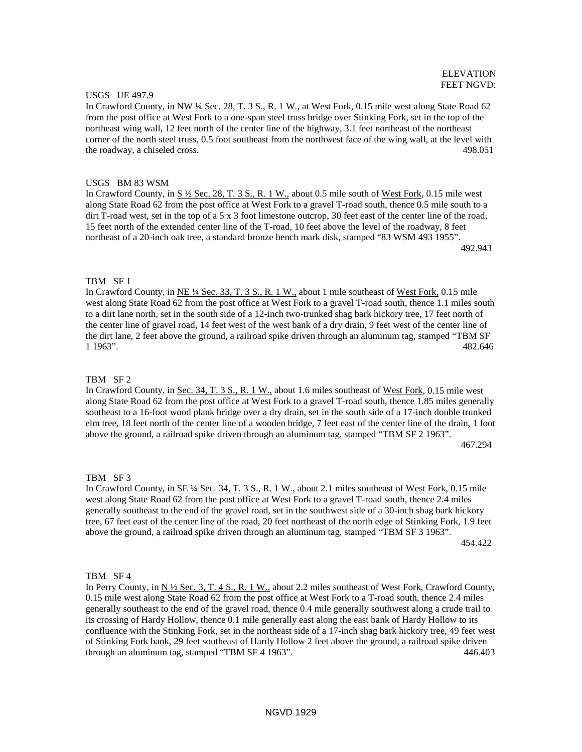## USGS UE 497.9

In Crawford County, in NW 14 Sec. 28, T. 3 S., R. 1 W., at West Fork, 0.15 mile west along State Road 62 from the post office at West Fork to a one-span steel truss bridge over Stinking Fork, set in the top of the northeast wing wall, 12 feet north of the center line of the highway, 3.1 feet northeast of the northeast corner of the north steel truss, 0.5 foot southeast from the northwest face of the wing wall, at the level with the roadway, a chiseled cross. 498.051

#### USGS BM 83 WSM

In Crawford County, in S ½ Sec. 28, T. 3 S., R. 1 W., about 0.5 mile south of West Fork, 0.15 mile west along State Road 62 from the post office at West Fork to a gravel T-road south, thence 0.5 mile south to a dirt T-road west, set in the top of a 5 x 3 foot limestone outcrop, 30 feet east of the center line of the road, 15 feet north of the extended center line of the T-road, 10 feet above the level of the roadway, 8 feet northeast of a 20-inch oak tree, a standard bronze bench mark disk, stamped "83 WSM 493 1955". 492.943

### TBM SF 1

In Crawford County, in NE 1/4 Sec. 33, T. 3 S., R. 1 W., about 1 mile southeast of West Fork, 0.15 mile west along State Road 62 from the post office at West Fork to a gravel T-road south, thence 1.1 miles south to a dirt lane north, set in the south side of a 12-inch two-trunked shag bark hickory tree, 17 feet north of the center line of gravel road, 14 feet west of the west bank of a dry drain, 9 feet west of the center line of the dirt lane, 2 feet above the ground, a railroad spike driven through an aluminum tag, stamped "TBM SF 1 1963". 482.646

#### TRM SF<sub>2</sub>

In Crawford County, in Sec. 34, T. 3 S., R. 1 W., about 1.6 miles southeast of West Fork, 0.15 mile west along State Road 62 from the post office at West Fork to a gravel T-road south, thence 1.85 miles generally southeast to a 16-foot wood plank bridge over a dry drain, set in the south side of a 17-inch double trunked elm tree, 18 feet north of the center line of a wooden bridge, 7 feet east of the center line of the drain, 1 foot above the ground, a railroad spike driven through an aluminum tag, stamped "TBM SF 2 1963". 467.294

#### TBM SF 3

In Crawford County, in SE ¼ Sec. 34, T. 3 S., R. 1 W., about 2.1 miles southeast of West Fork, 0.15 mile west along State Road 62 from the post office at West Fork to a gravel T-road south, thence 2.4 miles generally southeast to the end of the gravel road, set in the southwest side of a 30-inch shag bark hickory tree, 67 feet east of the center line of the road, 20 feet northeast of the north edge of Stinking Fork, 1.9 feet above the ground, a railroad spike driven through an aluminum tag, stamped "TBM SF 3 1963". 454.422

#### TBM SF 4

In Perry County, in  $N \frac{1}{2}$  Sec. 3, T. 4 S., R. 1 W., about 2.2 miles southeast of West Fork, Crawford County, 0.15 mile west along State Road 62 from the post office at West Fork to a T-road south, thence 2.4 miles generally southeast to the end of the gravel road, thence 0.4 mile generally southwest along a crude trail to its crossing of Hardy Hollow, thence 0.1 mile generally east along the east bank of Hardy Hollow to its confluence with the Stinking Fork, set in the northeast side of a 17-inch shag bark hickory tree, 49 feet west of Stinking Fork bank, 29 feet southeast of Hardy Hollow 2 feet above the ground, a railroad spike driven through an aluminum tag, stamped "TBM SF 4 1963". 446.403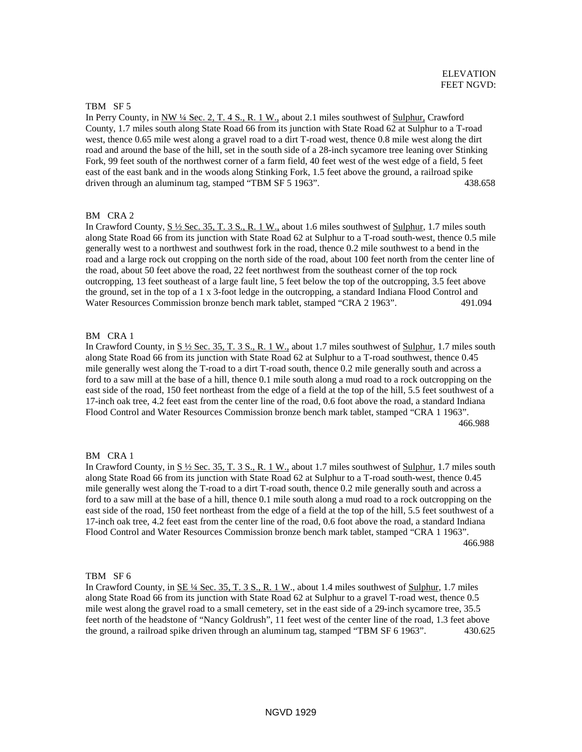### TBM SF 5

In Perry County, in NW ¼ Sec. 2, T. 4 S., R. 1 W., about 2.1 miles southwest of Sulphur, Crawford County, 1.7 miles south along State Road 66 from its junction with State Road 62 at Sulphur to a T-road west, thence 0.65 mile west along a gravel road to a dirt T-road west, thence 0.8 mile west along the dirt road and around the base of the hill, set in the south side of a 28-inch sycamore tree leaning over Stinking Fork, 99 feet south of the northwest corner of a farm field, 40 feet west of the west edge of a field, 5 feet east of the east bank and in the woods along Stinking Fork, 1.5 feet above the ground, a railroad spike driven through an aluminum tag, stamped "TBM SF 5 1963". 438.658

# BM CRA 2

In Crawford County,  $S \frac{1}{2}$  Sec. 35, T. 3 S., R. 1 W., about 1.6 miles southwest of Sulphur, 1.7 miles south along State Road 66 from its junction with State Road 62 at Sulphur to a T-road south-west, thence 0.5 mile generally west to a northwest and southwest fork in the road, thence 0.2 mile southwest to a bend in the road and a large rock out cropping on the north side of the road, about 100 feet north from the center line of the road, about 50 feet above the road, 22 feet northwest from the southeast corner of the top rock outcropping, 13 feet southeast of a large fault line, 5 feet below the top of the outcropping, 3.5 feet above the ground, set in the top of a 1 x 3-foot ledge in the outcropping, a standard Indiana Flood Control and Water Resources Commission bronze bench mark tablet, stamped "CRA 2 1963". 491.094

#### BM CRA 1

In Crawford County, in S  $\frac{1}{2}$  Sec. 35, T. 3 S., R. 1 W., about 1.7 miles southwest of Sulphur, 1.7 miles south along State Road 66 from its junction with State Road 62 at Sulphur to a T-road southwest, thence 0.45 mile generally west along the T-road to a dirt T-road south, thence 0.2 mile generally south and across a ford to a saw mill at the base of a hill, thence 0.1 mile south along a mud road to a rock outcropping on the east side of the road, 150 feet northeast from the edge of a field at the top of the hill, 5.5 feet southwest of a 17-inch oak tree, 4.2 feet east from the center line of the road, 0.6 foot above the road, a standard Indiana Flood Control and Water Resources Commission bronze bench mark tablet, stamped "CRA 1 1963". 466.988

#### BM CRA 1

In Crawford County, in  $S\frac{1}{2}$  Sec. 35, T. 3 S., R. 1 W., about 1.7 miles southwest of Sulphur, 1.7 miles south along State Road 66 from its junction with State Road 62 at Sulphur to a T-road south-west, thence 0.45 mile generally west along the T-road to a dirt T-road south, thence 0.2 mile generally south and across a ford to a saw mill at the base of a hill, thence 0.1 mile south along a mud road to a rock outcropping on the east side of the road, 150 feet northeast from the edge of a field at the top of the hill, 5.5 feet southwest of a 17-inch oak tree, 4.2 feet east from the center line of the road, 0.6 foot above the road, a standard Indiana Flood Control and Water Resources Commission bronze bench mark tablet, stamped "CRA 1 1963". 466.988

TBM SF 6

In Crawford County, in <u>SE ¼ Sec. 35, T. 3 S., R. 1 W</u>., about 1.4 miles southwest of Sulphur, 1.7 miles along State Road 66 from its junction with State Road 62 at Sulphur to a gravel T-road west, thence 0.5 mile west along the gravel road to a small cemetery, set in the east side of a 29-inch sycamore tree, 35.5 feet north of the headstone of "Nancy Goldrush", 11 feet west of the center line of the road, 1.3 feet above the ground, a railroad spike driven through an aluminum tag, stamped "TBM SF 6 1963". 430.625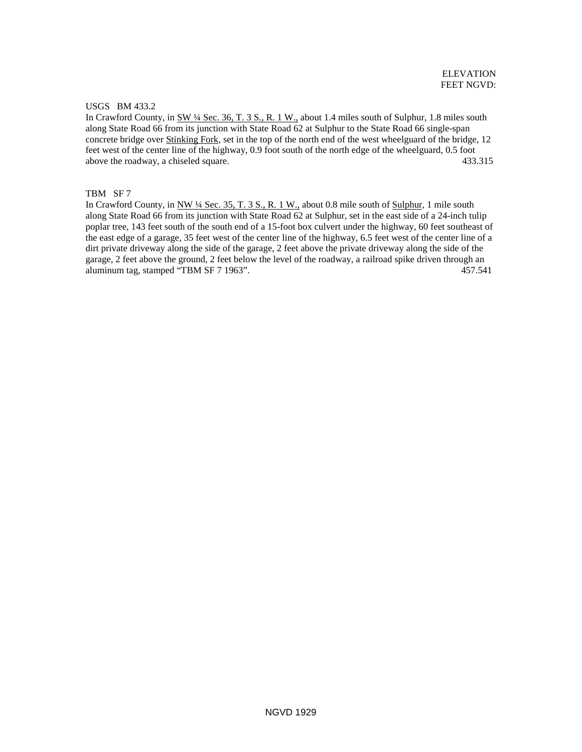## USGS BM 433.2

In Crawford County, in SW ¼ Sec. 36, T. 3 S., R. 1 W., about 1.4 miles south of Sulphur, 1.8 miles south along State Road 66 from its junction with State Road 62 at Sulphur to the State Road 66 single-span concrete bridge over Stinking Fork, set in the top of the north end of the west wheelguard of the bridge, 12 feet west of the center line of the highway, 0.9 foot south of the north edge of the wheelguard, 0.5 foot above the roadway, a chiseled square. 433.315

# TBM SF 7

In Crawford County, in NW ¼ Sec. 35, T. 3 S., R. 1 W., about 0.8 mile south of Sulphur, 1 mile south along State Road 66 from its junction with State Road 62 at Sulphur, set in the east side of a 24-inch tulip poplar tree, 143 feet south of the south end of a 15-foot box culvert under the highway, 60 feet southeast of the east edge of a garage, 35 feet west of the center line of the highway, 6.5 feet west of the center line of a dirt private driveway along the side of the garage, 2 feet above the private driveway along the side of the garage, 2 feet above the ground, 2 feet below the level of the roadway, a railroad spike driven through an aluminum tag, stamped "TBM SF 7 1963". 457.541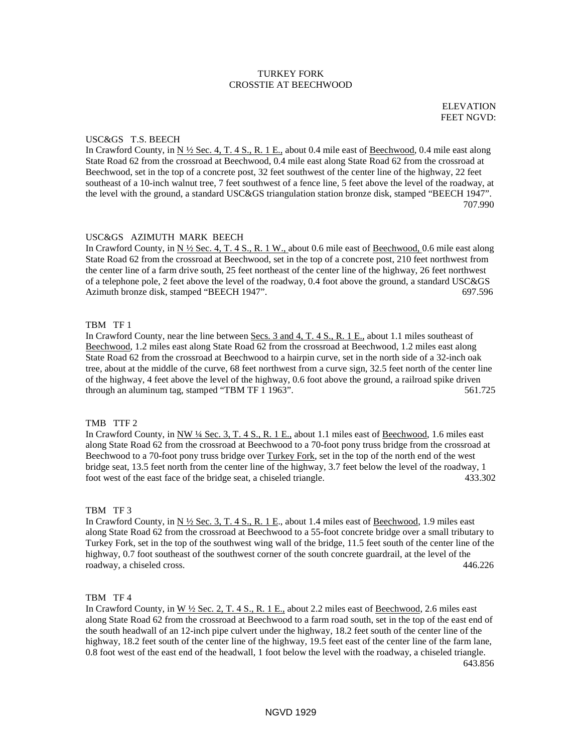# TURKEY FORK CROSSTIE AT BEECHWOOD

ELEVATION FEET NGVD:

### USC&GS T.S. BEECH

In Crawford County, in N  $\frac{1}{2}$  Sec. 4, T. 4 S., R. 1 E., about 0.4 mile east of Beechwood, 0.4 mile east along State Road 62 from the crossroad at Beechwood, 0.4 mile east along State Road 62 from the crossroad at Beechwood, set in the top of a concrete post, 32 feet southwest of the center line of the highway, 22 feet southeast of a 10-inch walnut tree, 7 feet southwest of a fence line, 5 feet above the level of the roadway, at the level with the ground, a standard USC&GS triangulation station bronze disk, stamped "BEECH 1947". 707.990

#### USC&GS AZIMUTH MARK BEECH

In Crawford County, in  $N \frac{1}{2}$  Sec. 4, T. 4 S., R. 1 W., about 0.6 mile east of Beechwood, 0.6 mile east along State Road 62 from the crossroad at Beechwood, set in the top of a concrete post, 210 feet northwest from the center line of a farm drive south, 25 feet northeast of the center line of the highway, 26 feet northwest of a telephone pole, 2 feet above the level of the roadway, 0.4 foot above the ground, a standard USC&GS Azimuth bronze disk, stamped "BEECH 1947". 697.596

### TBM TF 1

In Crawford County, near the line between Secs. 3 and 4, T. 4 S., R. 1 E., about 1.1 miles southeast of Beechwood, 1.2 miles east along State Road 62 from the crossroad at Beechwood, 1.2 miles east along State Road 62 from the crossroad at Beechwood to a hairpin curve, set in the north side of a 32-inch oak tree, about at the middle of the curve, 68 feet northwest from a curve sign, 32.5 feet north of the center line of the highway, 4 feet above the level of the highway, 0.6 foot above the ground, a railroad spike driven through an aluminum tag, stamped "TBM TF 1 1963". 561.725

### TMB TTF 2

In Crawford County, in NW ¼ Sec. 3, T. 4 S., R. 1 E., about 1.1 miles east of Beechwood, 1.6 miles east along State Road 62 from the crossroad at Beechwood to a 70-foot pony truss bridge from the crossroad at Beechwood to a 70-foot pony truss bridge over Turkey Fork, set in the top of the north end of the west bridge seat, 13.5 feet north from the center line of the highway, 3.7 feet below the level of the roadway, 1 foot west of the east face of the bridge seat, a chiseled triangle. 433.302

### TBM TF 3

In Crawford County, in N  $\frac{1}{2}$  Sec. 3, T. 4 S., R. 1 E., about 1.4 miles east of Beechwood, 1.9 miles east along State Road 62 from the crossroad at Beechwood to a 55-foot concrete bridge over a small tributary to Turkey Fork, set in the top of the southwest wing wall of the bridge, 11.5 feet south of the center line of the highway, 0.7 foot southeast of the southwest corner of the south concrete guardrail, at the level of the roadway, a chiseled cross. 446.226

## TBM TF 4

In Crawford County, in  $W \frac{1}{2}$  Sec. 2, T. 4 S., R. 1 E., about 2.2 miles east of Beechwood, 2.6 miles east along State Road 62 from the crossroad at Beechwood to a farm road south, set in the top of the east end of the south headwall of an 12-inch pipe culvert under the highway, 18.2 feet south of the center line of the highway, 18.2 feet south of the center line of the highway, 19.5 feet east of the center line of the farm lane, 0.8 foot west of the east end of the headwall, 1 foot below the level with the roadway, a chiseled triangle. 643.856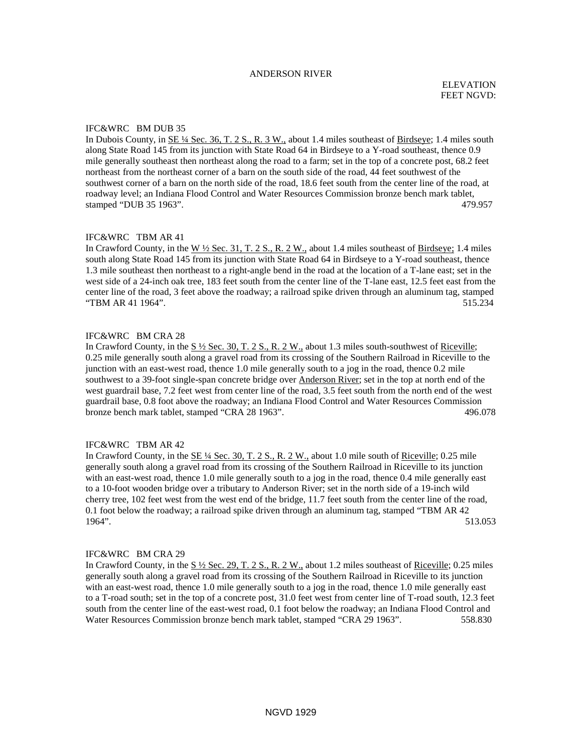### ANDERSON RIVER

#### IFC&WRC BM DUB 35

In Dubois County, in  $SE\frac{1}{4}$  Sec. 36, T. 2 S., R. 3 W., about 1.4 miles southeast of Birdseye; 1.4 miles south along State Road 145 from its junction with State Road 64 in Birdseye to a Y-road southeast, thence 0.9 mile generally southeast then northeast along the road to a farm; set in the top of a concrete post, 68.2 feet northeast from the northeast corner of a barn on the south side of the road, 44 feet southwest of the southwest corner of a barn on the north side of the road, 18.6 feet south from the center line of the road, at roadway level; an Indiana Flood Control and Water Resources Commission bronze bench mark tablet, stamped "DUB 35 1963". 479.957

### IFC&WRC TBM AR 41

In Crawford County, in the  $W \frac{1}{2}$  Sec. 31, T. 2 S., R. 2 W., about 1.4 miles southeast of Birdseye; 1.4 miles south along State Road 145 from its junction with State Road 64 in Birdseye to a Y-road southeast, thence 1.3 mile southeast then northeast to a right-angle bend in the road at the location of a T-lane east; set in the west side of a 24-inch oak tree, 183 feet south from the center line of the T-lane east, 12.5 feet east from the center line of the road, 3 feet above the roadway; a railroad spike driven through an aluminum tag, stamped "TBM AR 41 1964". 515.234

## IFC&WRC BM CRA 28

In Crawford County, in the  $S\frac{1}{2}$  Sec. 30, T. 2 S., R. 2 W., about 1.3 miles south-southwest of Riceville; 0.25 mile generally south along a gravel road from its crossing of the Southern Railroad in Riceville to the junction with an east-west road, thence 1.0 mile generally south to a jog in the road, thence 0.2 mile southwest to a 39-foot single-span concrete bridge over Anderson River; set in the top at north end of the west guardrail base, 7.2 feet west from center line of the road, 3.5 feet south from the north end of the west guardrail base, 0.8 foot above the roadway; an Indiana Flood Control and Water Resources Commission bronze bench mark tablet, stamped "CRA 28 1963". 496.078

#### IFC&WRC TBM AR 42

In Crawford County, in the SE ¼ Sec. 30, T. 2 S., R. 2 W., about 1.0 mile south of Riceville; 0.25 mile generally south along a gravel road from its crossing of the Southern Railroad in Riceville to its junction with an east-west road, thence 1.0 mile generally south to a jog in the road, thence 0.4 mile generally east to a 10-foot wooden bridge over a tributary to Anderson River; set in the north side of a 19-inch wild cherry tree, 102 feet west from the west end of the bridge, 11.7 feet south from the center line of the road, 0.1 foot below the roadway; a railroad spike driven through an aluminum tag, stamped "TBM AR 42 1964". 513.053

#### IFC&WRC BM CRA 29

In Crawford County, in the S ½ Sec. 29, T. 2 S., R. 2 W., about 1.2 miles southeast of Riceville; 0.25 miles generally south along a gravel road from its crossing of the Southern Railroad in Riceville to its junction with an east-west road, thence 1.0 mile generally south to a jog in the road, thence 1.0 mile generally east to a T-road south; set in the top of a concrete post, 31.0 feet west from center line of T-road south, 12.3 feet south from the center line of the east-west road, 0.1 foot below the roadway; an Indiana Flood Control and Water Resources Commission bronze bench mark tablet, stamped "CRA 29 1963". 558.830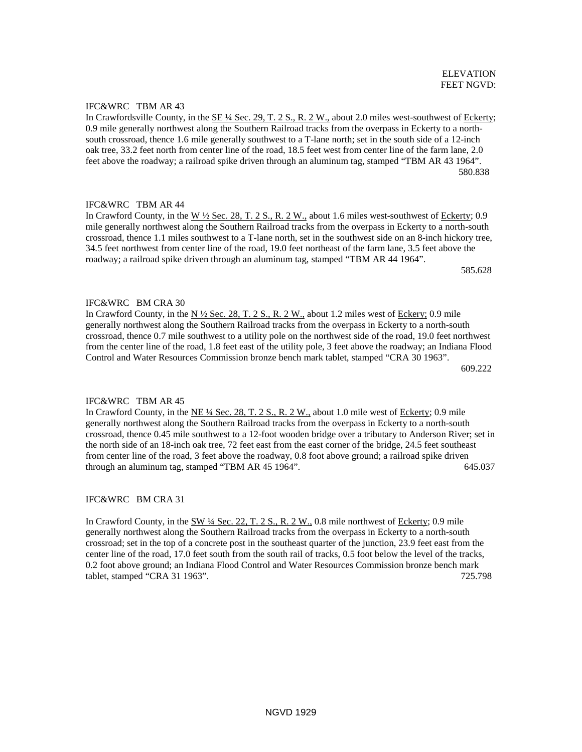IFC&WRC TBM AR 43

In Crawfordsville County, in the SE ¼ Sec. 29, T. 2 S., R. 2 W., about 2.0 miles west-southwest of Eckerty; 0.9 mile generally northwest along the Southern Railroad tracks from the overpass in Eckerty to a northsouth crossroad, thence 1.6 mile generally southwest to a T-lane north; set in the south side of a 12-inch oak tree, 33.2 feet north from center line of the road, 18.5 feet west from center line of the farm lane, 2.0 feet above the roadway; a railroad spike driven through an aluminum tag, stamped "TBM AR 43 1964". 580.838

# IFC&WRC TBM AR 44

In Crawford County, in the W ½ Sec. 28, T. 2 S., R. 2 W., about 1.6 miles west-southwest of Eckerty; 0.9 mile generally northwest along the Southern Railroad tracks from the overpass in Eckerty to a north-south crossroad, thence 1.1 miles southwest to a T-lane north, set in the southwest side on an 8-inch hickory tree, 34.5 feet northwest from center line of the road, 19.0 feet northeast of the farm lane, 3.5 feet above the roadway; a railroad spike driven through an aluminum tag, stamped "TBM AR 44 1964".

 $585.628$ 

# IFC&WRC BM CRA 30

In Crawford County, in the  $N \frac{1}{2}$  Sec. 28, T. 2 S., R. 2 W., about 1.2 miles west of Eckery; 0.9 mile generally northwest along the Southern Railroad tracks from the overpass in Eckerty to a north-south crossroad, thence 0.7 mile southwest to a utility pole on the northwest side of the road, 19.0 feet northwest from the center line of the road, 1.8 feet east of the utility pole, 3 feet above the roadway; an Indiana Flood Control and Water Resources Commission bronze bench mark tablet, stamped "CRA 30 1963". 609.222

## IFC&WRC TBM AR 45

In Crawford County, in the NE 1/4 Sec. 28, T. 2 S., R. 2 W., about 1.0 mile west of Eckerty; 0.9 mile generally northwest along the Southern Railroad tracks from the overpass in Eckerty to a north-south crossroad, thence 0.45 mile southwest to a 12-foot wooden bridge over a tributary to Anderson River; set in the north side of an 18-inch oak tree, 72 feet east from the east corner of the bridge, 24.5 feet southeast from center line of the road, 3 feet above the roadway, 0.8 foot above ground; a railroad spike driven through an aluminum tag, stamped "TBM AR 45 1964". 645.037

# IFC&WRC BM CRA 31

In Crawford County, in the SW 1/4 Sec. 22, T. 2 S., R. 2 W., 0.8 mile northwest of Eckerty; 0.9 mile generally northwest along the Southern Railroad tracks from the overpass in Eckerty to a north-south crossroad; set in the top of a concrete post in the southeast quarter of the junction, 23.9 feet east from the center line of the road, 17.0 feet south from the south rail of tracks, 0.5 foot below the level of the tracks, 0.2 foot above ground; an Indiana Flood Control and Water Resources Commission bronze bench mark tablet, stamped "CRA 31 1963". 725.798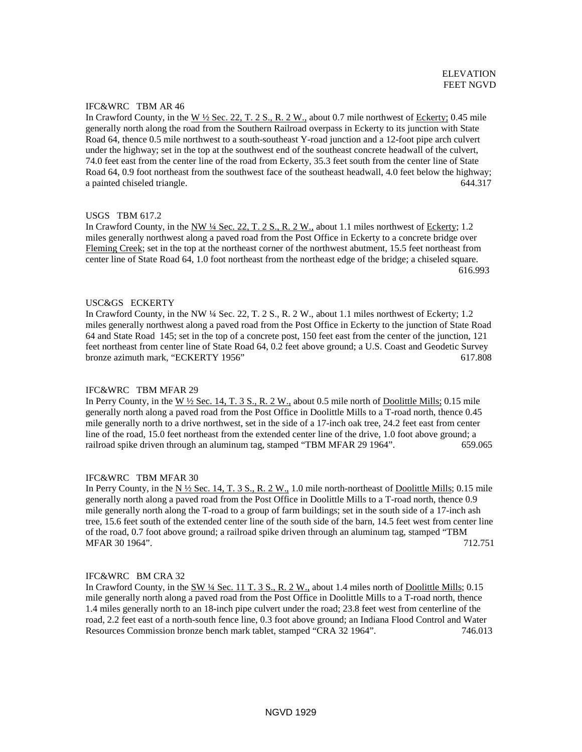# IFC&WRC TBM AR 46

In Crawford County, in the W  $\frac{1}{2}$  Sec. 22, T. 2 S., R. 2 W., about 0.7 mile northwest of Eckerty; 0.45 mile generally north along the road from the Southern Railroad overpass in Eckerty to its junction with State Road 64, thence 0.5 mile northwest to a south-southeast Y-road junction and a 12-foot pipe arch culvert under the highway; set in the top at the southwest end of the southeast concrete headwall of the culvert, 74.0 feet east from the center line of the road from Eckerty, 35.3 feet south from the center line of State Road 64, 0.9 foot northeast from the southwest face of the southeast headwall, 4.0 feet below the highway; a painted chiseled triangle. 644.317

### USGS TBM 617.2

In Crawford County, in the NW  $\frac{1}{4}$  Sec. 22, T. 2 S., R. 2 W., about 1.1 miles northwest of Eckerty; 1.2 miles generally northwest along a paved road from the Post Office in Eckerty to a concrete bridge over Fleming Creek; set in the top at the northeast corner of the northwest abutment, 15.5 feet northeast from center line of State Road 64, 1.0 foot northeast from the northeast edge of the bridge; a chiseled square. 616.993

#### USC&GS ECKERTY

In Crawford County, in the NW ¼ Sec. 22, T. 2 S., R. 2 W., about 1.1 miles northwest of Eckerty; 1.2 miles generally northwest along a paved road from the Post Office in Eckerty to the junction of State Road 64 and State Road 145; set in the top of a concrete post, 150 feet east from the center of the junction, 121 feet northeast from center line of State Road 64, 0.2 feet above ground; a U.S. Coast and Geodetic Survey bronze azimuth mark, "ECKERTY 1956" 617.808

#### IFC&WRC TBM MFAR 29

In Perry County, in the W 1/2 Sec. 14, T. 3 S., R. 2 W., about 0.5 mile north of Doolittle Mills; 0.15 mile generally north along a paved road from the Post Office in Doolittle Mills to a T-road north, thence 0.45 mile generally north to a drive northwest, set in the side of a 17-inch oak tree, 24.2 feet east from center line of the road, 15.0 feet northeast from the extended center line of the drive, 1.0 foot above ground; a railroad spike driven through an aluminum tag, stamped "TBM MFAR 29 1964". 659.065

#### IFC&WRC TBM MFAR 30

In Perry County, in the N ½ Sec. 14, T. 3 S., R. 2 W., 1.0 mile north-northeast of Doolittle Mills; 0.15 mile generally north along a paved road from the Post Office in Doolittle Mills to a T-road north, thence 0.9 mile generally north along the T-road to a group of farm buildings; set in the south side of a 17-inch ash tree, 15.6 feet south of the extended center line of the south side of the barn, 14.5 feet west from center line of the road, 0.7 foot above ground; a railroad spike driven through an aluminum tag, stamped "TBM MFAR 30 1964". 2007. 2008. 2010. 2010. 2010. 2010. 2010. 2010. 2010. 2010. 2010. 2011. 2012. 2014. 2012. 2013.

## IFC&WRC BM CRA 32

In Crawford County, in the SW 1/4 Sec. 11 T. 3 S., R. 2 W., about 1.4 miles north of Doolittle Mills; 0.15 mile generally north along a paved road from the Post Office in Doolittle Mills to a T-road north, thence 1.4 miles generally north to an 18-inch pipe culvert under the road; 23.8 feet west from centerline of the road, 2.2 feet east of a north-south fence line, 0.3 foot above ground; an Indiana Flood Control and Water Resources Commission bronze bench mark tablet, stamped "CRA 32 1964". 746.013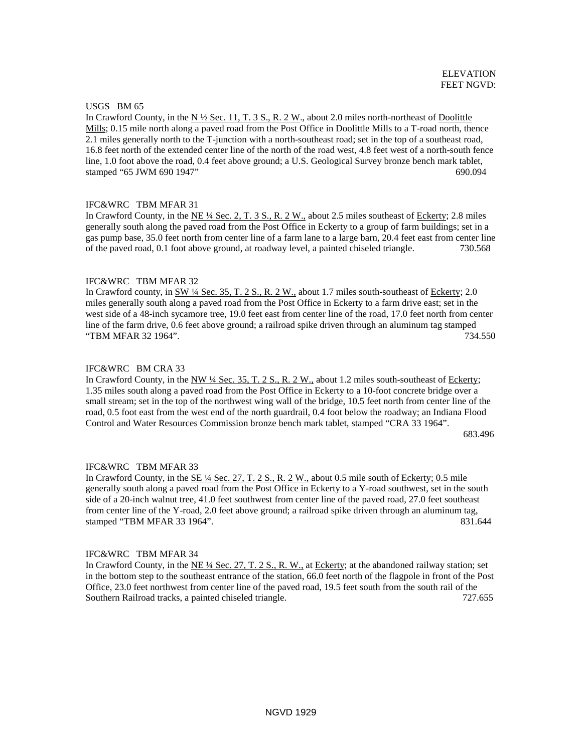# USGS BM 65

In Crawford County, in the N  $\frac{1}{2}$  Sec. 11, T. 3 S., R. 2 W., about 2.0 miles north-northeast of Doolittle Mills; 0.15 mile north along a paved road from the Post Office in Doolittle Mills to a T-road north, thence 2.1 miles generally north to the T-junction with a north-southeast road; set in the top of a southeast road, 16.8 feet north of the extended center line of the north of the road west, 4.8 feet west of a north-south fence line, 1.0 foot above the road, 0.4 feet above ground; a U.S. Geological Survey bronze bench mark tablet, stamped "65 JWM 690 1947" 690.094

# IFC&WRC TBM MFAR 31

In Crawford County, in the NE ¼ Sec. 2, T. 3 S., R. 2 W., about 2.5 miles southeast of Eckerty; 2.8 miles generally south along the paved road from the Post Office in Eckerty to a group of farm buildings; set in a gas pump base, 35.0 feet north from center line of a farm lane to a large barn, 20.4 feet east from center line of the paved road, 0.1 foot above ground, at roadway level, a painted chiseled triangle. 730.568

### IFC&WRC TBM MFAR 32

In Crawford county, in SW ¼ Sec. 35, T. 2 S., R. 2 W., about 1.7 miles south-southeast of Eckerty; 2.0 miles generally south along a paved road from the Post Office in Eckerty to a farm drive east; set in the west side of a 48-inch sycamore tree, 19.0 feet east from center line of the road, 17.0 feet north from center line of the farm drive, 0.6 feet above ground; a railroad spike driven through an aluminum tag stamped "TBM MFAR 32 1964". 734.550

#### IFC&WRC BM CRA 33

In Crawford County, in the NW ¼ Sec. 35, T. 2 S., R. 2 W., about 1.2 miles south-southeast of Eckerty; 1.35 miles south along a paved road from the Post Office in Eckerty to a 10-foot concrete bridge over a small stream; set in the top of the northwest wing wall of the bridge, 10.5 feet north from center line of the road, 0.5 foot east from the west end of the north guardrail, 0.4 foot below the roadway; an Indiana Flood Control and Water Resources Commission bronze bench mark tablet, stamped "CRA 33 1964".

683.496

### IFC&WRC TBM MFAR 33

In Crawford County, in the SE ¼ Sec. 27, T. 2 S., R. 2 W., about 0.5 mile south of Eckerty; 0.5 mile generally south along a paved road from the Post Office in Eckerty to a Y-road southwest, set in the south side of a 20-inch walnut tree, 41.0 feet southwest from center line of the paved road, 27.0 feet southeast from center line of the Y-road, 2.0 feet above ground; a railroad spike driven through an aluminum tag, stamped "TBM MFAR 33 1964". 831.644

#### IFC&WRC TBM MFAR 34

In Crawford County, in the  $NE\frac{1}{4}$  Sec. 27, T. 2 S., R. W., at Eckerty; at the abandoned railway station; set in the bottom step to the southeast entrance of the station, 66.0 feet north of the flagpole in front of the Post Office, 23.0 feet northwest from center line of the paved road, 19.5 feet south from the south rail of the Southern Railroad tracks, a painted chiseled triangle. 727.655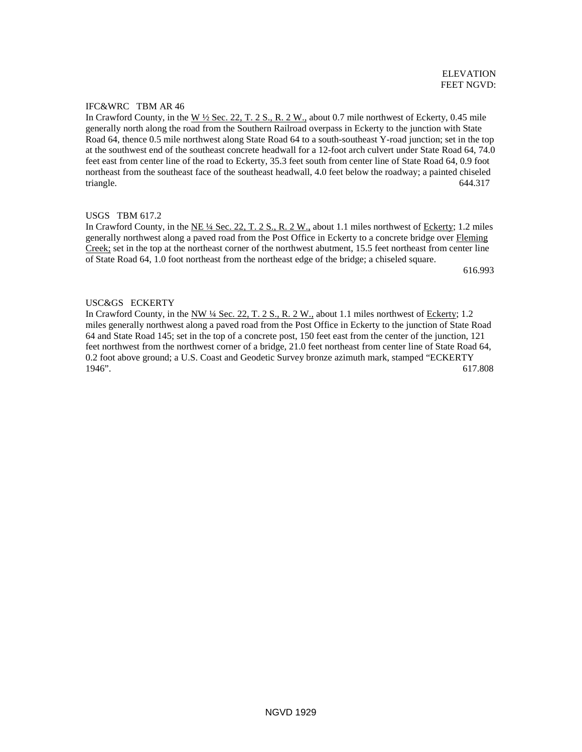# IFC&WRC TBM AR 46

In Crawford County, in the W ½ Sec. 22, T. 2 S., R. 2 W., about 0.7 mile northwest of Eckerty, 0.45 mile generally north along the road from the Southern Railroad overpass in Eckerty to the junction with State Road 64, thence 0.5 mile northwest along State Road 64 to a south-southeast Y-road junction; set in the top at the southwest end of the southeast concrete headwall for a 12-foot arch culvert under State Road 64, 74.0 feet east from center line of the road to Eckerty, 35.3 feet south from center line of State Road 64, 0.9 foot northeast from the southeast face of the southeast headwall, 4.0 feet below the roadway; a painted chiseled triangle. 644.317

# USGS TBM 617.2

In Crawford County, in the  $NE \frac{1}{4}$  Sec. 22, T. 2 S., R. 2 W., about 1.1 miles northwest of Eckerty; 1.2 miles generally northwest along a paved road from the Post Office in Eckerty to a concrete bridge over Fleming Creek; set in the top at the northeast corner of the northwest abutment, 15.5 feet northeast from center line of State Road 64, 1.0 foot northeast from the northeast edge of the bridge; a chiseled square.

616.993

# USC&GS ECKERTY

In Crawford County, in the NW ¼ Sec. 22, T. 2 S., R. 2 W., about 1.1 miles northwest of Eckerty; 1.2 miles generally northwest along a paved road from the Post Office in Eckerty to the junction of State Road 64 and State Road 145; set in the top of a concrete post, 150 feet east from the center of the junction, 121 feet northwest from the northwest corner of a bridge, 21.0 feet northeast from center line of State Road 64, 0.2 foot above ground; a U.S. Coast and Geodetic Survey bronze azimuth mark, stamped "ECKERTY 1946". 617.808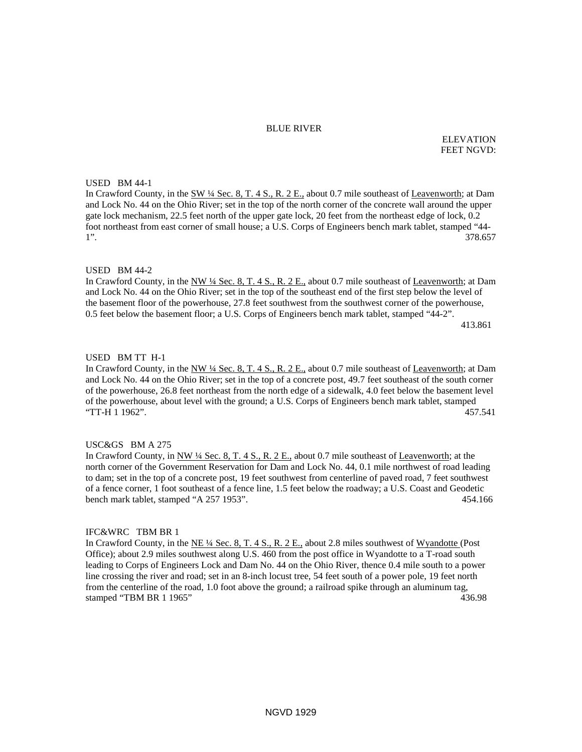#### BLUE RIVER

ELEVATION FEET NGVD:

#### USED BM 44-1

In Crawford County, in the SW ¼ Sec. 8, T. 4 S., R. 2 E., about 0.7 mile southeast of Leavenworth; at Dam and Lock No. 44 on the Ohio River; set in the top of the north corner of the concrete wall around the upper gate lock mechanism, 22.5 feet north of the upper gate lock, 20 feet from the northeast edge of lock, 0.2 foot northeast from east corner of small house; a U.S. Corps of Engineers bench mark tablet, stamped "44- 1". 378.657

### USED BM 44-2

In Crawford County, in the NW 1/4 Sec. 8, T. 4 S., R. 2 E., about 0.7 mile southeast of Leavenworth; at Dam and Lock No. 44 on the Ohio River; set in the top of the southeast end of the first step below the level of the basement floor of the powerhouse, 27.8 feet southwest from the southwest corner of the powerhouse, 0.5 feet below the basement floor; a U.S. Corps of Engineers bench mark tablet, stamped "44-2". 413.861

#### USED BM TT H-1

In Crawford County, in the NW ¼ Sec. 8, T. 4 S., R. 2 E., about 0.7 mile southeast of Leavenworth; at Dam and Lock No. 44 on the Ohio River; set in the top of a concrete post, 49.7 feet southeast of the south corner of the powerhouse, 26.8 feet northeast from the north edge of a sidewalk, 4.0 feet below the basement level of the powerhouse, about level with the ground; a U.S. Corps of Engineers bench mark tablet, stamped "TT-H 1 1962". 457.541

# USC&GS BM A 275

In Crawford County, in NW ¼ Sec. 8, T. 4 S., R. 2 E., about 0.7 mile southeast of Leavenworth; at the north corner of the Government Reservation for Dam and Lock No. 44, 0.1 mile northwest of road leading to dam; set in the top of a concrete post, 19 feet southwest from centerline of paved road, 7 feet southwest of a fence corner, 1 foot southeast of a fence line, 1.5 feet below the roadway; a U.S. Coast and Geodetic bench mark tablet, stamped "A 257 1953". 454.166

### IFC&WRC TBM BR 1

In Crawford County, in the NE ¼ Sec. 8, T. 4 S., R. 2 E., about 2.8 miles southwest of Wyandotte (Post Office); about 2.9 miles southwest along U.S. 460 from the post office in Wyandotte to a T-road south leading to Corps of Engineers Lock and Dam No. 44 on the Ohio River, thence 0.4 mile south to a power line crossing the river and road; set in an 8-inch locust tree, 54 feet south of a power pole, 19 feet north from the centerline of the road, 1.0 foot above the ground; a railroad spike through an aluminum tag, stamped "TBM BR 1 1965" 436.98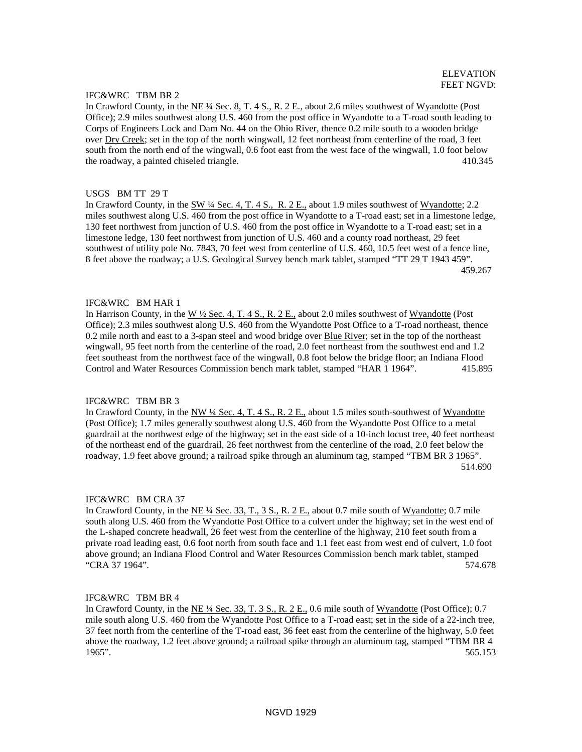### IFC&WRC TBM BR 2

In Crawford County, in the NE ¼ Sec. 8, T. 4 S., R. 2 E., about 2.6 miles southwest of Wyandotte (Post Office); 2.9 miles southwest along U.S. 460 from the post office in Wyandotte to a T-road south leading to Corps of Engineers Lock and Dam No. 44 on the Ohio River, thence 0.2 mile south to a wooden bridge over Dry Creek; set in the top of the north wingwall, 12 feet northeast from centerline of the road, 3 feet south from the north end of the wingwall, 0.6 foot east from the west face of the wingwall, 1.0 foot below the roadway, a painted chiseled triangle. 410.345

### USGS BM TT 29 T

In Crawford County, in the SW ¼ Sec. 4, T. 4 S., R. 2 E., about 1.9 miles southwest of Wyandotte; 2.2 miles southwest along U.S. 460 from the post office in Wyandotte to a T-road east; set in a limestone ledge, 130 feet northwest from junction of U.S. 460 from the post office in Wyandotte to a T-road east; set in a limestone ledge, 130 feet northwest from junction of U.S. 460 and a county road northeast, 29 feet southwest of utility pole No. 7843, 70 feet west from centerline of U.S. 460, 10.5 feet west of a fence line, 8 feet above the roadway; a U.S. Geological Survey bench mark tablet, stamped "TT 29 T 1943 459". 459.267

#### IFC&WRC BM HAR 1

In Harrison County, in the W  $\frac{1}{2}$  Sec. 4, T. 4 S., R. 2 E., about 2.0 miles southwest of Wyandotte (Post Office); 2.3 miles southwest along U.S. 460 from the Wyandotte Post Office to a T-road northeast, thence 0.2 mile north and east to a 3-span steel and wood bridge over Blue River; set in the top of the northeast wingwall, 95 feet north from the centerline of the road, 2.0 feet northeast from the southwest end and 1.2 feet southeast from the northwest face of the wingwall, 0.8 foot below the bridge floor; an Indiana Flood Control and Water Resources Commission bench mark tablet, stamped "HAR 1 1964". 415.895

#### IFC&WRC TBM BR 3

In Crawford County, in the NW 1/4 Sec. 4, T. 4 S., R. 2 E., about 1.5 miles south-southwest of Wyandotte (Post Office); 1.7 miles generally southwest along U.S. 460 from the Wyandotte Post Office to a metal guardrail at the northwest edge of the highway; set in the east side of a 10-inch locust tree, 40 feet northeast of the northeast end of the guardrail, 26 feet northwest from the centerline of the road, 2.0 feet below the roadway, 1.9 feet above ground; a railroad spike through an aluminum tag, stamped "TBM BR 3 1965". 514.690

#### IFC&WRC BM CRA 37

In Crawford County, in the NE ¼ Sec. 33, T., 3 S., R. 2 E., about 0.7 mile south of Wyandotte; 0.7 mile south along U.S. 460 from the Wyandotte Post Office to a culvert under the highway; set in the west end of the L-shaped concrete headwall, 26 feet west from the centerline of the highway, 210 feet south from a private road leading east, 0.6 foot north from south face and 1.1 feet east from west end of culvert, 1.0 foot above ground; an Indiana Flood Control and Water Resources Commission bench mark tablet, stamped "CRA 37 1964". 574.678

#### IFC&WRC TBM BR 4

In Crawford County, in the NE ¼ Sec. 33, T. 3 S., R. 2 E., 0.6 mile south of Wyandotte (Post Office); 0.7 mile south along U.S. 460 from the Wyandotte Post Office to a T-road east; set in the side of a 22-inch tree, 37 feet north from the centerline of the T-road east, 36 feet east from the centerline of the highway, 5.0 feet above the roadway, 1.2 feet above ground; a railroad spike through an aluminum tag, stamped "TBM BR 4 1965". 565.153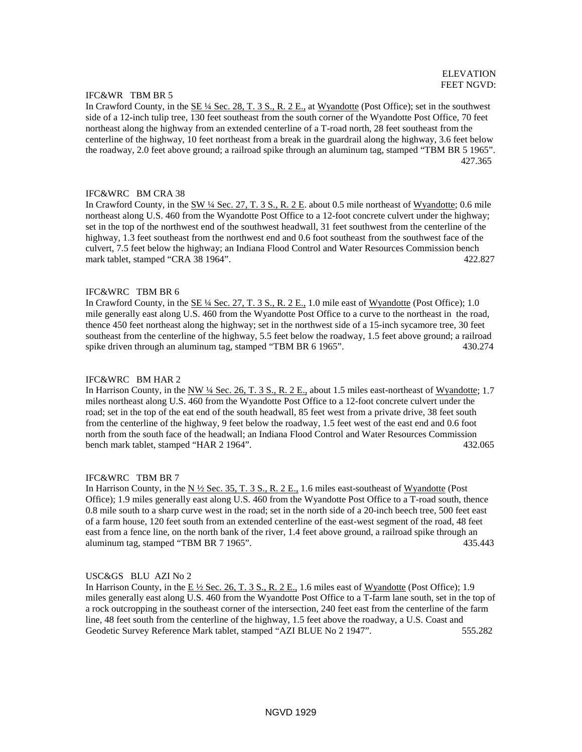## IFC&WR TBM BR 5

In Crawford County, in the <u>SE ¼ Sec. 28, T. 3 S., R. 2 E.</u>, at Wyandotte (Post Office); set in the southwest side of a 12-inch tulip tree, 130 feet southeast from the south corner of the Wyandotte Post Office, 70 feet northeast along the highway from an extended centerline of a T-road north, 28 feet southeast from the centerline of the highway, 10 feet northeast from a break in the guardrail along the highway, 3.6 feet below the roadway, 2.0 feet above ground; a railroad spike through an aluminum tag, stamped "TBM BR 5 1965". 427.365

### IFC&WRC BM CRA 38

In Crawford County, in the SW ¼ Sec. 27, T. 3 S., R. 2 E. about 0.5 mile northeast of Wyandotte; 0.6 mile northeast along U.S. 460 from the Wyandotte Post Office to a 12-foot concrete culvert under the highway; set in the top of the northwest end of the southwest headwall, 31 feet southwest from the centerline of the highway, 1.3 feet southeast from the northwest end and 0.6 foot southeast from the southwest face of the culvert, 7.5 feet below the highway; an Indiana Flood Control and Water Resources Commission bench mark tablet, stamped "CRA 38 1964". 422.827

### IFC&WRC TBM BR 6

In Crawford County, in the SE 1/4 Sec. 27, T. 3 S., R. 2 E., 1.0 mile east of Wyandotte (Post Office); 1.0 mile generally east along U.S. 460 from the Wyandotte Post Office to a curve to the northeast in the road, thence 450 feet northeast along the highway; set in the northwest side of a 15-inch sycamore tree, 30 feet southeast from the centerline of the highway, 5.5 feet below the roadway, 1.5 feet above ground; a railroad spike driven through an aluminum tag, stamped "TBM BR 6 1965". 430.274

#### IFC&WRC BM HAR 2

In Harrison County, in the NW 1/4 Sec. 26, T. 3 S., R. 2 E., about 1.5 miles east-northeast of Wyandotte; 1.7 miles northeast along U.S. 460 from the Wyandotte Post Office to a 12-foot concrete culvert under the road; set in the top of the eat end of the south headwall, 85 feet west from a private drive, 38 feet south from the centerline of the highway, 9 feet below the roadway, 1.5 feet west of the east end and 0.6 foot north from the south face of the headwall; an Indiana Flood Control and Water Resources Commission bench mark tablet, stamped "HAR 2 1964".  $\frac{432.065}{2}$ 

#### IFC&WRC TBM BR 7

In Harrison County, in the  $N \frac{1}{2}$  Sec. 35, T. 3 S., R. 2 E., 1.6 miles east-southeast of Wyandotte (Post Office); 1.9 miles generally east along U.S. 460 from the Wyandotte Post Office to a T-road south, thence 0.8 mile south to a sharp curve west in the road; set in the north side of a 20-inch beech tree, 500 feet east of a farm house, 120 feet south from an extended centerline of the east-west segment of the road, 48 feet east from a fence line, on the north bank of the river, 1.4 feet above ground, a railroad spike through an aluminum tag, stamped "TBM BR 7 1965". 435.443

#### USC&GS BLU AZI No 2

In Harrison County, in the  $E\frac{1}{2}$  Sec. 26, T. 3 S., R. 2 E., 1.6 miles east of Wyandotte (Post Office); 1.9 miles generally east along U.S. 460 from the Wyandotte Post Office to a T-farm lane south, set in the top of a rock outcropping in the southeast corner of the intersection, 240 feet east from the centerline of the farm line, 48 feet south from the centerline of the highway, 1.5 feet above the roadway, a U.S. Coast and Geodetic Survey Reference Mark tablet, stamped "AZI BLUE No 2 1947". 555.282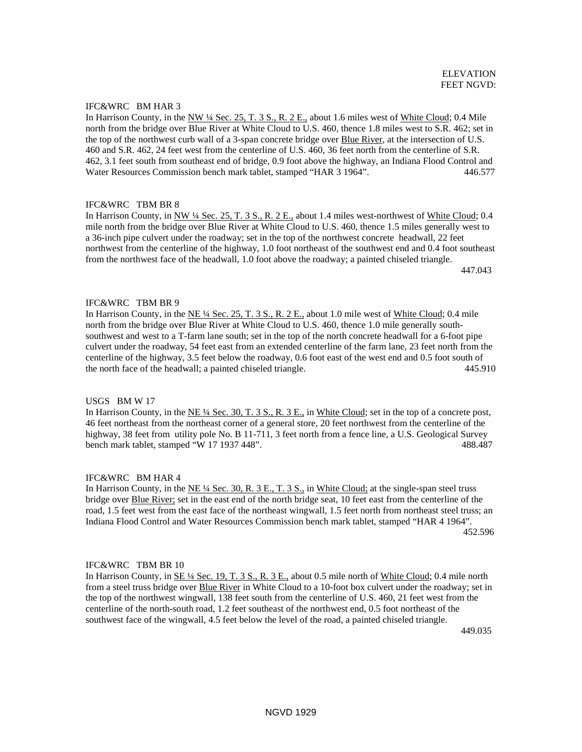# IFC&WRC BM HAR 3

In Harrison County, in the NW ¼ Sec. 25, T. 3 S., R. 2 E., about 1.6 miles west of White Cloud; 0.4 Mile north from the bridge over Blue River at White Cloud to U.S. 460, thence 1.8 miles west to S.R. 462; set in the top of the northwest curb wall of a 3-span concrete bridge over Blue River, at the intersection of U.S. 460 and S.R. 462, 24 feet west from the centerline of U.S. 460, 36 feet north from the centerline of S.R. 462, 3.1 feet south from southeast end of bridge, 0.9 foot above the highway, an Indiana Flood Control and Water Resources Commission bench mark tablet, stamped "HAR 3 1964". 446.577

# IFC&WRC TBM BR 8

In Harrison County, in NW 1/4 Sec. 25, T. 3 S., R. 2 E., about 1.4 miles west-northwest of White Cloud; 0.4 mile north from the bridge over Blue River at White Cloud to U.S. 460, thence 1.5 miles generally west to a 36-inch pipe culvert under the roadway; set in the top of the northwest concrete headwall, 22 feet northwest from the centerline of the highway, 1.0 foot northeast of the southwest end and 0.4 foot southeast from the northwest face of the headwall, 1.0 foot above the roadway; a painted chiseled triangle. 447.043

# IFC&WRC TBM BR 9

In Harrison County, in the NE ¼ Sec. 25, T. 3 S., R. 2 E., about 1.0 mile west of White Cloud; 0.4 mile north from the bridge over Blue River at White Cloud to U.S. 460, thence 1.0 mile generally southsouthwest and west to a T-farm lane south; set in the top of the north concrete headwall for a 6-foot pipe culvert under the roadway, 54 feet east from an extended centerline of the farm lane, 23 feet north from the centerline of the highway, 3.5 feet below the roadway, 0.6 foot east of the west end and 0.5 foot south of the north face of the headwall; a painted chiseled triangle. 445.910

#### USGS BM W 17

In Harrison County, in the NE ¼ Sec. 30, T. 3 S., R. 3 E., in White Cloud; set in the top of a concrete post, 46 feet northeast from the northeast corner of a general store, 20 feet northwest from the centerline of the highway, 38 feet from utility pole No. B 11-711, 3 feet north from a fence line, a U.S. Geological Survey bench mark tablet, stamped "W 17 1937 448". 488.487

### IFC&WRC BM HAR 4

In Harrison County, in the NE ¼ Sec. 30, R. 3 E., T. 3 S., in White Cloud; at the single-span steel truss bridge over **Blue River;** set in the east end of the north bridge seat, 10 feet east from the centerline of the road, 1.5 feet west from the east face of the northeast wingwall, 1.5 feet north from northeast steel truss; an Indiana Flood Control and Water Resources Commission bench mark tablet, stamped "HAR 4 1964". 452.596

#### IFC&WRC TBM BR 10

In Harrison County, in SE ¼ Sec. 19, T. 3 S., R. 3 E., about 0.5 mile north of White Cloud; 0.4 mile north from a steel truss bridge over Blue River in White Cloud to a 10-foot box culvert under the roadway; set in the top of the northwest wingwall, 138 feet south from the centerline of U.S. 460, 21 feet west from the centerline of the north-south road, 1.2 feet southeast of the northwest end, 0.5 foot northeast of the southwest face of the wingwall, 4.5 feet below the level of the road, a painted chiseled triangle.

449.035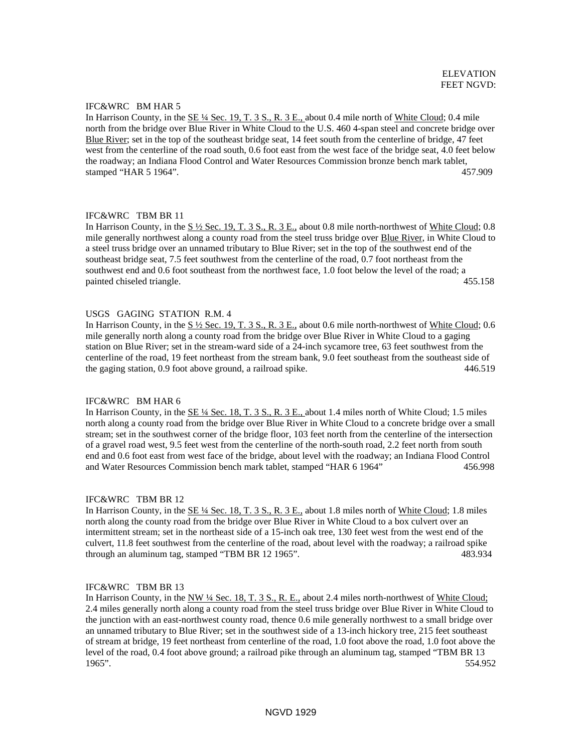### IFC&WRC BM HAR 5

In Harrison County, in the SE ¼ Sec. 19, T. 3 S., R. 3 E., about 0.4 mile north of White Cloud; 0.4 mile north from the bridge over Blue River in White Cloud to the U.S. 460 4-span steel and concrete bridge over Blue River; set in the top of the southeast bridge seat, 14 feet south from the centerline of bridge, 47 feet west from the centerline of the road south, 0.6 foot east from the west face of the bridge seat, 4.0 feet below the roadway; an Indiana Flood Control and Water Resources Commission bronze bench mark tablet, stamped "HAR 5 1964". 457.909

# IFC&WRC TBM BR 11

In Harrison County, in the  $S\frac{1}{2}$  Sec. 19, T. 3 S., R. 3 E., about 0.8 mile north-northwest of White Cloud; 0.8 mile generally northwest along a county road from the steel truss bridge over Blue River, in White Cloud to a steel truss bridge over an unnamed tributary to Blue River; set in the top of the southwest end of the southeast bridge seat, 7.5 feet southwest from the centerline of the road, 0.7 foot northeast from the southwest end and 0.6 foot southeast from the northwest face, 1.0 foot below the level of the road; a painted chiseled triangle. 455.158

#### USGS GAGING STATION R.M. 4

In Harrison County, in the S  $\frac{1}{2}$  Sec. 19, T. 3 S., R. 3 E., about 0.6 mile north-northwest of White Cloud; 0.6 mile generally north along a county road from the bridge over Blue River in White Cloud to a gaging station on Blue River; set in the stream-ward side of a 24-inch sycamore tree, 63 feet southwest from the centerline of the road, 19 feet northeast from the stream bank, 9.0 feet southeast from the southeast side of the gaging station, 0.9 foot above ground, a railroad spike. 446.519

### IFC&WRC BM HAR 6

In Harrison County, in the  $\underline{\text{SE 4/4}$  Sec. 18, T. 3 S., R. 3 E., about 1.4 miles north of White Cloud; 1.5 miles north along a county road from the bridge over Blue River in White Cloud to a concrete bridge over a small stream; set in the southwest corner of the bridge floor, 103 feet north from the centerline of the intersection of a gravel road west, 9.5 feet west from the centerline of the north-south road, 2.2 feet north from south end and 0.6 foot east from west face of the bridge, about level with the roadway; an Indiana Flood Control and Water Resources Commission bench mark tablet, stamped "HAR 6 1964" 456.998

### IFC&WRC TBM BR 12

In Harrison County, in the  $\underline{\text{SE 4/4}$  Sec. 18, T. 3 S., R. 3 E., about 1.8 miles north of White Cloud; 1.8 miles north along the county road from the bridge over Blue River in White Cloud to a box culvert over an intermittent stream; set in the northeast side of a 15-inch oak tree, 130 feet west from the west end of the culvert, 11.8 feet southwest from the centerline of the road, about level with the roadway; a railroad spike through an aluminum tag, stamped "TBM BR 12 1965". 483.934

## IFC&WRC TBM BR 13

In Harrison County, in the NW ¼ Sec. 18, T. 3 S., R. E., about 2.4 miles north-northwest of White Cloud; 2.4 miles generally north along a county road from the steel truss bridge over Blue River in White Cloud to the junction with an east-northwest county road, thence 0.6 mile generally northwest to a small bridge over an unnamed tributary to Blue River; set in the southwest side of a 13-inch hickory tree, 215 feet southeast of stream at bridge, 19 feet northeast from centerline of the road, 1.0 foot above the road, 1.0 foot above the level of the road, 0.4 foot above ground; a railroad pike through an aluminum tag, stamped "TBM BR 13 1965". 554.952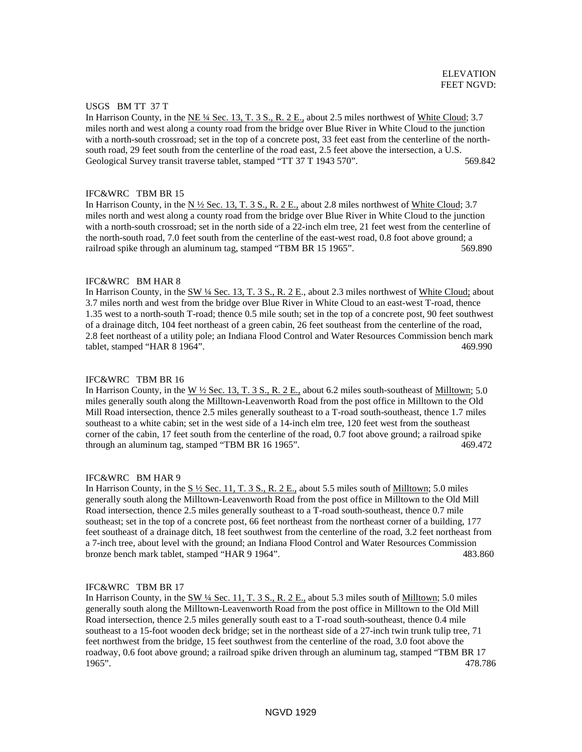### USGS BM TT 37 T

In Harrison County, in the NE ¼ Sec. 13, T. 3 S., R. 2 E., about 2.5 miles northwest of White Cloud; 3.7 miles north and west along a county road from the bridge over Blue River in White Cloud to the junction with a north-south crossroad; set in the top of a concrete post, 33 feet east from the centerline of the northsouth road, 29 feet south from the centerline of the road east, 2.5 feet above the intersection, a U.S. Geological Survey transit traverse tablet, stamped "TT 37 T 1943 570". 569.842

#### IFC&WRC TBM BR 15

In Harrison County, in the N ½ Sec. 13, T. 3 S., R. 2 E., about 2.8 miles northwest of White Cloud; 3.7 miles north and west along a county road from the bridge over Blue River in White Cloud to the junction with a north-south crossroad; set in the north side of a 22-inch elm tree, 21 feet west from the centerline of the north-south road, 7.0 feet south from the centerline of the east-west road, 0.8 foot above ground; a railroad spike through an aluminum tag, stamped "TBM BR 15 1965". 569.890

### IFC&WRC BM HAR 8

In Harrison County, in the SW 1/4 Sec. 13, T. 3 S., R. 2 E., about 2.3 miles northwest of White Cloud; about 3.7 miles north and west from the bridge over Blue River in White Cloud to an east-west T-road, thence 1.35 west to a north-south T-road; thence 0.5 mile south; set in the top of a concrete post, 90 feet southwest of a drainage ditch, 104 feet northeast of a green cabin, 26 feet southeast from the centerline of the road, 2.8 feet northeast of a utility pole; an Indiana Flood Control and Water Resources Commission bench mark tablet, stamped "HAR 8 1964". 469.990

#### IFC&WRC TBM BR 16

In Harrison County, in the W  $\frac{1}{2}$  Sec. 13, T. 3 S., R. 2 E., about 6.2 miles south-southeast of Milltown; 5.0 miles generally south along the Milltown-Leavenworth Road from the post office in Milltown to the Old Mill Road intersection, thence 2.5 miles generally southeast to a T-road south-southeast, thence 1.7 miles southeast to a white cabin; set in the west side of a 14-inch elm tree, 120 feet west from the southeast corner of the cabin, 17 feet south from the centerline of the road, 0.7 foot above ground; a railroad spike<br>through an aluminum tag, stamped "TBM BR 16 1965". through an aluminum tag, stamped "TBM BR 16 1965".

#### IFC&WRC BM HAR 9

In Harrison County, in the  $S\frac{1}{2}$  Sec. 11, T. 3 S., R. 2 E., about 5.5 miles south of Milltown; 5.0 miles generally south along the Milltown-Leavenworth Road from the post office in Milltown to the Old Mill Road intersection, thence 2.5 miles generally southeast to a T-road south-southeast, thence 0.7 mile southeast; set in the top of a concrete post, 66 feet northeast from the northeast corner of a building, 177 feet southeast of a drainage ditch, 18 feet southwest from the centerline of the road, 3.2 feet northeast from a 7-inch tree, about level with the ground; an Indiana Flood Control and Water Resources Commission bronze bench mark tablet, stamped "HAR 9 1964". 483.860

## IFC&WRC TBM BR 17

In Harrison County, in the  $\frac{\text{SW }4\text{ Sec. }11, T. 3 S., R. 2 E.,}$  about 5.3 miles south of Milltown; 5.0 miles generally south along the Milltown-Leavenworth Road from the post office in Milltown to the Old Mill Road intersection, thence 2.5 miles generally south east to a T-road south-southeast, thence 0.4 mile southeast to a 15-foot wooden deck bridge; set in the northeast side of a 27-inch twin trunk tulip tree, 71 feet northwest from the bridge, 15 feet southwest from the centerline of the road, 3.0 foot above the roadway, 0.6 foot above ground; a railroad spike driven through an aluminum tag, stamped "TBM BR 17 1965". 478.786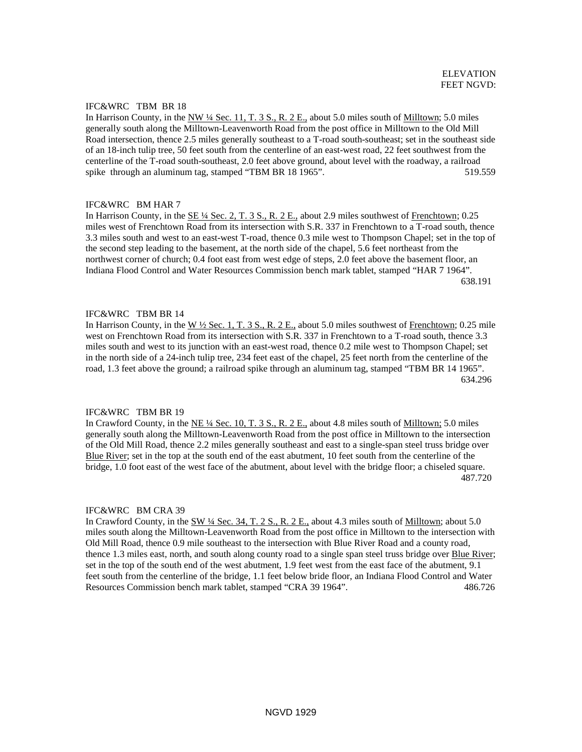# IFC&WRC TBM BR 18

In Harrison County, in the NW  $\frac{1}{4}$  Sec. 11, T. 3 S., R. 2 E., about 5.0 miles south of Milltown; 5.0 miles generally south along the Milltown-Leavenworth Road from the post office in Milltown to the Old Mill Road intersection, thence 2.5 miles generally southeast to a T-road south-southeast; set in the southeast side of an 18-inch tulip tree, 50 feet south from the centerline of an east-west road, 22 feet southwest from the centerline of the T-road south-southeast, 2.0 feet above ground, about level with the roadway, a railroad spike through an aluminum tag, stamped "TBM BR 18 1965". 519.559

# IFC&WRC BM HAR 7

In Harrison County, in the <u>SE ¼ Sec. 2, T. 3 S., R. 2 E.</u>, about 2.9 miles southwest of Frenchtown; 0.25 miles west of Frenchtown Road from its intersection with S.R. 337 in Frenchtown to a T-road south, thence 3.3 miles south and west to an east-west T-road, thence 0.3 mile west to Thompson Chapel; set in the top of the second step leading to the basement, at the north side of the chapel, 5.6 feet northeast from the northwest corner of church; 0.4 foot east from west edge of steps, 2.0 feet above the basement floor, an Indiana Flood Control and Water Resources Commission bench mark tablet, stamped "HAR 7 1964". 638.191

# IFC&WRC TBM BR 14

In Harrison County, in the W  $\frac{1}{2}$  Sec. 1, T. 3 S., R. 2 E., about 5.0 miles southwest of Frenchtown; 0.25 mile west on Frenchtown Road from its intersection with S.R. 337 in Frenchtown to a T-road south, thence 3.3 miles south and west to its junction with an east-west road, thence 0.2 mile west to Thompson Chapel; set in the north side of a 24-inch tulip tree, 234 feet east of the chapel, 25 feet north from the centerline of the road, 1.3 feet above the ground; a railroad spike through an aluminum tag, stamped "TBM BR 14 1965". 634.296

## IFC&WRC TBM BR 19

In Crawford County, in the NE ¼ Sec. 10, T. 3 S., R. 2 E., about 4.8 miles south of Milltown; 5.0 miles generally south along the Milltown-Leavenworth Road from the post office in Milltown to the intersection of the Old Mill Road, thence 2.2 miles generally southeast and east to a single-span steel truss bridge over Blue River; set in the top at the south end of the east abutment, 10 feet south from the centerline of the bridge, 1.0 foot east of the west face of the abutment, about level with the bridge floor; a chiseled square. 487.720

#### IFC&WRC BM CRA 39

In Crawford County, in the SW 1/4 Sec. 34, T. 2 S., R. 2 E., about 4.3 miles south of Milltown; about 5.0 miles south along the Milltown-Leavenworth Road from the post office in Milltown to the intersection with Old Mill Road, thence 0.9 mile southeast to the intersection with Blue River Road and a county road, thence 1.3 miles east, north, and south along county road to a single span steel truss bridge over Blue River; set in the top of the south end of the west abutment, 1.9 feet west from the east face of the abutment, 9.1 feet south from the centerline of the bridge, 1.1 feet below bride floor, an Indiana Flood Control and Water Resources Commission bench mark tablet, stamped "CRA 39 1964". 486.726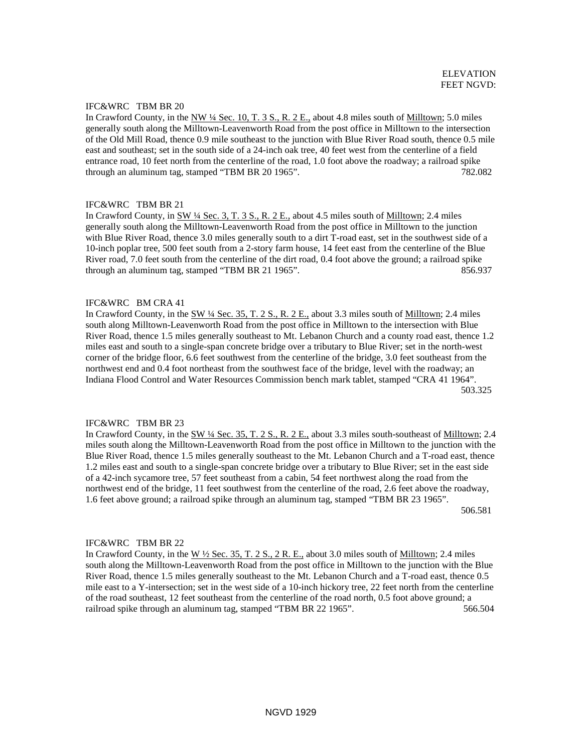# IFC&WRC TBM BR 20

In Crawford County, in the NW  $\frac{1}{4}$  Sec. 10, T. 3 S., R. 2 E., about 4.8 miles south of Milltown; 5.0 miles generally south along the Milltown-Leavenworth Road from the post office in Milltown to the intersection of the Old Mill Road, thence 0.9 mile southeast to the junction with Blue River Road south, thence 0.5 mile east and southeast; set in the south side of a 24-inch oak tree, 40 feet west from the centerline of a field entrance road, 10 feet north from the centerline of the road, 1.0 foot above the roadway; a railroad spike through an aluminum tag, stamped "TBM BR 20 1965". 782.082

# IFC&WRC TBM BR 21

In Crawford County, in SW 1/4 Sec. 3, T. 3 S., R. 2 E., about 4.5 miles south of Milltown; 2.4 miles generally south along the Milltown-Leavenworth Road from the post office in Milltown to the junction with Blue River Road, thence 3.0 miles generally south to a dirt T-road east, set in the southwest side of a 10-inch poplar tree, 500 feet south from a 2-story farm house, 14 feet east from the centerline of the Blue River road, 7.0 feet south from the centerline of the dirt road, 0.4 foot above the ground; a railroad spike through an aluminum tag, stamped "TBM BR 21 1965". 856.937

### IFC&WRC BM CRA 41

In Crawford County, in the SW ¼ Sec. 35, T. 2 S., R. 2 E., about 3.3 miles south of Milltown; 2.4 miles south along Milltown-Leavenworth Road from the post office in Milltown to the intersection with Blue River Road, thence 1.5 miles generally southeast to Mt. Lebanon Church and a county road east, thence 1.2 miles east and south to a single-span concrete bridge over a tributary to Blue River; set in the north-west corner of the bridge floor, 6.6 feet southwest from the centerline of the bridge, 3.0 feet southeast from the northwest end and 0.4 foot northeast from the southwest face of the bridge, level with the roadway; an Indiana Flood Control and Water Resources Commission bench mark tablet, stamped "CRA 41 1964". 503.325

## IFC&WRC TBM BR 23

In Crawford County, in the SW <sup>1</sup>/4 Sec. 35, T. 2 S., R. 2 E., about 3.3 miles south-southeast of Milltown; 2.4 miles south along the Milltown-Leavenworth Road from the post office in Milltown to the junction with the Blue River Road, thence 1.5 miles generally southeast to the Mt. Lebanon Church and a T-road east, thence 1.2 miles east and south to a single-span concrete bridge over a tributary to Blue River; set in the east side of a 42-inch sycamore tree, 57 feet southeast from a cabin, 54 feet northwest along the road from the northwest end of the bridge, 11 feet southwest from the centerline of the road, 2.6 feet above the roadway, 1.6 feet above ground; a railroad spike through an aluminum tag, stamped "TBM BR 23 1965".

506.581

# IFC&WRC TBM BR 22

In Crawford County, in the W ½ Sec. 35, T. 2 S., 2 R. E., about 3.0 miles south of Milltown; 2.4 miles south along the Milltown-Leavenworth Road from the post office in Milltown to the junction with the Blue River Road, thence 1.5 miles generally southeast to the Mt. Lebanon Church and a T-road east, thence 0.5 mile east to a Y-intersection; set in the west side of a 10-inch hickory tree, 22 feet north from the centerline of the road southeast, 12 feet southeast from the centerline of the road north, 0.5 foot above ground; a railroad spike through an aluminum tag, stamped "TBM BR 22 1965". 566.504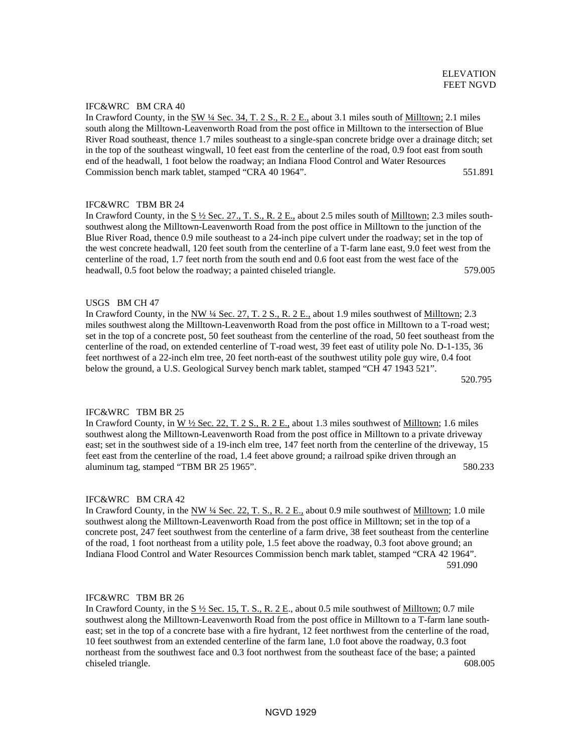# IFC&WRC BM CRA 40

In Crawford County, in the SW ¼ Sec. 34, T. 2 S., R. 2 E., about 3.1 miles south of Milltown; 2.1 miles south along the Milltown-Leavenworth Road from the post office in Milltown to the intersection of Blue River Road southeast, thence 1.7 miles southeast to a single-span concrete bridge over a drainage ditch; set in the top of the southeast wingwall, 10 feet east from the centerline of the road, 0.9 foot east from south end of the headwall, 1 foot below the roadway; an Indiana Flood Control and Water Resources Commission bench mark tablet, stamped "CRA 40 1964". 551.891

# IFC&WRC TBM BR 24

In Crawford County, in the  $S \frac{1}{2}$  Sec. 27., T. S., R. 2 E., about 2.5 miles south of Milltown; 2.3 miles southsouthwest along the Milltown-Leavenworth Road from the post office in Milltown to the junction of the Blue River Road, thence 0.9 mile southeast to a 24-inch pipe culvert under the roadway; set in the top of the west concrete headwall, 120 feet south from the centerline of a T-farm lane east, 9.0 feet west from the centerline of the road, 1.7 feet north from the south end and 0.6 foot east from the west face of the headwall, 0.5 foot below the roadway; a painted chiseled triangle. 579.005

# USGS BM CH 47

In Crawford County, in the NW ¼ Sec. 27, T. 2 S., R. 2 E., about 1.9 miles southwest of Milltown; 2.3 miles southwest along the Milltown-Leavenworth Road from the post office in Milltown to a T-road west; set in the top of a concrete post, 50 feet southeast from the centerline of the road, 50 feet southeast from the centerline of the road, on extended centerline of T-road west, 39 feet east of utility pole No. D-1-135, 36 feet northwest of a 22-inch elm tree, 20 feet north-east of the southwest utility pole guy wire, 0.4 foot below the ground, a U.S. Geological Survey bench mark tablet, stamped "CH 47 1943 521". 520.795

# IFC&WRC TBM BR 25

In Crawford County, in  $W \frac{1}{2}$  Sec. 22, T. 2 S., R. 2 E., about 1.3 miles southwest of Milltown; 1.6 miles southwest along the Milltown-Leavenworth Road from the post office in Milltown to a private driveway east; set in the southwest side of a 19-inch elm tree, 147 feet north from the centerline of the driveway, 15 feet east from the centerline of the road, 1.4 feet above ground; a railroad spike driven through an aluminum tag, stamped "TBM BR 25 1965". 580.233

# IFC&WRC BM CRA 42

In Crawford County, in the NW ¼ Sec. 22, T. S., R. 2 E., about 0.9 mile southwest of Milltown; 1.0 mile southwest along the Milltown-Leavenworth Road from the post office in Milltown; set in the top of a concrete post, 247 feet southwest from the centerline of a farm drive, 38 feet southeast from the centerline of the road, 1 foot northeast from a utility pole, 1.5 feet above the roadway, 0.3 foot above ground; an Indiana Flood Control and Water Resources Commission bench mark tablet, stamped "CRA 42 1964". 591.090

# IFC&WRC TBM BR 26

In Crawford County, in the S ½ Sec. 15, T. S., R. 2 E., about 0.5 mile southwest of Milltown; 0.7 mile southwest along the Milltown-Leavenworth Road from the post office in Milltown to a T-farm lane southeast; set in the top of a concrete base with a fire hydrant, 12 feet northwest from the centerline of the road, 10 feet southwest from an extended centerline of the farm lane, 1.0 foot above the roadway, 0.3 foot northeast from the southwest face and 0.3 foot northwest from the southeast face of the base; a painted chiseled triangle. 608.005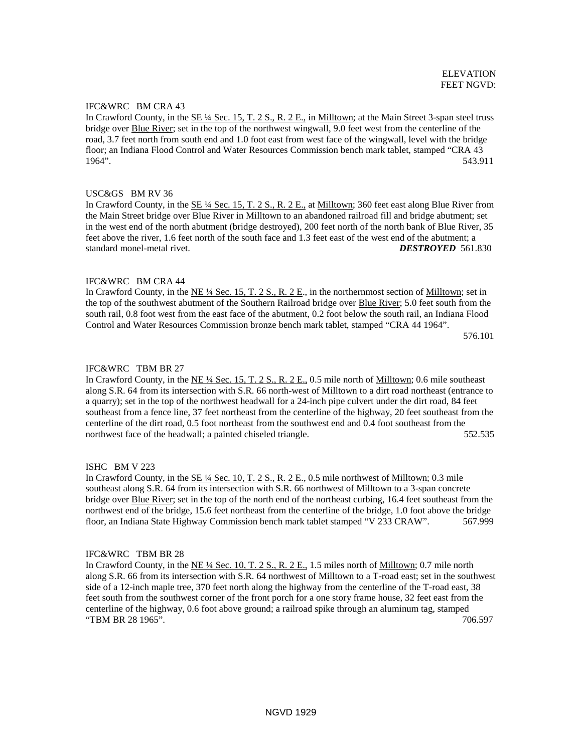# IFC&WRC BM CRA 43

In Crawford County, in the SE ¼ Sec. 15, T. 2 S., R. 2 E., in Milltown; at the Main Street 3-span steel truss bridge over Blue River; set in the top of the northwest wingwall, 9.0 feet west from the centerline of the road, 3.7 feet north from south end and 1.0 foot east from west face of the wingwall, level with the bridge floor; an Indiana Flood Control and Water Resources Commission bench mark tablet, stamped "CRA 43 1964". 543.911

# USC&GS BM RV 36

In Crawford County, in the SE ¼ Sec. 15, T. 2 S., R. 2 E., at Milltown; 360 feet east along Blue River from the Main Street bridge over Blue River in Milltown to an abandoned railroad fill and bridge abutment; set in the west end of the north abutment (bridge destroyed), 200 feet north of the north bank of Blue River, 35 feet above the river, 1.6 feet north of the south face and 1.3 feet east of the west end of the abutment; a standard monel-metal rivet. *DESTROYED* 561.830

# IFC&WRC BM CRA 44

In Crawford County, in the NE  $\frac{1}{4}$  Sec. 15, T. 2 S., R. 2 E., in the northernmost section of Milltown; set in the top of the southwest abutment of the Southern Railroad bridge over Blue River; 5.0 feet south from the south rail, 0.8 foot west from the east face of the abutment, 0.2 foot below the south rail, an Indiana Flood Control and Water Resources Commission bronze bench mark tablet, stamped "CRA 44 1964".

576.101

# IFC&WRC TBM BR 27

In Crawford County, in the NE  $\frac{1}{4}$  Sec. 15, T. 2 S., R. 2 E., 0.5 mile north of Milltown; 0.6 mile southeast along S.R. 64 from its intersection with S.R. 66 north-west of Milltown to a dirt road northeast (entrance to a quarry); set in the top of the northwest headwall for a 24-inch pipe culvert under the dirt road, 84 feet southeast from a fence line, 37 feet northeast from the centerline of the highway, 20 feet southeast from the centerline of the dirt road, 0.5 foot northeast from the southwest end and 0.4 foot southeast from the northwest face of the headwall; a painted chiseled triangle. 552.535

### ISHC BM V 223

In Crawford County, in the  $SE \frac{1}{4}$  Sec. 10, T. 2 S., R. 2 E., 0.5 mile northwest of Milltown; 0.3 mile southeast along S.R. 64 from its intersection with S.R. 66 northwest of Milltown to a 3-span concrete bridge over **Blue River**; set in the top of the north end of the northeast curbing, 16.4 feet southeast from the northwest end of the bridge, 15.6 feet northeast from the centerline of the bridge, 1.0 foot above the bridge floor, an Indiana State Highway Commission bench mark tablet stamped "V 233 CRAW". 567.999

### IFC&WRC TBM BR 28

In Crawford County, in the NE  $\frac{1}{4}$  Sec. 10, T. 2 S., R. 2 E., 1.5 miles north of Milltown; 0.7 mile north along S.R. 66 from its intersection with S.R. 64 northwest of Milltown to a T-road east; set in the southwest side of a 12-inch maple tree, 370 feet north along the highway from the centerline of the T-road east, 38 feet south from the southwest corner of the front porch for a one story frame house, 32 feet east from the centerline of the highway, 0.6 foot above ground; a railroad spike through an aluminum tag, stamped "TBM BR 28 1965". 706.597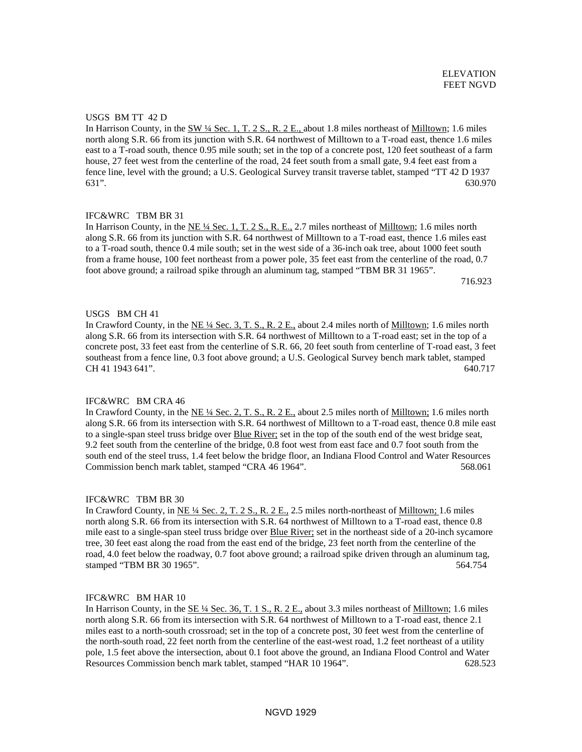### USGS BM TT 42 D

In Harrison County, in the  $\frac{\text{SW 14} \text{ Sec. 1, T. 2 S., R. 2 E.,}$  about 1.8 miles northeast of Milltown; 1.6 miles north along S.R. 66 from its junction with S.R. 64 northwest of Milltown to a T-road east, thence 1.6 miles east to a T-road south, thence 0.95 mile south; set in the top of a concrete post, 120 feet southeast of a farm house, 27 feet west from the centerline of the road, 24 feet south from a small gate, 9.4 feet east from a fence line, level with the ground; a U.S. Geological Survey transit traverse tablet, stamped "TT 42 D 1937 631". 630.970

# IFC&WRC TBM BR 31

In Harrison County, in the NE  $\frac{1}{4}$  Sec. 1, T. 2 S., R. E., 2.7 miles northeast of Milltown; 1.6 miles north along S.R. 66 from its junction with S.R. 64 northwest of Milltown to a T-road east, thence 1.6 miles east to a T-road south, thence 0.4 mile south; set in the west side of a 36-inch oak tree, about 1000 feet south from a frame house, 100 feet northeast from a power pole, 35 feet east from the centerline of the road, 0.7 foot above ground; a railroad spike through an aluminum tag, stamped "TBM BR 31 1965".

716.923

### USGS BM CH 41

In Crawford County, in the NE ¼ Sec. 3, T. S., R. 2 E., about 2.4 miles north of Milltown; 1.6 miles north along S.R. 66 from its intersection with S.R. 64 northwest of Milltown to a T-road east; set in the top of a concrete post, 33 feet east from the centerline of S.R. 66, 20 feet south from centerline of T-road east, 3 feet southeast from a fence line, 0.3 foot above ground; a U.S. Geological Survey bench mark tablet, stamped CH 41 1943 641". 640.717

### IFC&WRC BM CRA 46

In Crawford County, in the NE ¼ Sec. 2, T. S., R. 2 E., about 2.5 miles north of Milltown; 1.6 miles north along S.R. 66 from its intersection with S.R. 64 northwest of Milltown to a T-road east, thence 0.8 mile east to a single-span steel truss bridge over Blue River; set in the top of the south end of the west bridge seat, 9.2 feet south from the centerline of the bridge, 0.8 foot west from east face and 0.7 foot south from the south end of the steel truss, 1.4 feet below the bridge floor, an Indiana Flood Control and Water Resources Commission bench mark tablet, stamped "CRA 46 1964". 568.061

#### IFC&WRC TBM BR 30

In Crawford County, in NE ¼ Sec. 2, T. 2 S., R. 2 E., 2.5 miles north-northeast of Milltown; 1.6 miles north along S.R. 66 from its intersection with S.R. 64 northwest of Milltown to a T-road east, thence 0.8 mile east to a single-span steel truss bridge over **Blue River**; set in the northeast side of a 20-inch sycamore tree, 30 feet east along the road from the east end of the bridge, 23 feet north from the centerline of the road, 4.0 feet below the roadway, 0.7 foot above ground; a railroad spike driven through an aluminum tag, stamped "TBM BR 30 1965". 564.754

# IFC&WRC BM HAR 10

In Harrison County, in the SE ¼ Sec. 36, T. 1 S., R. 2 E., about 3.3 miles northeast of Milltown; 1.6 miles north along S.R. 66 from its intersection with S.R. 64 northwest of Milltown to a T-road east, thence 2.1 miles east to a north-south crossroad; set in the top of a concrete post, 30 feet west from the centerline of the north-south road, 22 feet north from the centerline of the east-west road, 1.2 feet northeast of a utility pole, 1.5 feet above the intersection, about 0.1 foot above the ground, an Indiana Flood Control and Water Resources Commission bench mark tablet, stamped "HAR 10 1964". 628.523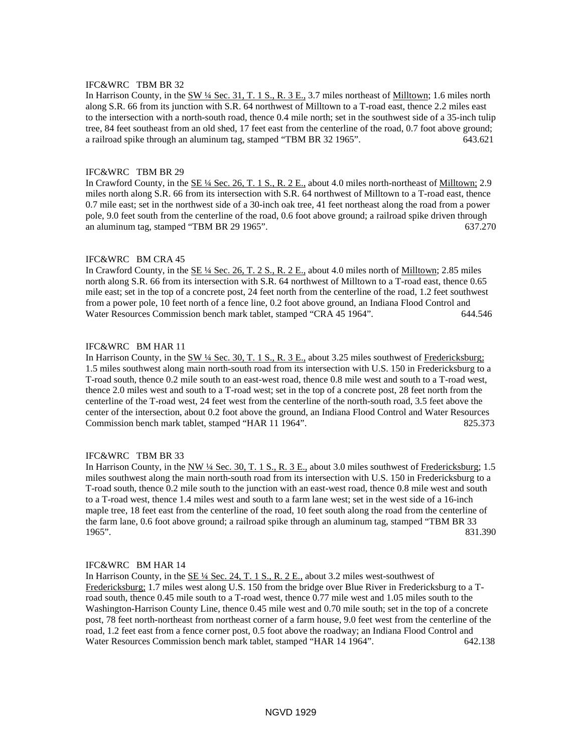# IFC&WRC TBM BR 32

In Harrison County, in the SW 14 Sec. 31, T. 1 S., R. 3 E., 3.7 miles northeast of Milltown; 1.6 miles north along S.R. 66 from its junction with S.R. 64 northwest of Milltown to a T-road east, thence 2.2 miles east to the intersection with a north-south road, thence 0.4 mile north; set in the southwest side of a 35-inch tulip tree, 84 feet southeast from an old shed, 17 feet east from the centerline of the road, 0.7 foot above ground; a railroad spike through an aluminum tag, stamped "TBM BR 32 1965". 643.621

# IFC&WRC TBM BR 29

In Crawford County, in the <u>SE ¼ Sec. 26, T. 1 S., R. 2 E.</u>, about 4.0 miles north-northeast of Milltown; 2.9 miles north along S.R. 66 from its intersection with S.R. 64 northwest of Milltown to a T-road east, thence 0.7 mile east; set in the northwest side of a 30-inch oak tree, 41 feet northeast along the road from a power pole, 9.0 feet south from the centerline of the road, 0.6 foot above ground; a railroad spike driven through an aluminum tag, stamped "TBM BR 29 1965". 637.270

### IFC&WRC BM CRA 45

In Crawford County, in the <u>SE ¼ Sec. 26, T. 2 S., R. 2 E.</u>, about 4.0 miles north of <u>Milltown;</u> 2.85 miles north along S.R. 66 from its intersection with S.R. 64 northwest of Milltown to a T-road east, thence 0.65 mile east; set in the top of a concrete post, 24 feet north from the centerline of the road, 1.2 feet southwest from a power pole, 10 feet north of a fence line, 0.2 foot above ground, an Indiana Flood Control and Water Resources Commission bench mark tablet, stamped "CRA 45 1964". 644.546

## IFC&WRC BM HAR 11

In Harrison County, in the SW ¼ Sec. 30, T. 1 S., R. 3 E., about 3.25 miles southwest of Fredericksburg; 1.5 miles southwest along main north-south road from its intersection with U.S. 150 in Fredericksburg to a T-road south, thence 0.2 mile south to an east-west road, thence 0.8 mile west and south to a T-road west, thence 2.0 miles west and south to a T-road west; set in the top of a concrete post, 28 feet north from the centerline of the T-road west, 24 feet west from the centerline of the north-south road, 3.5 feet above the center of the intersection, about 0.2 foot above the ground, an Indiana Flood Control and Water Resources Commission bench mark tablet, stamped "HAR 11 1964". 825.373

#### IFC&WRC TBM BR 33

In Harrison County, in the NW ¼ Sec. 30, T. 1 S., R. 3 E., about 3.0 miles southwest of Fredericksburg; 1.5 miles southwest along the main north-south road from its intersection with U.S. 150 in Fredericksburg to a T-road south, thence 0.2 mile south to the junction with an east-west road, thence 0.8 mile west and south to a T-road west, thence 1.4 miles west and south to a farm lane west; set in the west side of a 16-inch maple tree, 18 feet east from the centerline of the road, 10 feet south along the road from the centerline of the farm lane, 0.6 foot above ground; a railroad spike through an aluminum tag, stamped "TBM BR 33 1965". 831.390

#### IFC&WRC BM HAR 14

In Harrison County, in the SE ¼ Sec. 24, T. 1 S., R. 2 E., about 3.2 miles west-southwest of Fredericksburg; 1.7 miles west along U.S. 150 from the bridge over Blue River in Fredericksburg to a Troad south, thence 0.45 mile south to a T-road west, thence 0.77 mile west and 1.05 miles south to the Washington-Harrison County Line, thence 0.45 mile west and 0.70 mile south; set in the top of a concrete post, 78 feet north-northeast from northeast corner of a farm house, 9.0 feet west from the centerline of the road, 1.2 feet east from a fence corner post, 0.5 foot above the roadway; an Indiana Flood Control and Water Resources Commission bench mark tablet, stamped "HAR 14 1964". 642.138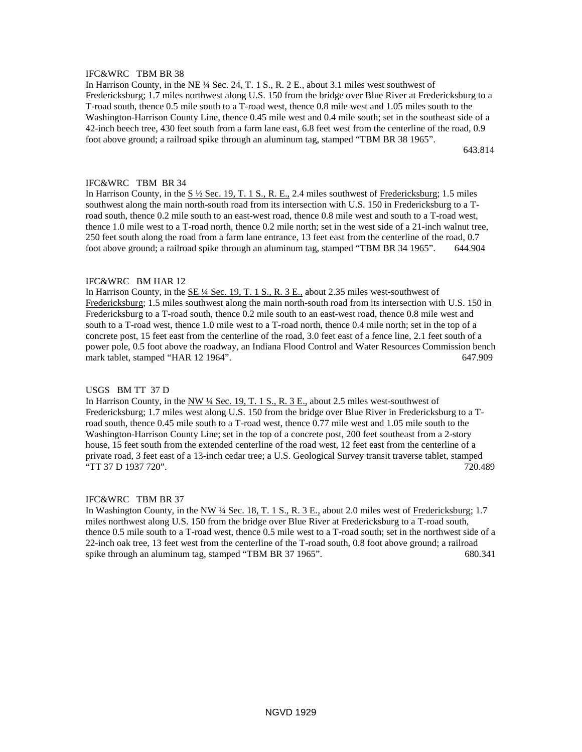# IFC&WRC TBM BR 38

In Harrison County, in the NE ¼ Sec. 24, T. 1 S., R. 2 E., about 3.1 miles west southwest of Fredericksburg; 1.7 miles northwest along U.S. 150 from the bridge over Blue River at Fredericksburg to a T-road south, thence 0.5 mile south to a T-road west, thence 0.8 mile west and 1.05 miles south to the Washington-Harrison County Line, thence 0.45 mile west and 0.4 mile south; set in the southeast side of a 42-inch beech tree, 430 feet south from a farm lane east, 6.8 feet west from the centerline of the road, 0.9 foot above ground; a railroad spike through an aluminum tag, stamped "TBM BR 38 1965".

643.814

## IFC&WRC TBM BR 34

In Harrison County, in the S ½ Sec. 19, T. 1 S., R. E., 2.4 miles southwest of Fredericksburg; 1.5 miles southwest along the main north-south road from its intersection with U.S. 150 in Fredericksburg to a Troad south, thence 0.2 mile south to an east-west road, thence 0.8 mile west and south to a T-road west, thence 1.0 mile west to a T-road north, thence 0.2 mile north; set in the west side of a 21-inch walnut tree, 250 feet south along the road from a farm lane entrance, 13 feet east from the centerline of the road, 0.7 foot above ground; a railroad spike through an aluminum tag, stamped "TBM BR 34 1965". 644.904

#### IFC&WRC BM HAR 12

In Harrison County, in the  $SE\frac{1}{4}$  Sec. 19, T. 1 S., R. 3 E., about 2.35 miles west-southwest of Fredericksburg; 1.5 miles southwest along the main north-south road from its intersection with U.S. 150 in Fredericksburg to a T-road south, thence 0.2 mile south to an east-west road, thence 0.8 mile west and south to a T-road west, thence 1.0 mile west to a T-road north, thence 0.4 mile north; set in the top of a concrete post, 15 feet east from the centerline of the road, 3.0 feet east of a fence line, 2.1 feet south of a power pole, 0.5 foot above the roadway, an Indiana Flood Control and Water Resources Commission bench mark tablet, stamped "HAR 12 1964". 647.909

#### USGS BM TT 37 D

In Harrison County, in the NW 1/4 Sec. 19, T. 1 S., R. 3 E., about 2.5 miles west-southwest of Fredericksburg; 1.7 miles west along U.S. 150 from the bridge over Blue River in Fredericksburg to a Troad south, thence 0.45 mile south to a T-road west, thence 0.77 mile west and 1.05 mile south to the Washington-Harrison County Line; set in the top of a concrete post, 200 feet southeast from a 2-story house, 15 feet south from the extended centerline of the road west, 12 feet east from the centerline of a private road, 3 feet east of a 13-inch cedar tree; a U.S. Geological Survey transit traverse tablet, stamped "TT 37 D 1937 720". 720.489

#### IFC&WRC TBM BR 37

In Washington County, in the NW ¼ Sec. 18, T. 1 S., R. 3 E., about 2.0 miles west of Fredericksburg; 1.7 miles northwest along U.S. 150 from the bridge over Blue River at Fredericksburg to a T-road south, thence 0.5 mile south to a T-road west, thence 0.5 mile west to a T-road south; set in the northwest side of a 22-inch oak tree, 13 feet west from the centerline of the T-road south, 0.8 foot above ground; a railroad spike through an aluminum tag, stamped "TBM BR 37 1965". 680.341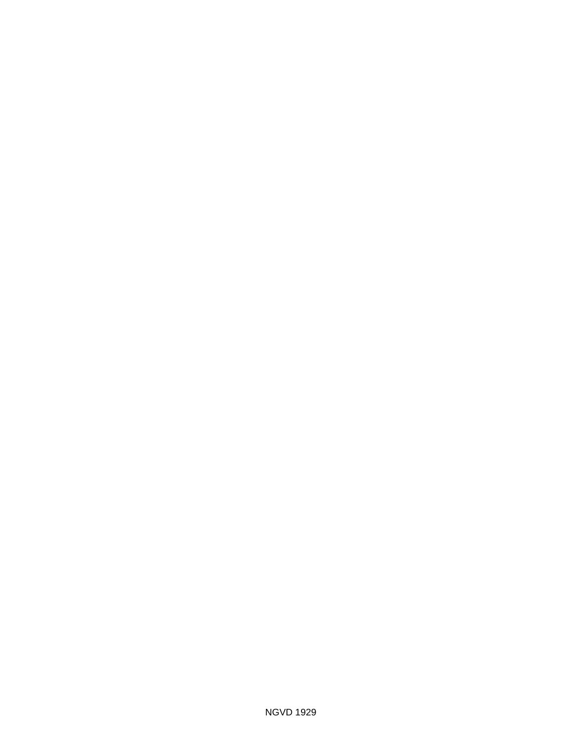NGVD 1929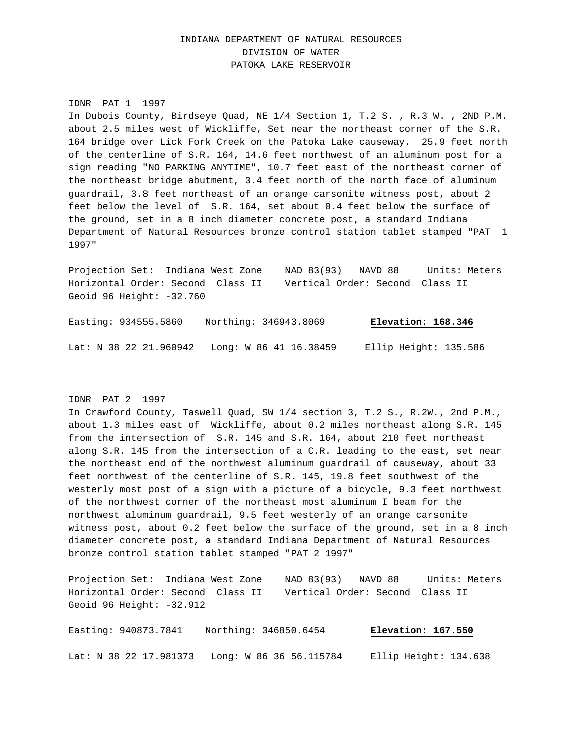# INDIANA DEPARTMENT OF NATURAL RESOURCES DIVISION OF WATER PATOKA LAKE RESERVOIR

#### IDNR PAT 1 1997

In Dubois County, Birdseye Quad, NE 1/4 Section 1, T.2 S. , R.3 W. , 2ND P.M. about 2.5 miles west of Wickliffe, Set near the northeast corner of the S.R. 164 bridge over Lick Fork Creek on the Patoka Lake causeway. 25.9 feet north of the centerline of S.R. 164, 14.6 feet northwest of an aluminum post for a sign reading "NO PARKING ANYTIME", 10.7 feet east of the northeast corner of the northeast bridge abutment, 3.4 feet north of the north face of aluminum guardrail, 3.8 feet northeast of an orange carsonite witness post, about 2 feet below the level of S.R. 164, set about 0.4 feet below the surface of the ground, set in a 8 inch diameter concrete post, a standard Indiana Department of Natural Resources bronze control station tablet stamped "PAT 1 1997"

Projection Set: Indiana West Zone NAD 83(93) NAVD 88 Units: Meters Horizontal Order: Second Class II Vertical Order: Second Class II Geoid 96 Height: -32.760

Easting: 934555.5860 Northing: 346943.8069 **Elevation: 168.346** Lat: N 38 22 21.960942 Long: W 86 41 16.38459 Ellip Height: 135.586

#### IDNR PAT 2 1997

In Crawford County, Taswell Quad, SW 1/4 section 3, T.2 S., R.2W., 2nd P.M., about 1.3 miles east of Wickliffe, about 0.2 miles northeast along S.R. 145 from the intersection of S.R. 145 and S.R. 164, about 210 feet northeast along S.R. 145 from the intersection of a C.R. leading to the east, set near the northeast end of the northwest aluminum guardrail of causeway, about 33 feet northwest of the centerline of S.R. 145, 19.8 feet southwest of the westerly most post of a sign with a picture of a bicycle, 9.3 feet northwest of the northwest corner of the northeast most aluminum I beam for the northwest aluminum guardrail, 9.5 feet westerly of an orange carsonite witness post, about 0.2 feet below the surface of the ground, set in a 8 inch diameter concrete post, a standard Indiana Department of Natural Resources bronze control station tablet stamped "PAT 2 1997"

Projection Set: Indiana West Zone NAD 83(93) NAVD 88 Units: Meters Horizontal Order: Second Class II Vertical Order: Second Class II Geoid 96 Height: -32.912

Easting: 940873.7841 Northing: 346850.6454 **Elevation: 167.550** Lat: N 38 22 17.981373 Long: W 86 36 56.115784 Ellip Height: 134.638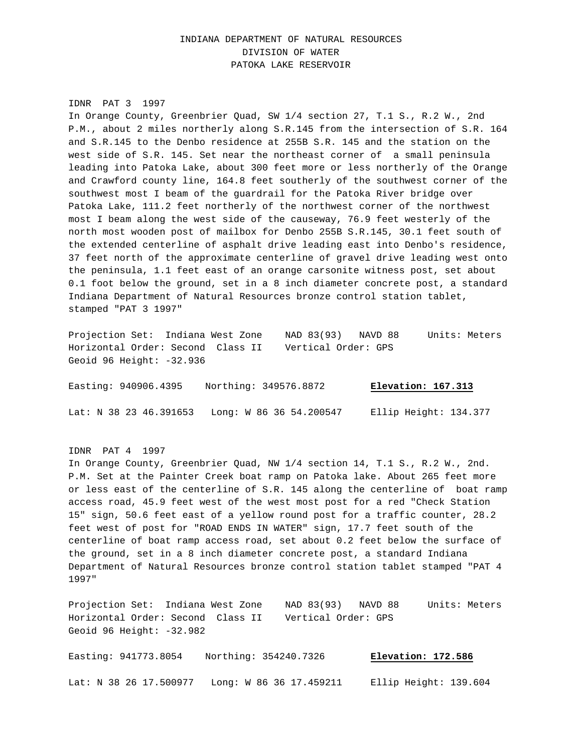# INDIANA DEPARTMENT OF NATURAL RESOURCES DIVISION OF WATER PATOKA LAKE RESERVOIR

#### IDNR PAT 3 1997

In Orange County, Greenbrier Quad, SW 1/4 section 27, T.1 S., R.2 W., 2nd P.M., about 2 miles northerly along S.R.145 from the intersection of S.R. 164 and S.R.145 to the Denbo residence at 255B S.R. 145 and the station on the west side of S.R. 145. Set near the northeast corner of a small peninsula leading into Patoka Lake, about 300 feet more or less northerly of the Orange and Crawford county line, 164.8 feet southerly of the southwest corner of the southwest most I beam of the guardrail for the Patoka River bridge over Patoka Lake, 111.2 feet northerly of the northwest corner of the northwest most I beam along the west side of the causeway, 76.9 feet westerly of the north most wooden post of mailbox for Denbo 255B S.R.145, 30.1 feet south of the extended centerline of asphalt drive leading east into Denbo's residence, 37 feet north of the approximate centerline of gravel drive leading west onto the peninsula, 1.1 feet east of an orange carsonite witness post, set about 0.1 foot below the ground, set in a 8 inch diameter concrete post, a standard Indiana Department of Natural Resources bronze control station tablet, stamped "PAT 3 1997"

Projection Set: Indiana West Zone NAD 83(93) NAVD 88 Units: Meters Horizontal Order: Second Class II Vertical Order: GPS Geoid 96 Height: -32.936

Easting: 940906.4395 Northing: 349576.8872 **Elevation: 167.313** Lat: N 38 23 46.391653 Long: W 86 36 54.200547 Ellip Height: 134.377

IDNR PAT 4 1997

In Orange County, Greenbrier Quad, NW 1/4 section 14, T.1 S., R.2 W., 2nd. P.M. Set at the Painter Creek boat ramp on Patoka lake. About 265 feet more or less east of the centerline of S.R. 145 along the centerline of boat ramp access road, 45.9 feet west of the west most post for a red "Check Station 15" sign, 50.6 feet east of a yellow round post for a traffic counter, 28.2 feet west of post for "ROAD ENDS IN WATER" sign, 17.7 feet south of the centerline of boat ramp access road, set about 0.2 feet below the surface of the ground, set in a 8 inch diameter concrete post, a standard Indiana Department of Natural Resources bronze control station tablet stamped "PAT 4 1997"

Projection Set: Indiana West Zone NAD 83(93) NAVD 88 Units: Meters Horizontal Order: Second Class II Vertical Order: GPS Geoid 96 Height: -32.982

Easting: 941773.8054 Northing: 354240.7326 **Elevation: 172.586** Lat: N 38 26 17.500977 Long: W 86 36 17.459211 Ellip Height: 139.604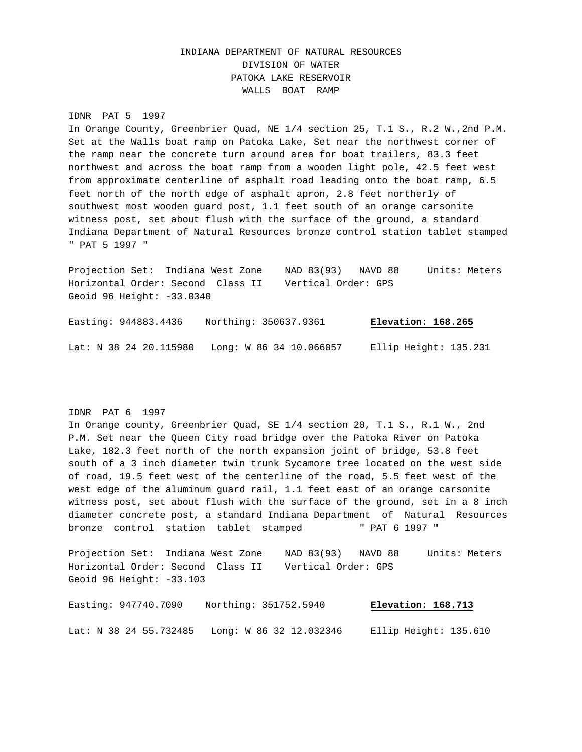# INDIANA DEPARTMENT OF NATURAL RESOURCES DIVISION OF WATER PATOKA LAKE RESERVOIR WALLS BOAT RAMP

#### IDNR PAT 5 1997

In Orange County, Greenbrier Quad, NE 1/4 section 25, T.1 S., R.2 W.,2nd P.M. Set at the Walls boat ramp on Patoka Lake, Set near the northwest corner of the ramp near the concrete turn around area for boat trailers, 83.3 feet northwest and across the boat ramp from a wooden light pole, 42.5 feet west from approximate centerline of asphalt road leading onto the boat ramp, 6.5 feet north of the north edge of asphalt apron, 2.8 feet northerly of southwest most wooden guard post, 1.1 feet south of an orange carsonite witness post, set about flush with the surface of the ground, a standard Indiana Department of Natural Resources bronze control station tablet stamped " PAT 5 1997 "

Projection Set: Indiana West Zone NAD 83(93) NAVD 88 Units: Meters Horizontal Order: Second Class II Vertical Order: GPS Geoid 96 Height: -33.0340

Easting: 944883.4436 Northing: 350637.9361 **Elevation: 168.265** Lat: N 38 24 20.115980 Long: W 86 34 10.066057 Ellip Height: 135.231

## IDNR PAT 6 1997

In Orange county, Greenbrier Quad, SE 1/4 section 20, T.1 S., R.1 W., 2nd P.M. Set near the Queen City road bridge over the Patoka River on Patoka Lake, 182.3 feet north of the north expansion joint of bridge, 53.8 feet south of a 3 inch diameter twin trunk Sycamore tree located on the west side of road, 19.5 feet west of the centerline of the road, 5.5 feet west of the west edge of the aluminum guard rail, 1.1 feet east of an orange carsonite witness post, set about flush with the surface of the ground, set in a 8 inch diameter concrete post, a standard Indiana Department of Natural Resources bronze control station tablet stamped " PAT 6 1997 "

Projection Set: Indiana West Zone NAD 83(93) NAVD 88 Units: Meters Horizontal Order: Second Class II Vertical Order: GPS Geoid 96 Height: -33.103

Easting: 947740.7090 Northing: 351752.5940 **Elevation: 168.713** Lat: N 38 24 55.732485 Long: W 86 32 12.032346 Ellip Height: 135.610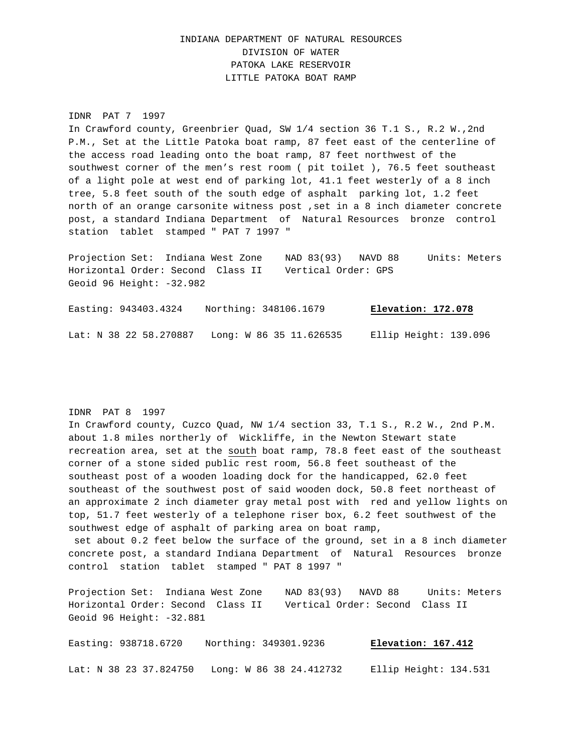# INDIANA DEPARTMENT OF NATURAL RESOURCES DIVISION OF WATER PATOKA LAKE RESERVOIR LITTLE PATOKA BOAT RAMP

#### IDNR PAT 7 1997

In Crawford county, Greenbrier Quad, SW 1/4 section 36 T.1 S., R.2 W.,2nd P.M., Set at the Little Patoka boat ramp, 87 feet east of the centerline of the access road leading onto the boat ramp, 87 feet northwest of the southwest corner of the men's rest room ( pit toilet ), 76.5 feet southeast of a light pole at west end of parking lot, 41.1 feet westerly of a 8 inch tree, 5.8 feet south of the south edge of asphalt parking lot, 1.2 feet north of an orange carsonite witness post ,set in a 8 inch diameter concrete post, a standard Indiana Department of Natural Resources bronze control station tablet stamped " PAT 7 1997 "

Projection Set: Indiana West Zone NAD 83(93) NAVD 88 Units: Meters Horizontal Order: Second Class II Vertical Order: GPS Geoid 96 Height: -32.982

Easting: 943403.4324 Northing: 348106.1679 **Elevation: 172.078** Lat: N 38 22 58.270887 Long: W 86 35 11.626535 Ellip Height: 139.096

#### IDNR PAT 8 1997

In Crawford county, Cuzco Quad, NW 1/4 section 33, T.1 S., R.2 W., 2nd P.M. about 1.8 miles northerly of Wickliffe, in the Newton Stewart state recreation area, set at the south boat ramp, 78.8 feet east of the southeast corner of a stone sided public rest room, 56.8 feet southeast of the southeast post of a wooden loading dock for the handicapped, 62.0 feet southeast of the southwest post of said wooden dock, 50.8 feet northeast of an approximate 2 inch diameter gray metal post with red and yellow lights on top, 51.7 feet westerly of a telephone riser box, 6.2 feet southwest of the southwest edge of asphalt of parking area on boat ramp, set about 0.2 feet below the surface of the ground, set in a 8 inch diameter concrete post, a standard Indiana Department of Natural Resources bronze control station tablet stamped " PAT 8 1997 "

Projection Set: Indiana West Zone NAD 83(93) NAVD 88 Units: Meters Horizontal Order: Second Class II Vertical Order: Second Class II Geoid 96 Height: -32.881

Easting: 938718.6720 Northing: 349301.9236 **Elevation: 167.412** Lat: N 38 23 37.824750 Long: W 86 38 24.412732 Ellip Height: 134.531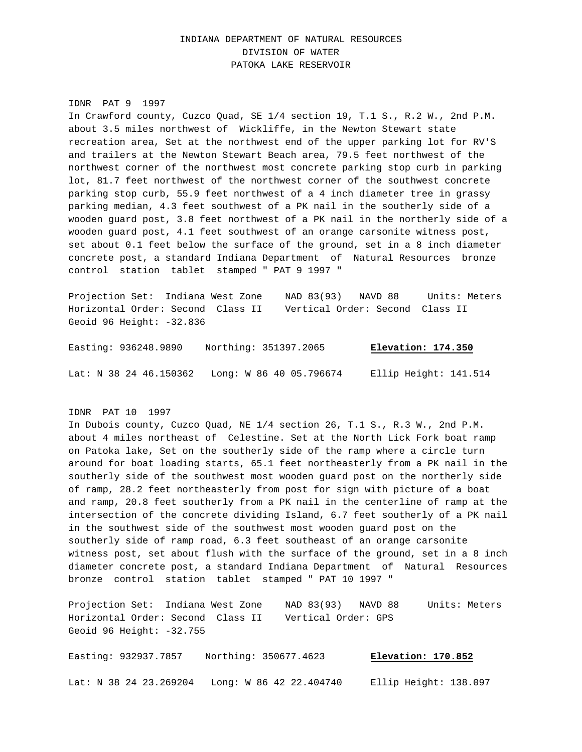# INDIANA DEPARTMENT OF NATURAL RESOURCES DIVISION OF WATER PATOKA LAKE RESERVOIR

#### IDNR PAT 9 1997

In Crawford county, Cuzco Quad, SE 1/4 section 19, T.1 S., R.2 W., 2nd P.M. about 3.5 miles northwest of Wickliffe, in the Newton Stewart state recreation area, Set at the northwest end of the upper parking lot for RV'S and trailers at the Newton Stewart Beach area, 79.5 feet northwest of the northwest corner of the northwest most concrete parking stop curb in parking lot, 81.7 feet northwest of the northwest corner of the southwest concrete parking stop curb, 55.9 feet northwest of a 4 inch diameter tree in grassy parking median, 4.3 feet southwest of a PK nail in the southerly side of a wooden guard post, 3.8 feet northwest of a PK nail in the northerly side of a wooden guard post, 4.1 feet southwest of an orange carsonite witness post, set about 0.1 feet below the surface of the ground, set in a 8 inch diameter concrete post, a standard Indiana Department of Natural Resources bronze control station tablet stamped " PAT 9 1997 "

Projection Set: Indiana West Zone NAD 83(93) NAVD 88 Units: Meters Horizontal Order: Second Class II Vertical Order: Second Class II Geoid 96 Height: -32.836

Easting: 936248.9890 Northing: 351397.2065 **Elevation: 174.350**

Lat: N 38 24 46.150362 Long: W 86 40 05.796674 Ellip Height: 141.514

#### IDNR PAT 10 1997

In Dubois county, Cuzco Quad, NE 1/4 section 26, T.1 S., R.3 W., 2nd P.M. about 4 miles northeast of Celestine. Set at the North Lick Fork boat ramp on Patoka lake, Set on the southerly side of the ramp where a circle turn around for boat loading starts, 65.1 feet northeasterly from a PK nail in the southerly side of the southwest most wooden guard post on the northerly side of ramp, 28.2 feet northeasterly from post for sign with picture of a boat and ramp, 20.8 feet southerly from a PK nail in the centerline of ramp at the intersection of the concrete dividing Island, 6.7 feet southerly of a PK nail in the southwest side of the southwest most wooden guard post on the southerly side of ramp road, 6.3 feet southeast of an orange carsonite witness post, set about flush with the surface of the ground, set in a 8 inch diameter concrete post, a standard Indiana Department of Natural Resources bronze control station tablet stamped " PAT 10 1997 "

Projection Set: Indiana West Zone NAD 83(93) NAVD 88 Units: Meters Horizontal Order: Second Class II Vertical Order: GPS Geoid 96 Height: -32.755

Easting: 932937.7857 Northing: 350677.4623 **Elevation: 170.852** Lat: N 38 24 23.269204 Long: W 86 42 22.404740 Ellip Height: 138.097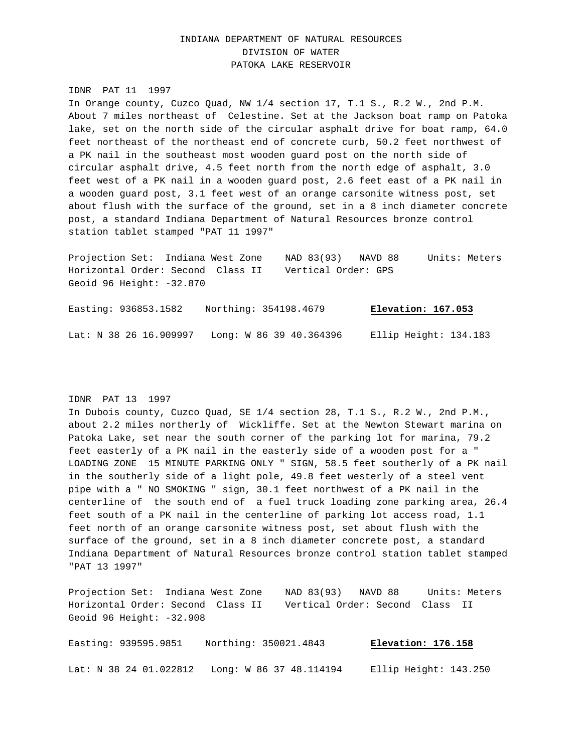# INDIANA DEPARTMENT OF NATURAL RESOURCES DIVISION OF WATER PATOKA LAKE RESERVOIR

IDNR PAT 11 1997 In Orange county, Cuzco Quad, NW 1/4 section 17, T.1 S., R.2 W., 2nd P.M. About 7 miles northeast of Celestine. Set at the Jackson boat ramp on Patoka lake, set on the north side of the circular asphalt drive for boat ramp, 64.0 feet northeast of the northeast end of concrete curb, 50.2 feet northwest of a PK nail in the southeast most wooden guard post on the north side of circular asphalt drive, 4.5 feet north from the north edge of asphalt, 3.0 feet west of a PK nail in a wooden guard post, 2.6 feet east of a PK nail in a wooden guard post, 3.1 feet west of an orange carsonite witness post, set about flush with the surface of the ground, set in a 8 inch diameter concrete post, a standard Indiana Department of Natural Resources bronze control station tablet stamped "PAT 11 1997"

Projection Set: Indiana West Zone NAD 83(93) NAVD 88 Units: Meters Horizontal Order: Second Class II Vertical Order: GPS Geoid 96 Height: -32.870

Easting: 936853.1582 Northing: 354198.4679 **Elevation: 167.053** Lat: N 38 26 16.909997 Long: W 86 39 40.364396 Ellip Height: 134.183

## IDNR PAT 13 1997

In Dubois county, Cuzco Quad, SE 1/4 section 28, T.1 S., R.2 W., 2nd P.M., about 2.2 miles northerly of Wickliffe. Set at the Newton Stewart marina on Patoka Lake, set near the south corner of the parking lot for marina, 79.2 feet easterly of a PK nail in the easterly side of a wooden post for a " LOADING ZONE 15 MINUTE PARKING ONLY " SIGN, 58.5 feet southerly of a PK nail in the southerly side of a light pole, 49.8 feet westerly of a steel vent pipe with a " NO SMOKING " sign, 30.1 feet northwest of a PK nail in the centerline of the south end of a fuel truck loading zone parking area, 26.4 feet south of a PK nail in the centerline of parking lot access road, 1.1 feet north of an orange carsonite witness post, set about flush with the surface of the ground, set in a 8 inch diameter concrete post, a standard Indiana Department of Natural Resources bronze control station tablet stamped "PAT 13 1997"

Projection Set: Indiana West Zone NAD 83(93) NAVD 88 Units: Meters Horizontal Order: Second Class II Vertical Order: Second Class II Geoid 96 Height: -32.908

Easting: 939595.9851 Northing: 350021.4843 **Elevation: 176.158** Lat: N 38 24 01.022812 Long: W 86 37 48.114194 Ellip Height: 143.250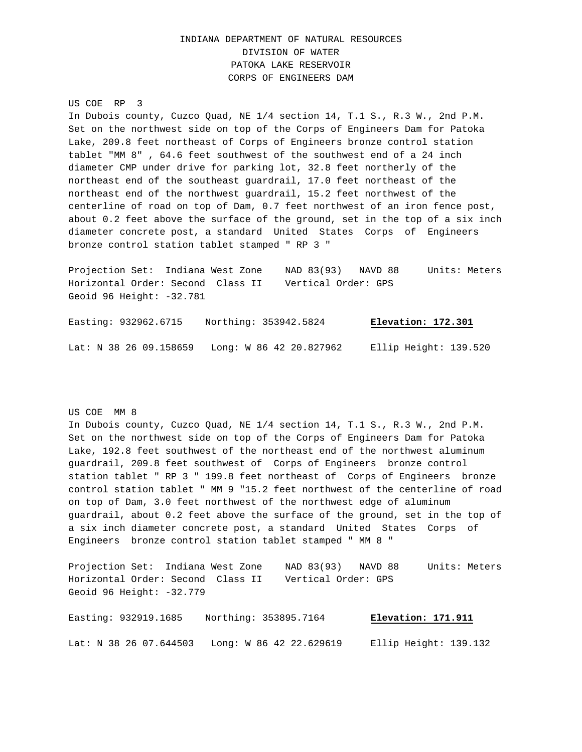# INDIANA DEPARTMENT OF NATURAL RESOURCES DIVISION OF WATER PATOKA LAKE RESERVOIR CORPS OF ENGINEERS DAM

US COE RP 3

In Dubois county, Cuzco Quad, NE 1/4 section 14, T.1 S., R.3 W., 2nd P.M. Set on the northwest side on top of the Corps of Engineers Dam for Patoka Lake, 209.8 feet northeast of Corps of Engineers bronze control station tablet "MM 8" , 64.6 feet southwest of the southwest end of a 24 inch diameter CMP under drive for parking lot, 32.8 feet northerly of the northeast end of the southeast guardrail, 17.0 feet northeast of the northeast end of the northwest guardrail, 15.2 feet northwest of the centerline of road on top of Dam, 0.7 feet northwest of an iron fence post, about 0.2 feet above the surface of the ground, set in the top of a six inch diameter concrete post, a standard United States Corps of Engineers bronze control station tablet stamped " RP 3 "

Projection Set: Indiana West Zone NAD 83(93) NAVD 88 Units: Meters Horizontal Order: Second Class II Vertical Order: GPS Geoid 96 Height: -32.781

Easting: 932962.6715 Northing: 353942.5824 **Elevation: 172.301** Lat: N 38 26 09.158659 Long: W 86 42 20.827962 Ellip Height: 139.520

US COE MM 8

In Dubois county, Cuzco Quad, NE 1/4 section 14, T.1 S., R.3 W., 2nd P.M. Set on the northwest side on top of the Corps of Engineers Dam for Patoka Lake, 192.8 feet southwest of the northeast end of the northwest aluminum guardrail, 209.8 feet southwest of Corps of Engineers bronze control station tablet " RP 3 " 199.8 feet northeast of Corps of Engineers bronze control station tablet " MM 9 "15.2 feet northwest of the centerline of road on top of Dam, 3.0 feet northwest of the northwest edge of aluminum guardrail, about 0.2 feet above the surface of the ground, set in the top of a six inch diameter concrete post, a standard United States Corps of Engineers bronze control station tablet stamped " MM 8 "

Projection Set: Indiana West Zone NAD 83(93) NAVD 88 Units: Meters Horizontal Order: Second Class II Vertical Order: GPS Geoid 96 Height: -32.779

Easting: 932919.1685 Northing: 353895.7164 **Elevation: 171.911** Lat: N 38 26 07.644503 Long: W 86 42 22.629619 Ellip Height: 139.132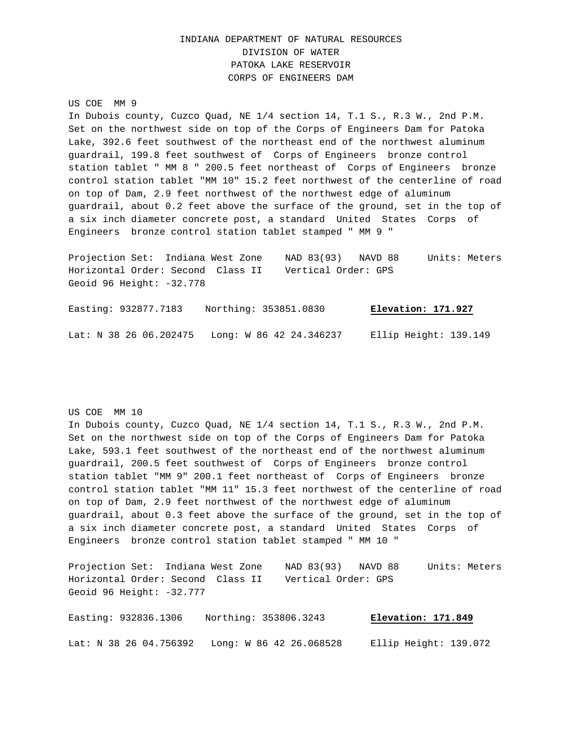# INDIANA DEPARTMENT OF NATURAL RESOURCES DIVISION OF WATER PATOKA LAKE RESERVOIR CORPS OF ENGINEERS DAM

#### US COE MM 9

In Dubois county, Cuzco Quad, NE 1/4 section 14, T.1 S., R.3 W., 2nd P.M. Set on the northwest side on top of the Corps of Engineers Dam for Patoka Lake, 392.6 feet southwest of the northeast end of the northwest aluminum guardrail, 199.8 feet southwest of Corps of Engineers bronze control station tablet " MM 8 " 200.5 feet northeast of Corps of Engineers bronze control station tablet "MM 10" 15.2 feet northwest of the centerline of road on top of Dam, 2.9 feet northwest of the northwest edge of aluminum guardrail, about 0.2 feet above the surface of the ground, set in the top of a six inch diameter concrete post, a standard United States Corps of Engineers bronze control station tablet stamped " MM 9 "

Projection Set: Indiana West Zone NAD 83(93) NAVD 88 Units: Meters Horizontal Order: Second Class II Vertical Order: GPS Geoid 96 Height: -32.778

Easting: 932877.7183 Northing: 353851.0830 **Elevation: 171.927** Lat: N 38 26 06.202475 Long: W 86 42 24.346237 Ellip Height: 139.149

US COE MM 10

In Dubois county, Cuzco Quad, NE 1/4 section 14, T.1 S., R.3 W., 2nd P.M. Set on the northwest side on top of the Corps of Engineers Dam for Patoka Lake, 593.1 feet southwest of the northeast end of the northwest aluminum guardrail, 200.5 feet southwest of Corps of Engineers bronze control station tablet "MM 9" 200.1 feet northeast of Corps of Engineers bronze control station tablet "MM 11" 15.3 feet northwest of the centerline of road on top of Dam, 2.9 feet northwest of the northwest edge of aluminum guardrail, about 0.3 feet above the surface of the ground, set in the top of a six inch diameter concrete post, a standard United States Corps of Engineers bronze control station tablet stamped " MM 10 "

Projection Set: Indiana West Zone NAD 83(93) NAVD 88 Units: Meters Horizontal Order: Second Class II Vertical Order: GPS Geoid 96 Height: -32.777

Easting: 932836.1306 Northing: 353806.3243 **Elevation: 171.849** Lat: N 38 26 04.756392 Long: W 86 42 26.068528 Ellip Height: 139.072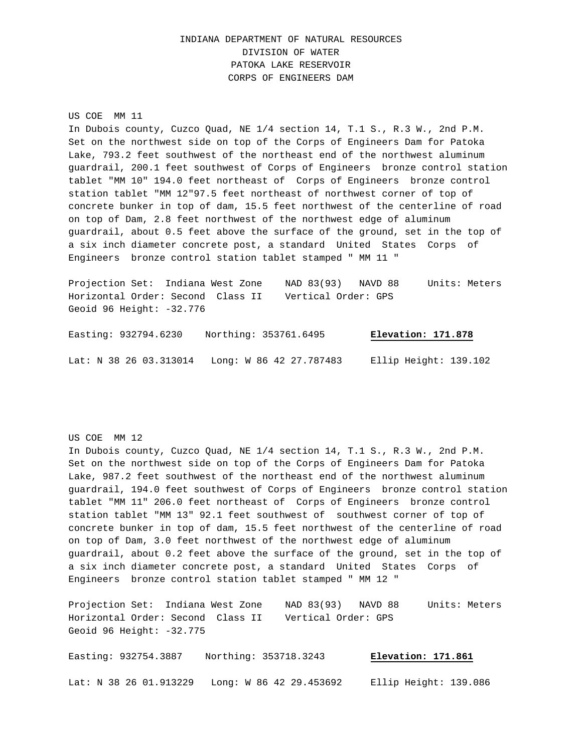# INDIANA DEPARTMENT OF NATURAL RESOURCES DIVISION OF WATER PATOKA LAKE RESERVOIR CORPS OF ENGINEERS DAM

US COE MM 11 In Dubois county, Cuzco Quad, NE 1/4 section 14, T.1 S., R.3 W., 2nd P.M. Set on the northwest side on top of the Corps of Engineers Dam for Patoka Lake, 793.2 feet southwest of the northeast end of the northwest aluminum guardrail, 200.1 feet southwest of Corps of Engineers bronze control station tablet "MM 10" 194.0 feet northeast of Corps of Engineers bronze control station tablet "MM 12"97.5 feet northeast of northwest corner of top of concrete bunker in top of dam, 15.5 feet northwest of the centerline of road on top of Dam, 2.8 feet northwest of the northwest edge of aluminum guardrail, about 0.5 feet above the surface of the ground, set in the top of a six inch diameter concrete post, a standard United States Corps of Engineers bronze control station tablet stamped " MM 11 "

Projection Set: Indiana West Zone NAD 83(93) NAVD 88 Units: Meters Horizontal Order: Second Class II Vertical Order: GPS Geoid 96 Height: -32.776

Easting: 932794.6230 Northing: 353761.6495 **Elevation: 171.878** Lat: N 38 26 03.313014 Long: W 86 42 27.787483 Ellip Height: 139.102

US COE MM 12

In Dubois county, Cuzco Quad, NE 1/4 section 14, T.1 S., R.3 W., 2nd P.M. Set on the northwest side on top of the Corps of Engineers Dam for Patoka Lake, 987.2 feet southwest of the northeast end of the northwest aluminum guardrail, 194.0 feet southwest of Corps of Engineers bronze control station tablet "MM 11" 206.0 feet northeast of Corps of Engineers bronze control station tablet "MM 13" 92.1 feet southwest of southwest corner of top of concrete bunker in top of dam, 15.5 feet northwest of the centerline of road on top of Dam, 3.0 feet northwest of the northwest edge of aluminum guardrail, about 0.2 feet above the surface of the ground, set in the top of a six inch diameter concrete post, a standard United States Corps of Engineers bronze control station tablet stamped " MM 12 "

Projection Set: Indiana West Zone NAD 83(93) NAVD 88 Units: Meters Horizontal Order: Second Class II Vertical Order: GPS Geoid 96 Height: -32.775

Easting: 932754.3887 Northing: 353718.3243 **Elevation: 171.861** Lat: N 38 26 01.913229 Long: W 86 42 29.453692 Ellip Height: 139.086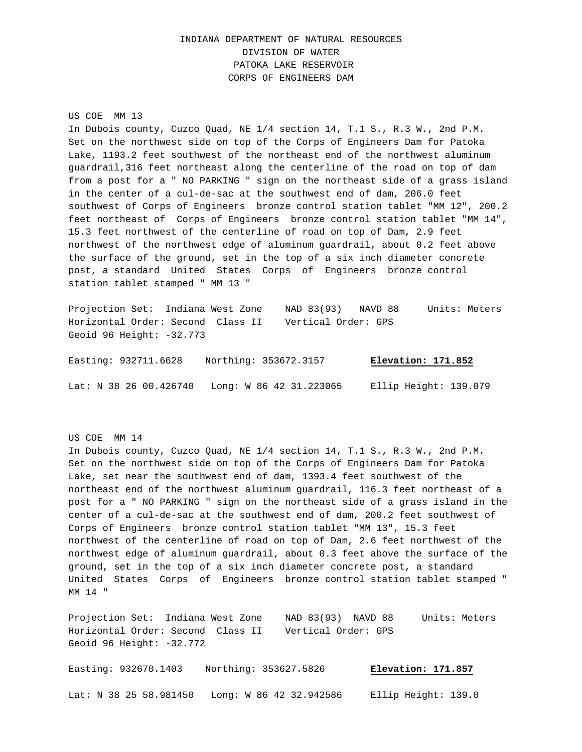# INDIANA DEPARTMENT OF NATURAL RESOURCES DIVISION OF WATER PATOKA LAKE RESERVOIR CORPS OF ENGINEERS DAM

US COE MM 13

In Dubois county, Cuzco Quad, NE 1/4 section 14, T.1 S., R.3 W., 2nd P.M. Set on the northwest side on top of the Corps of Engineers Dam for Patoka Lake, 1193.2 feet southwest of the northeast end of the northwest aluminum guardrail,316 feet northeast along the centerline of the road on top of dam from a post for a " NO PARKING " sign on the northeast side of a grass island in the center of a cul-de-sac at the southwest end of dam, 206.0 feet southwest of Corps of Engineers bronze control station tablet "MM 12", 200.2 feet northeast of Corps of Engineers bronze control station tablet "MM 14", 15.3 feet northwest of the centerline of road on top of Dam, 2.9 feet northwest of the northwest edge of aluminum guardrail, about 0.2 feet above the surface of the ground, set in the top of a six inch diameter concrete post, a standard United States Corps of Engineers bronze control station tablet stamped " MM 13 "

Projection Set: Indiana West Zone NAD 83(93) NAVD 88 Units: Meters Horizontal Order: Second Class II Vertical Order: GPS Geoid 96 Height: -32.773

Easting: 932711.6628 Northing: 353672.3157 **Elevation: 171.852**

Lat: N 38 26 00.426740 Long: W 86 42 31.223065 Ellip Height: 139.079

US COE MM 14

In Dubois county, Cuzco Quad, NE 1/4 section 14, T.1 S., R.3 W., 2nd P.M. Set on the northwest side on top of the Corps of Engineers Dam for Patoka Lake, set near the southwest end of dam, 1393.4 feet southwest of the northeast end of the northwest aluminum guardrail, 116.3 feet northeast of a post for a " NO PARKING " sign on the northeast side of a grass island in the center of a cul-de-sac at the southwest end of dam, 200.2 feet southwest of Corps of Engineers bronze control station tablet "MM 13", 15.3 feet northwest of the centerline of road on top of Dam, 2.6 feet northwest of the northwest edge of aluminum guardrail, about 0.3 feet above the surface of the ground, set in the top of a six inch diameter concrete post, a standard United States Corps of Engineers bronze control station tablet stamped " MM 14 "

Projection Set: Indiana West Zone NAD 83(93) NAVD 88 Units: Meters Horizontal Order: Second Class II Vertical Order: GPS Geoid 96 Height: -32.772

Easting: 932670.1403 Northing: 353627.5826 **Elevation: 171.857** Lat: N 38 25 58.981450 Long: W 86 42 32.942586 Ellip Height: 139.0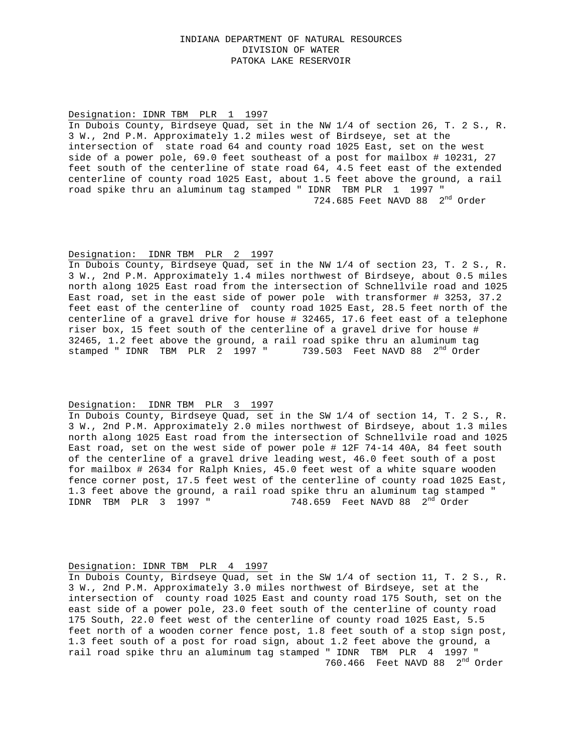### INDIANA DEPARTMENT OF NATURAL RESOURCES DIVISION OF WATER PATOKA LAKE RESERVOIR

#### Designation: IDNR TBM PLR 1 1997

In Dubois County, Birdseye Quad, set in the NW 1/4 of section 26, T. 2 S., R. 3 W., 2nd P.M. Approximately 1.2 miles west of Birdseye, set at the intersection of state road 64 and county road 1025 East, set on the west side of a power pole, 69.0 feet southeast of a post for mailbox # 10231, 27 feet south of the centerline of state road 64, 4.5 feet east of the extended centerline of county road 1025 East, about 1.5 feet above the ground, a rail road spike thru an aluminum tag stamped " IDNR TBM PLR 1 1997 " 724.685 Feet NAVD 88 2nd Order

#### Designation: IDNR TBM PLR 2 1997

In Dubois County, Birdseye Quad, set in the NW 1/4 of section 23, T. 2 S., R. 3 W., 2nd P.M. Approximately 1.4 miles northwest of Birdseye, about 0.5 miles north along 1025 East road from the intersection of Schnellvile road and 1025 East road, set in the east side of power pole with transformer # 3253, 37.2 feet east of the centerline of county road 1025 East, 28.5 feet north of the centerline of a gravel drive for house # 32465, 17.6 feet east of a telephone riser box, 15 feet south of the centerline of a gravel drive for house # 32465, 1.2 feet above the ground, a rail road spike thru an aluminum tag stamped " IDNR TBM PLR 2 1997 " 739.503 Feet NAVD 88 2<sup>nd</sup> Order

#### Designation: IDNR TBM PLR 3 1997

In Dubois County, Birdseye Quad, set in the SW 1/4 of section 14, T. 2 S., R. 3 W., 2nd P.M. Approximately 2.0 miles northwest of Birdseye, about 1.3 miles north along 1025 East road from the intersection of Schnellvile road and 1025 East road, set on the west side of power pole # 12F 74-14 40A, 84 feet south of the centerline of a gravel drive leading west, 46.0 feet south of a post for mailbox # 2634 for Ralph Knies, 45.0 feet west of a white square wooden fence corner post, 17.5 feet west of the centerline of county road 1025 East, 1.3 feet above the ground, a rail road spike thru an aluminum tag stamped " IDNR TBM PLR 3 1997 " 748.659Feet NAVD 88 2nd Order

#### Designation: IDNR TBM PLR 4 1997

In Dubois County, Birdseye Quad, set in the SW 1/4 of section 11, T. 2 S., R. 3 W., 2nd P.M. Approximately 3.0 miles northwest of Birdseye, set at the intersection of county road 1025 East and county road 175 South, set on the east side of a power pole, 23.0 feet south of the centerline of county road 175 South, 22.0 feet west of the centerline of county road 1025 East, 5.5 feet north of a wooden corner fence post, 1.8 feet south of a stop sign post, 1.3 feet south of a post for road sign, about 1.2 feet above the ground, a rail road spike thru an aluminum tag stamped " IDNR TBM PLR 4 1997 " 760.466 Feet NAVD 88 2<sup>nd</sup> Order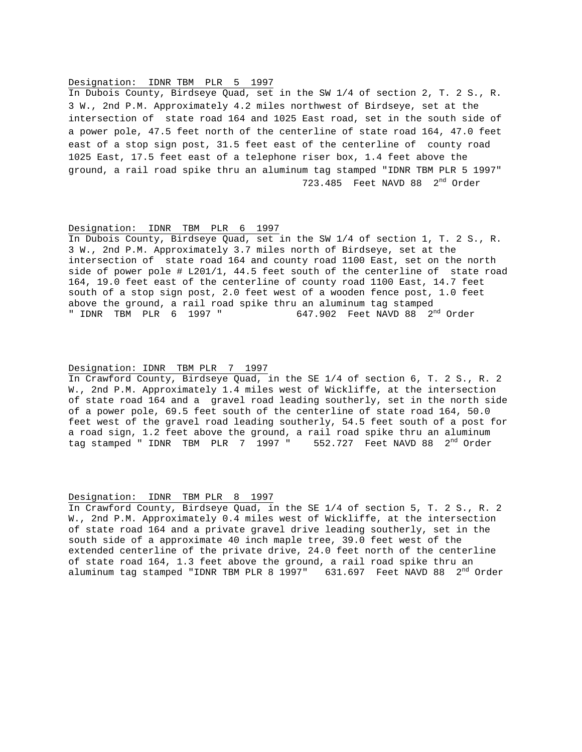#### Designation: IDNR TBM PLR 5 1997

In Dubois County, Birdseye Quad, set in the SW 1/4 of section 2, T. 2 S., R. 3 W., 2nd P.M. Approximately 4.2 miles northwest of Birdseye, set at the intersection of state road 164 and 1025 East road, set in the south side of a power pole, 47.5 feet north of the centerline of state road 164, 47.0 feet east of a stop sign post, 31.5 feet east of the centerline of county road 1025 East, 17.5 feet east of a telephone riser box, 1.4 feet above the ground, a rail road spike thru an aluminum tag stamped "IDNR TBM PLR 5 1997" 723.485 Feet NAVD 88 2<sup>nd</sup> Order

#### Designation: IDNR TBM PLR 6 1997

In Dubois County, Birdseye Quad, set in the SW 1/4 of section 1, T. 2 S., R. 3 W., 2nd P.M. Approximately 3.7 miles north of Birdseye, set at the intersection of state road 164 and county road 1100 East, set on the north side of power pole # L201/1, 44.5 feet south of the centerline of state road 164, 19.0 feet east of the centerline of county road 1100 East, 14.7 feet south of a stop sign post, 2.0 feet west of a wooden fence post, 1.0 feet above the ground, a rail road spike thru an aluminum tag stamped " IDNR TBM PLR  $6$  1997 " 647.902 Feet NAVD 88  $2<sup>nd</sup>$  Order

#### Designation: IDNR TBM PLR 7 1997

In Crawford County, Birdseye Quad, in the SE 1/4 of section 6, T. 2 S., R. 2 W., 2nd P.M. Approximately 1.4 miles west of Wickliffe, at the intersection of state road 164 and a gravel road leading southerly, set in the north side of a power pole, 69.5 feet south of the centerline of state road 164, 50.0 feet west of the gravel road leading southerly, 54.5 feet south of a post for a road sign, 1.2 feet above the ground, a rail road spike thru an aluminum tag stamped " IDNR TBM PLR  $7$  1997 " 552.727 Feet NAVD 88  $2<sup>nd</sup>$  Order

#### Designation: IDNR TBM PLR 8 1997

In Crawford County, Birdseye Quad, in the SE 1/4 of section 5, T. 2 S., R. 2 W., 2nd P.M. Approximately 0.4 miles west of Wickliffe, at the intersection of state road 164 and a private gravel drive leading southerly, set in the south side of a approximate 40 inch maple tree, 39.0 feet west of the extended centerline of the private drive, 24.0 feet north of the centerline of state road 164, 1.3 feet above the ground, a rail road spike thru an aluminum tag stamped "IDNR TBM PLR 8 1997"  $631.697$  Feet NAVD 88  $2<sup>nd</sup>$  Order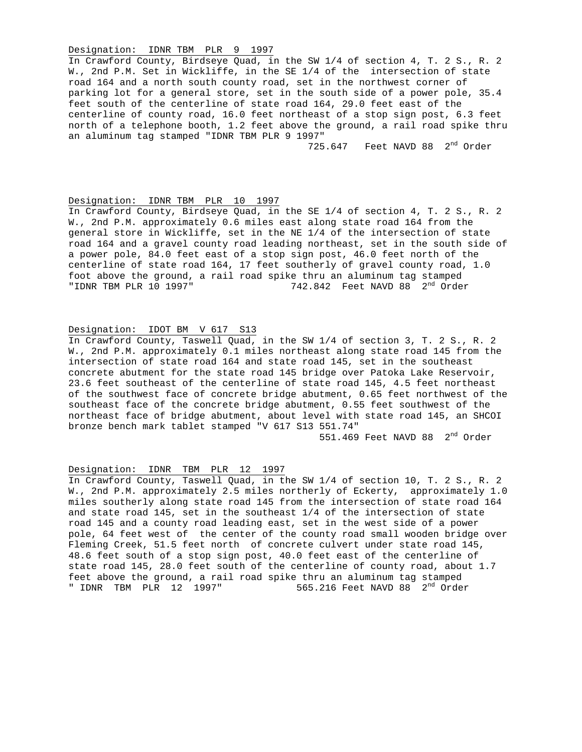#### Designation: IDNR TBM PLR 9 1997

In Crawford County, Birdseye Quad, in the SW 1/4 of section 4, T. 2 S., R. 2 W., 2nd P.M. Set in Wickliffe, in the SE 1/4 of the intersection of state road 164 and a north south county road, set in the northwest corner of parking lot for a general store, set in the south side of a power pole, 35.4 feet south of the centerline of state road 164, 29.0 feet east of the centerline of county road, 16.0 feet northeast of a stop sign post, 6.3 feet north of a telephone booth, 1.2 feet above the ground, a rail road spike thru an aluminum tag stamped "IDNR TBM PLR 9 1997"

725.647 Feet NAVD 88 2<sup>nd</sup> Order

#### Designation: IDNR TBM PLR 10 1997

In Crawford County, Birdseye Quad, in the SE 1/4 of section 4, T. 2 S., R. 2 W., 2nd P.M. approximately 0.6 miles east along state road 164 from the general store in Wickliffe, set in the NE 1/4 of the intersection of state road 164 and a gravel county road leading northeast, set in the south side of a power pole, 84.0 feet east of a stop sign post, 46.0 feet north of the centerline of state road 164, 17 feet southerly of gravel county road, 1.0 foot above the ground, a rail road spike thru an aluminum tag stamped "IDNR TBM PLR 10 1997"  $742.842$  Feet NAVD 88  $2<sup>nd</sup>$  Order

# Designation: IDOT BM V 617 S13

In Crawford County, Taswell Quad, in the SW 1/4 of section 3, T. 2 S., R. 2 W., 2nd P.M. approximately 0.1 miles northeast along state road 145 from the intersection of state road 164 and state road 145, set in the southeast concrete abutment for the state road 145 bridge over Patoka Lake Reservoir, 23.6 feet southeast of the centerline of state road 145, 4.5 feet northeast of the southwest face of concrete bridge abutment, 0.65 feet northwest of the southeast face of the concrete bridge abutment, 0.55 feet southwest of the northeast face of bridge abutment, about level with state road 145, an SHCOI bronze bench mark tablet stamped "V 617 S13 551.74"

551.469 Feet NAVD 88 2<sup>nd</sup> Order

## Designation: IDNR TBM PLR 12 1997

In Crawford County, Taswell Quad, in the SW 1/4 of section 10, T. 2 S., R. 2 W., 2nd P.M. approximately 2.5 miles northerly of Eckerty, approximately 1.0 miles southerly along state road 145 from the intersection of state road 164 and state road 145, set in the southeast 1/4 of the intersection of state road 145 and a county road leading east, set in the west side of a power pole, 64 feet west of the center of the county road small wooden bridge over Fleming Creek, 51.5 feet north of concrete culvert under state road 145, 48.6 feet south of a stop sign post, 40.0 feet east of the centerline of state road 145, 28.0 feet south of the centerline of county road, about 1.7 feet above the ground, a rail road spike thru an aluminum tag stamped " IDNR TBM PLR  $12$  1997" 565.216 Feet NAVD 88  $2^{\text{nd}}$  Order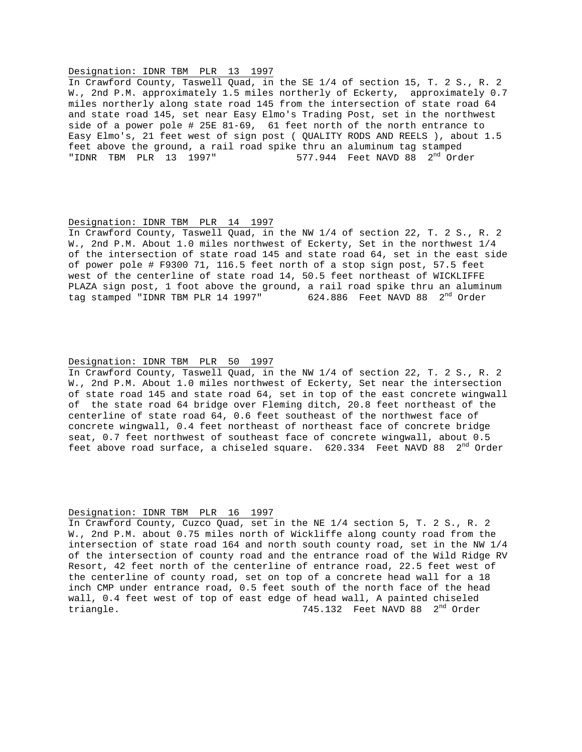#### Designation: IDNR TBM PLR 13 1997

In Crawford County, Taswell Quad, in the SE 1/4 of section 15, T. 2 S., R. 2 W., 2nd P.M. approximately 1.5 miles northerly of Eckerty, approximately 0.7 miles northerly along state road 145 from the intersection of state road 64 and state road 145, set near Easy Elmo's Trading Post, set in the northwest side of a power pole # 25E 81-69, 61 feet north of the north entrance to Easy Elmo's, 21 feet west of sign post ( QUALITY RODS AND REELS ), about 1.5 feet above the ground, a rail road spike thru an aluminum tag stamped "IDNR TBM PLR  $13$  1997" 577.944 Feet NAVD 88  $2<sup>nd</sup>$  Order

#### Designation: IDNR TBM PLR 14 1997

In Crawford County, Taswell Quad, in the NW 1/4 of section 22, T. 2 S., R. 2 W., 2nd P.M. About 1.0 miles northwest of Eckerty, Set in the northwest 1/4 of the intersection of state road 145 and state road 64, set in the east side of power pole # F9300 71, 116.5 feet north of a stop sign post, 57.5 feet west of the centerline of state road 14, 50.5 feet northeast of WICKLIFFE PLAZA sign post, 1 foot above the ground, a rail road spike thru an aluminum tag stamped "IDNR TBM PLR 14 1997" 624.886 Feet NAVD 88 2<sup>nd</sup> Order

#### Designation: IDNR TBM PLR 50 1997

In Crawford County, Taswell Quad, in the NW 1/4 of section 22, T. 2 S., R. 2 W., 2nd P.M. About 1.0 miles northwest of Eckerty, Set near the intersection of state road 145 and state road 64, set in top of the east concrete wingwall of the state road 64 bridge over Fleming ditch, 20.8 feet northeast of the centerline of state road 64, 0.6 feet southeast of the northwest face of concrete wingwall, 0.4 feet northeast of northeast face of concrete bridge seat, 0.7 feet northwest of southeast face of concrete wingwall, about 0.5 feet above road surface, a chiseled square.  $620.334$  Feet NAVD 88  $2<sup>nd</sup>$  Order

#### Designation: IDNR TBM PLR 16 1997

In Crawford County, Cuzco Quad, set in the NE 1/4 section 5, T. 2 S., R. 2 W., 2nd P.M. about 0.75 miles north of Wickliffe along county road from the intersection of state road 164 and north south county road, set in the NW 1/4 of the intersection of county road and the entrance road of the Wild Ridge RV Resort, 42 feet north of the centerline of entrance road, 22.5 feet west of the centerline of county road, set on top of a concrete head wall for a 18 inch CMP under entrance road, 0.5 feet south of the north face of the head wall, 0.4 feet west of top of east edge of head wall, A painted chiseled triangle. The same of the set of the set of the set of the set of the set of the set of the set of the set of the set of the set of the set of the set of the set of the set of the set of the set of the set of the set of th